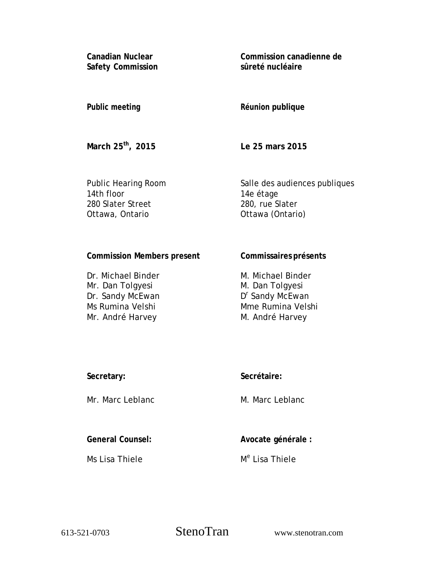**Canadian Nuclear Safety Commission**  **Commission canadienne de sûreté nucléaire** 

### **Public meeting**

# **Réunion publique**

**March 25th, 2015** 

**Le 25 mars 2015** 

Public Hearing Room 14th floor 280 Slater Street Ottawa, Ontario

Salle des audiences publiques 14e étage 280, rue Slater Ottawa (Ontario)

# **Commission Members present**

Dr. Michael Binder Mr. Dan Tolgyesi Dr. Sandy McEwan Ms Rumina Velshi Mr. André Harvey

### **Commissaires présents**

M. Michael Binder M. Dan Tolgyesi D<sup>r</sup> Sandy McEwan Mme Rumina Velshi M. André Harvey

| Secretary: |  |
|------------|--|
|            |  |

Mr. Marc Leblanc

# **Secrétaire:**

M. Marc Leblanc

**General Counsel:** 

Ms Lisa Thiele

**Avocate générale :** 

M<sup>e</sup> Lisa Thiele

613-521-0703 StenoTran www.stenotran.com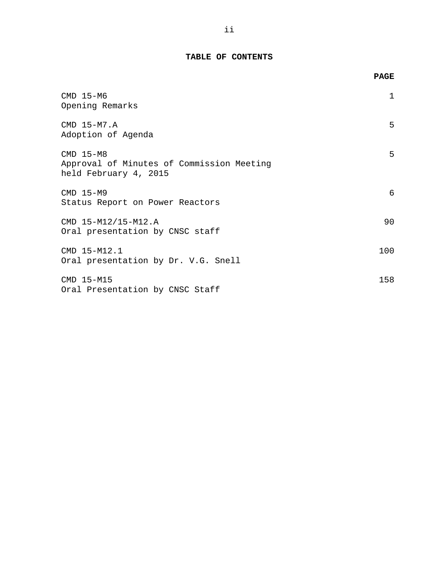# **TABLE OF CONTENTS**

|                                                                                   | <b>PAGE</b> |
|-----------------------------------------------------------------------------------|-------------|
| $CMD$ 15-M6<br>Opening Remarks                                                    | 1           |
| CMD 15-M7.A<br>Adoption of Agenda                                                 | 5           |
| $CMD 15-M8$<br>Approval of Minutes of Commission Meeting<br>held February 4, 2015 | 5           |
| $CMD$ 15-M9<br>Status Report on Power Reactors                                    | 6           |
| CMD 15-M12/15-M12.A<br>Oral presentation by CNSC staff                            | 90          |
| CMD 15-M12.1<br>Oral presentation by Dr. V.G. Snell                               | 100         |
| CMD 15-M15<br>Oral Presentation by CNSC Staff                                     | 158         |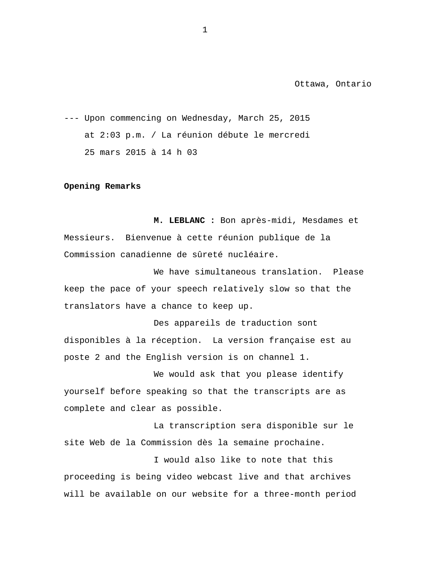<span id="page-2-0"></span>--- Upon commencing on Wednesday, March 25, 2015 at 2:03 p.m. / La réunion débute le mercredi 25 mars 2015 à 14 h 03

#### **Opening Remarks**

**M. LEBLANC :** Bon après-midi, Mesdames et Messieurs. Bienvenue à cette réunion publique de la Commission canadienne de sûreté nucléaire.

We have simultaneous translation. Please keep the pace of your speech relatively slow so that the translators have a chance to keep up.

Des appareils de traduction sont disponibles à la réception. La version française est au poste 2 and the English version is on channel 1.

We would ask that you please identify yourself before speaking so that the transcripts are as complete and clear as possible.

La transcription sera disponible sur le site Web de la Commission dès la semaine prochaine.

I would also like to note that this proceeding is being video webcast live and that archives will be available on our website for a three-month period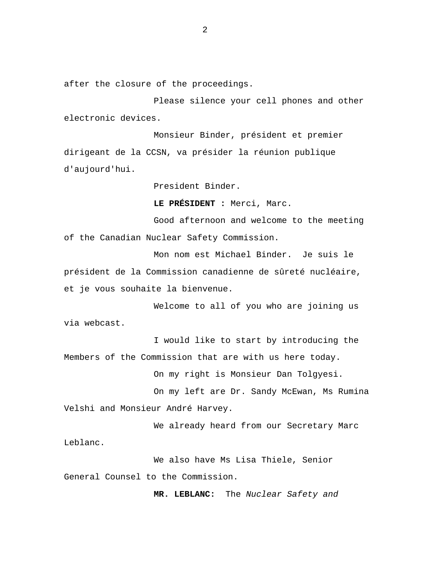after the closure of the proceedings.

Please silence your cell phones and other electronic devices.

Monsieur Binder, président et premier dirigeant de la CCSN, va présider la réunion publique d'aujourd'hui.

President Binder.

**LE PRÉSIDENT :** Merci, Marc.

Good afternoon and welcome to the meeting of the Canadian Nuclear Safety Commission.

Mon nom est Michael Binder. Je suis le président de la Commission canadienne de sûreté nucléaire, et je vous souhaite la bienvenue.

Welcome to all of you who are joining us via webcast.

I would like to start by introducing the Members of the Commission that are with us here today.

On my right is Monsieur Dan Tolgyesi.

On my left are Dr. Sandy McEwan, Ms Rumina Velshi and Monsieur André Harvey.

We already heard from our Secretary Marc Leblanc.

We also have Ms Lisa Thiele, Senior General Counsel to the Commission.

**MR. LEBLANC:** The *Nuclear Safety and*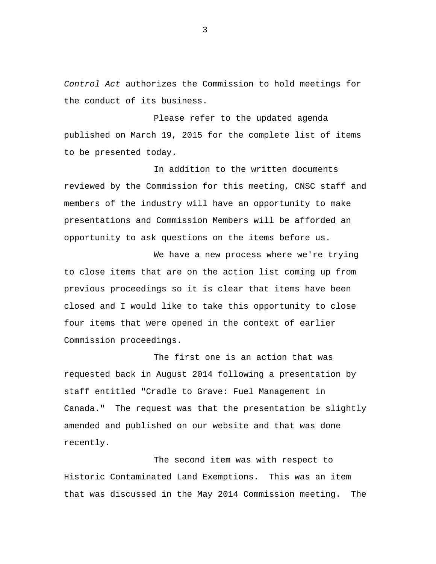*Control Act* authorizes the Commission to hold meetings for the conduct of its business.

Please refer to the updated agenda published on March 19, 2015 for the complete list of items to be presented today.

In addition to the written documents reviewed by the Commission for this meeting, CNSC staff and members of the industry will have an opportunity to make presentations and Commission Members will be afforded an opportunity to ask questions on the items before us.

We have a new process where we're trying to close items that are on the action list coming up from previous proceedings so it is clear that items have been closed and I would like to take this opportunity to close four items that were opened in the context of earlier Commission proceedings.

The first one is an action that was requested back in August 2014 following a presentation by staff entitled "Cradle to Grave: Fuel Management in Canada." The request was that the presentation be slightly amended and published on our website and that was done recently.

The second item was with respect to Historic Contaminated Land Exemptions. This was an item that was discussed in the May 2014 Commission meeting. The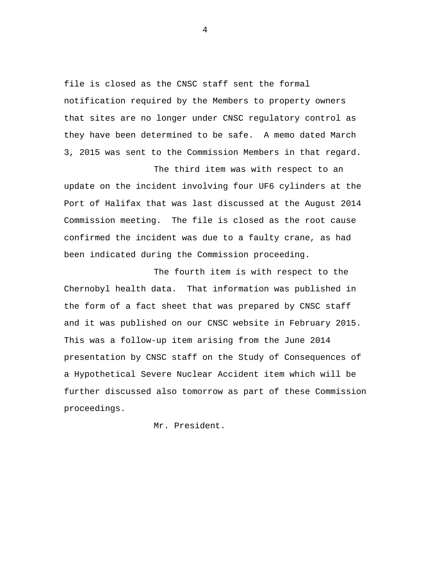file is closed as the CNSC staff sent the formal notification required by the Members to property owners that sites are no longer under CNSC regulatory control as they have been determined to be safe. A memo dated March 3, 2015 was sent to the Commission Members in that regard.

The third item was with respect to an update on the incident involving four UF6 cylinders at the Port of Halifax that was last discussed at the August 2014 Commission meeting. The file is closed as the root cause confirmed the incident was due to a faulty crane, as had been indicated during the Commission proceeding.

The fourth item is with respect to the Chernobyl health data. That information was published in the form of a fact sheet that was prepared by CNSC staff and it was published on our CNSC website in February 2015. This was a follow-up item arising from the June 2014 presentation by CNSC staff on the Study of Consequences of a Hypothetical Severe Nuclear Accident item which will be further discussed also tomorrow as part of these Commission proceedings.

Mr. President.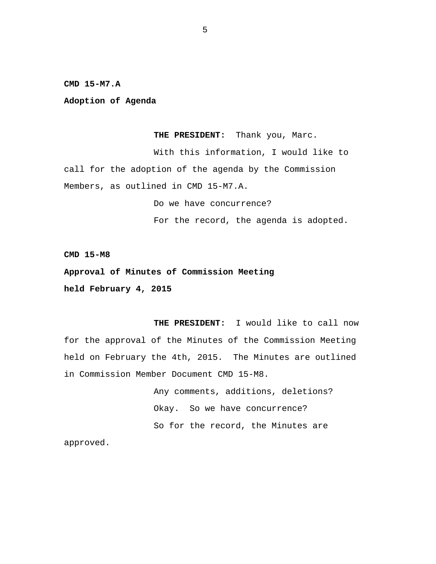<span id="page-6-0"></span>**CMD 15-M7.A** 

**Adoption of Agenda** 

**THE PRESIDENT:** Thank you, Marc.

With this information, I would like to call for the adoption of the agenda by the Commission Members, as outlined in CMD 15-M7.A.

Do we have concurrence?

For the record, the agenda is adopted.

**CMD 15-M8** 

**Approval of Minutes of Commission Meeting held February 4, 2015** 

**THE PRESIDENT:** I would like to call now for the approval of the Minutes of the Commission Meeting held on February the 4th, 2015. The Minutes are outlined in Commission Member Document CMD 15-M8.

> Any comments, additions, deletions? Okay. So we have concurrence? So for the record, the Minutes are

approved.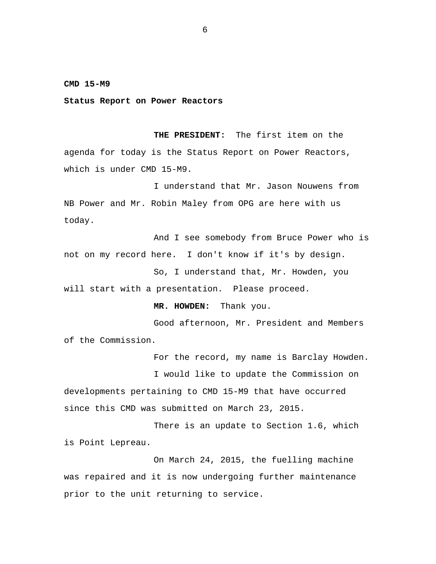#### <span id="page-7-0"></span>**CMD 15-M9**

**Status Report on Power Reactors** 

**THE PRESIDENT:** The first item on the agenda for today is the Status Report on Power Reactors, which is under CMD 15-M9.

I understand that Mr. Jason Nouwens from NB Power and Mr. Robin Maley from OPG are here with us today.

And I see somebody from Bruce Power who is not on my record here. I don't know if it's by design.

So, I understand that, Mr. Howden, you will start with a presentation. Please proceed.

**MR. HOWDEN:** Thank you.

Good afternoon, Mr. President and Members of the Commission.

For the record, my name is Barclay Howden.

I would like to update the Commission on developments pertaining to CMD 15-M9 that have occurred since this CMD was submitted on March 23, 2015.

There is an update to Section 1.6, which is Point Lepreau.

On March 24, 2015, the fuelling machine was repaired and it is now undergoing further maintenance prior to the unit returning to service.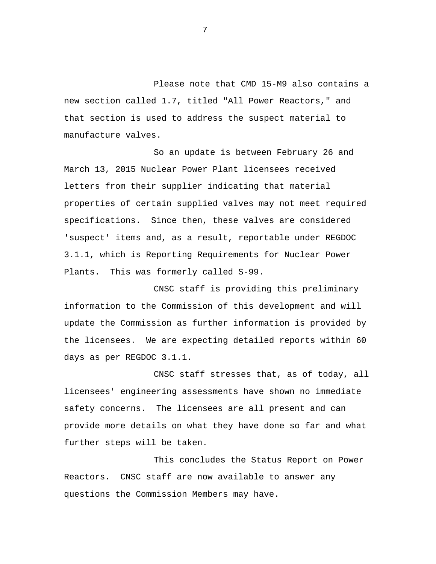Please note that CMD 15-M9 also contains a new section called 1.7, titled "All Power Reactors," and that section is used to address the suspect material to manufacture valves.

So an update is between February 26 and March 13, 2015 Nuclear Power Plant licensees received letters from their supplier indicating that material properties of certain supplied valves may not meet required specifications. Since then, these valves are considered 'suspect' items and, as a result, reportable under REGDOC 3.1.1, which is Reporting Requirements for Nuclear Power Plants. This was formerly called S-99.

CNSC staff is providing this preliminary information to the Commission of this development and will update the Commission as further information is provided by the licensees. We are expecting detailed reports within 60 days as per REGDOC 3.1.1.

CNSC staff stresses that, as of today, all licensees' engineering assessments have shown no immediate safety concerns. The licensees are all present and can provide more details on what they have done so far and what further steps will be taken.

This concludes the Status Report on Power Reactors. CNSC staff are now available to answer any questions the Commission Members may have.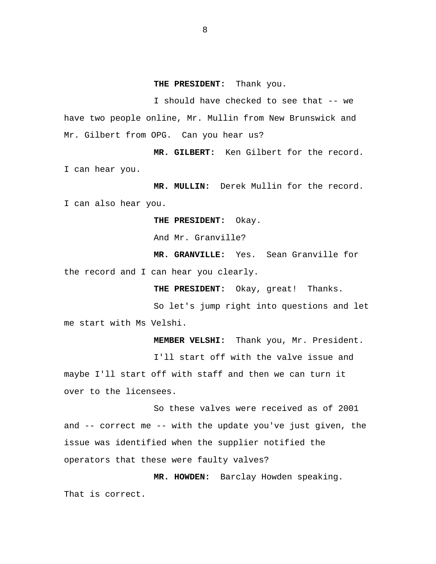#### **THE PRESIDENT:** Thank you.

I should have checked to see that -- we have two people online, Mr. Mullin from New Brunswick and Mr. Gilbert from OPG. Can you hear us?

**MR. GILBERT:** Ken Gilbert for the record. I can hear you.

**MR. MULLIN:** Derek Mullin for the record. I can also hear you.

**THE PRESIDENT:** Okay.

And Mr. Granville?

**MR. GRANVILLE:** Yes. Sean Granville for the record and I can hear you clearly.

**THE PRESIDENT:** Okay, great! Thanks.

So let's jump right into questions and let me start with Ms Velshi.

**MEMBER VELSHI:** Thank you, Mr. President.

I'll start off with the valve issue and maybe I'll start off with staff and then we can turn it over to the licensees.

So these valves were received as of 2001 and -- correct me -- with the update you've just given, the issue was identified when the supplier notified the operators that these were faulty valves?

**MR. HOWDEN:** Barclay Howden speaking. That is correct.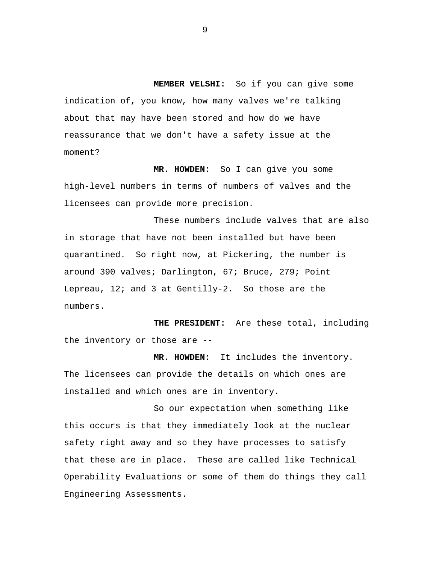**MEMBER VELSHI:** So if you can give some indication of, you know, how many valves we're talking about that may have been stored and how do we have reassurance that we don't have a safety issue at the moment?

**MR. HOWDEN:** So I can give you some high-level numbers in terms of numbers of valves and the licensees can provide more precision.

These numbers include valves that are also in storage that have not been installed but have been quarantined. So right now, at Pickering, the number is around 390 valves; Darlington, 67; Bruce, 279; Point Lepreau, 12; and 3 at Gentilly-2. So those are the numbers.

**THE PRESIDENT:** Are these total, including the inventory or those are --

**MR. HOWDEN:** It includes the inventory. The licensees can provide the details on which ones are installed and which ones are in inventory.

So our expectation when something like this occurs is that they immediately look at the nuclear safety right away and so they have processes to satisfy that these are in place. These are called like Technical Operability Evaluations or some of them do things they call Engineering Assessments.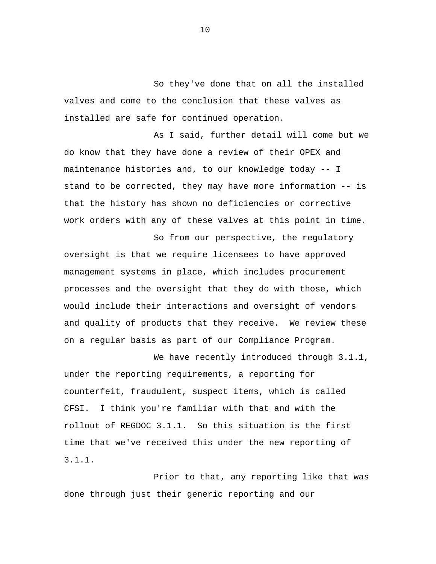So they've done that on all the installed valves and come to the conclusion that these valves as installed are safe for continued operation.

As I said, further detail will come but we do know that they have done a review of their OPEX and maintenance histories and, to our knowledge today -- I stand to be corrected, they may have more information -- is that the history has shown no deficiencies or corrective work orders with any of these valves at this point in time.

So from our perspective, the regulatory oversight is that we require licensees to have approved management systems in place, which includes procurement processes and the oversight that they do with those, which would include their interactions and oversight of vendors and quality of products that they receive. We review these on a regular basis as part of our Compliance Program.

We have recently introduced through 3.1.1, under the reporting requirements, a reporting for counterfeit, fraudulent, suspect items, which is called CFSI. I think you're familiar with that and with the rollout of REGDOC 3.1.1. So this situation is the first time that we've received this under the new reporting of 3.1.1.

Prior to that, any reporting like that was done through just their generic reporting and our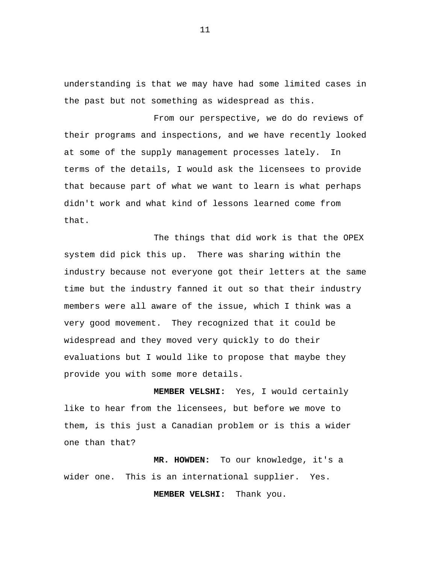understanding is that we may have had some limited cases in the past but not something as widespread as this.

From our perspective, we do do reviews of their programs and inspections, and we have recently looked at some of the supply management processes lately. In terms of the details, I would ask the licensees to provide that because part of what we want to learn is what perhaps didn't work and what kind of lessons learned come from that.

The things that did work is that the OPEX system did pick this up. There was sharing within the industry because not everyone got their letters at the same time but the industry fanned it out so that their industry members were all aware of the issue, which I think was a very good movement. They recognized that it could be widespread and they moved very quickly to do their evaluations but I would like to propose that maybe they provide you with some more details.

**MEMBER VELSHI:** Yes, I would certainly like to hear from the licensees, but before we move to them, is this just a Canadian problem or is this a wider one than that?

**MR. HOWDEN:** To our knowledge, it's a wider one. This is an international supplier. Yes.

**MEMBER VELSHI:** Thank you.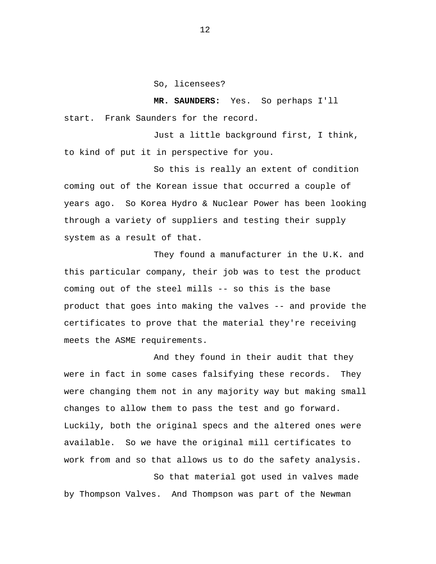So, licensees?

**MR. SAUNDERS:** Yes. So perhaps I'll start. Frank Saunders for the record.

Just a little background first, I think, to kind of put it in perspective for you.

So this is really an extent of condition coming out of the Korean issue that occurred a couple of years ago. So Korea Hydro & Nuclear Power has been looking through a variety of suppliers and testing their supply system as a result of that.

They found a manufacturer in the U.K. and this particular company, their job was to test the product coming out of the steel mills -- so this is the base product that goes into making the valves -- and provide the certificates to prove that the material they're receiving meets the ASME requirements.

And they found in their audit that they were in fact in some cases falsifying these records. They were changing them not in any majority way but making small changes to allow them to pass the test and go forward. Luckily, both the original specs and the altered ones were available. So we have the original mill certificates to work from and so that allows us to do the safety analysis.

So that material got used in valves made by Thompson Valves. And Thompson was part of the Newman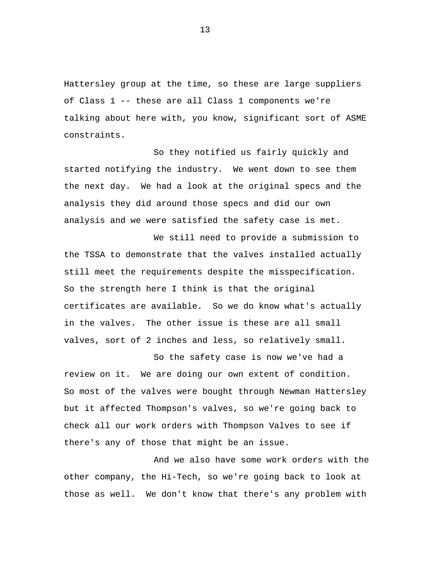Hattersley group at the time, so these are large suppliers of Class 1 -- these are all Class 1 components we're talking about here with, you know, significant sort of ASME constraints.

So they notified us fairly quickly and started notifying the industry. We went down to see them the next day. We had a look at the original specs and the analysis they did around those specs and did our own analysis and we were satisfied the safety case is met.

We still need to provide a submission to the TSSA to demonstrate that the valves installed actually still meet the requirements despite the misspecification. So the strength here I think is that the original certificates are available. So we do know what's actually in the valves. The other issue is these are all small valves, sort of 2 inches and less, so relatively small.

So the safety case is now we've had a review on it. We are doing our own extent of condition. So most of the valves were bought through Newman Hattersley but it affected Thompson's valves, so we're going back to check all our work orders with Thompson Valves to see if there's any of those that might be an issue.

And we also have some work orders with the other company, the Hi-Tech, so we're going back to look at those as well. We don't know that there's any problem with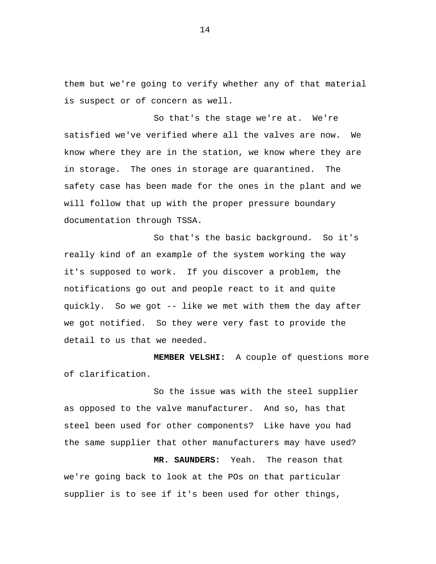them but we're going to verify whether any of that material is suspect or of concern as well.

So that's the stage we're at. We're satisfied we've verified where all the valves are now. We know where they are in the station, we know where they are in storage. The ones in storage are quarantined. The safety case has been made for the ones in the plant and we will follow that up with the proper pressure boundary documentation through TSSA.

So that's the basic background. So it's really kind of an example of the system working the way it's supposed to work. If you discover a problem, the notifications go out and people react to it and quite quickly. So we got -- like we met with them the day after we got notified. So they were very fast to provide the detail to us that we needed.

**MEMBER VELSHI:** A couple of questions more of clarification.

So the issue was with the steel supplier as opposed to the valve manufacturer. And so, has that steel been used for other components? Like have you had the same supplier that other manufacturers may have used?

**MR. SAUNDERS:** Yeah. The reason that we're going back to look at the POs on that particular supplier is to see if it's been used for other things,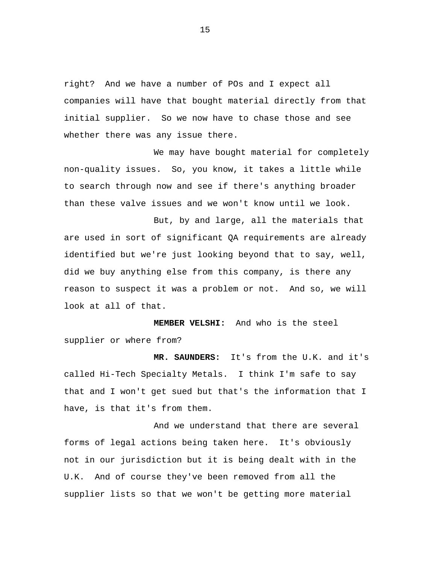right? And we have a number of POs and I expect all companies will have that bought material directly from that initial supplier. So we now have to chase those and see whether there was any issue there.

We may have bought material for completely non-quality issues. So, you know, it takes a little while to search through now and see if there's anything broader than these valve issues and we won't know until we look.

But, by and large, all the materials that are used in sort of significant QA requirements are already identified but we're just looking beyond that to say, well, did we buy anything else from this company, is there any reason to suspect it was a problem or not. And so, we will look at all of that.

**MEMBER VELSHI:** And who is the steel supplier or where from?

**MR. SAUNDERS:** It's from the U.K. and it's called Hi-Tech Specialty Metals. I think I'm safe to say that and I won't get sued but that's the information that I have, is that it's from them.

And we understand that there are several forms of legal actions being taken here. It's obviously not in our jurisdiction but it is being dealt with in the U.K. And of course they've been removed from all the supplier lists so that we won't be getting more material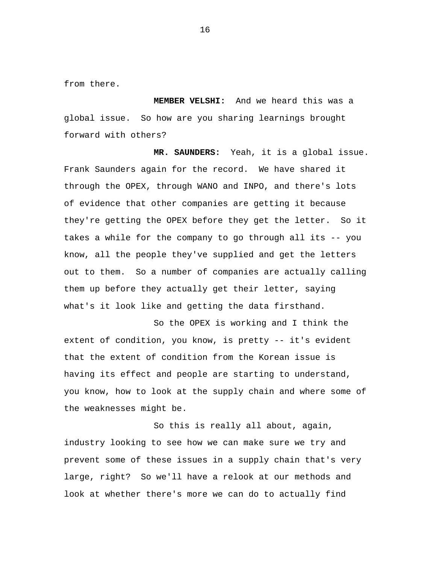from there.

**MEMBER VELSHI:** And we heard this was a global issue. So how are you sharing learnings brought forward with others?

**MR. SAUNDERS:** Yeah, it is a global issue. Frank Saunders again for the record. We have shared it through the OPEX, through WANO and INPO, and there's lots of evidence that other companies are getting it because they're getting the OPEX before they get the letter. So it takes a while for the company to go through all its -- you know, all the people they've supplied and get the letters out to them. So a number of companies are actually calling them up before they actually get their letter, saying what's it look like and getting the data firsthand.

So the OPEX is working and I think the extent of condition, you know, is pretty -- it's evident that the extent of condition from the Korean issue is having its effect and people are starting to understand, you know, how to look at the supply chain and where some of the weaknesses might be.

So this is really all about, again, industry looking to see how we can make sure we try and prevent some of these issues in a supply chain that's very large, right? So we'll have a relook at our methods and look at whether there's more we can do to actually find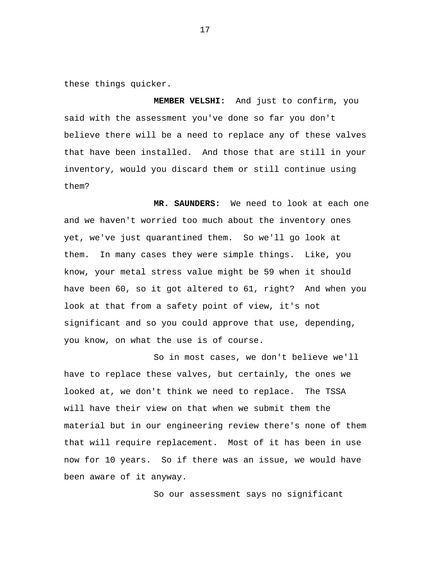these things quicker.

**MEMBER VELSHI:** And just to confirm, you said with the assessment you've done so far you don't believe there will be a need to replace any of these valves that have been installed. And those that are still in your inventory, would you discard them or still continue using them?

**MR. SAUNDERS:** We need to look at each one and we haven't worried too much about the inventory ones yet, we've just quarantined them. So we'll go look at them. In many cases they were simple things. Like, you know, your metal stress value might be 59 when it should have been 60, so it got altered to 61, right? And when you look at that from a safety point of view, it's not significant and so you could approve that use, depending, you know, on what the use is of course.

So in most cases, we don't believe we'll have to replace these valves, but certainly, the ones we looked at, we don't think we need to replace. The TSSA will have their view on that when we submit them the material but in our engineering review there's none of them that will require replacement. Most of it has been in use now for 10 years. So if there was an issue, we would have been aware of it anyway.

So our assessment says no significant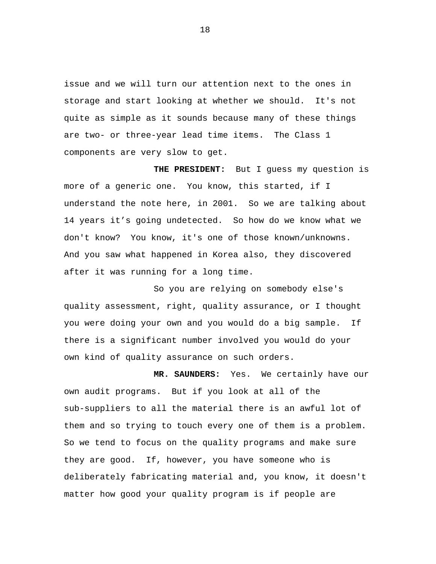issue and we will turn our attention next to the ones in storage and start looking at whether we should. It's not quite as simple as it sounds because many of these things are two- or three-year lead time items. The Class 1 components are very slow to get.

**THE PRESIDENT:** But I guess my question is more of a generic one. You know, this started, if I understand the note here, in 2001. So we are talking about 14 years it's going undetected. So how do we know what we don't know? You know, it's one of those known/unknowns. And you saw what happened in Korea also, they discovered after it was running for a long time.

So you are relying on somebody else's quality assessment, right, quality assurance, or I thought you were doing your own and you would do a big sample. If there is a significant number involved you would do your own kind of quality assurance on such orders.

**MR. SAUNDERS:** Yes. We certainly have our own audit programs. But if you look at all of the sub-suppliers to all the material there is an awful lot of them and so trying to touch every one of them is a problem. So we tend to focus on the quality programs and make sure they are good. If, however, you have someone who is deliberately fabricating material and, you know, it doesn't matter how good your quality program is if people are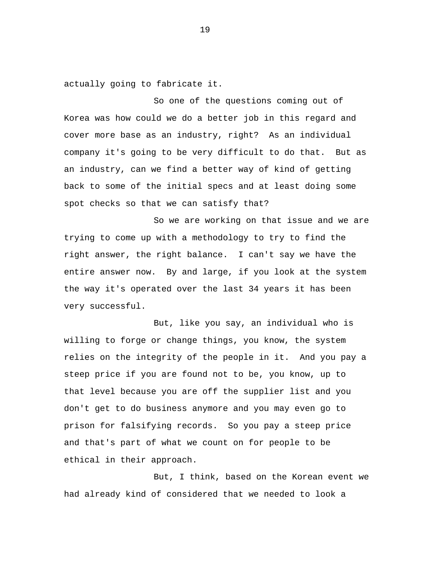actually going to fabricate it.

So one of the questions coming out of Korea was how could we do a better job in this regard and cover more base as an industry, right? As an individual company it's going to be very difficult to do that. But as an industry, can we find a better way of kind of getting back to some of the initial specs and at least doing some spot checks so that we can satisfy that?

So we are working on that issue and we are trying to come up with a methodology to try to find the right answer, the right balance. I can't say we have the entire answer now. By and large, if you look at the system the way it's operated over the last 34 years it has been very successful.

But, like you say, an individual who is willing to forge or change things, you know, the system relies on the integrity of the people in it. And you pay a steep price if you are found not to be, you know, up to that level because you are off the supplier list and you don't get to do business anymore and you may even go to prison for falsifying records. So you pay a steep price and that's part of what we count on for people to be ethical in their approach.

But, I think, based on the Korean event we had already kind of considered that we needed to look a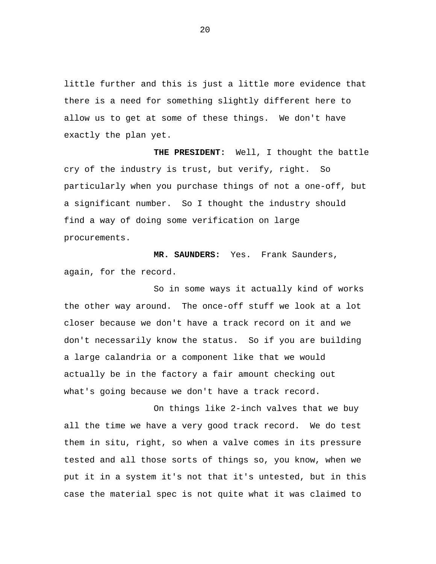little further and this is just a little more evidence that there is a need for something slightly different here to allow us to get at some of these things. We don't have exactly the plan yet.

**THE PRESIDENT:** Well, I thought the battle cry of the industry is trust, but verify, right. So particularly when you purchase things of not a one-off, but a significant number. So I thought the industry should find a way of doing some verification on large procurements.

**MR. SAUNDERS:** Yes. Frank Saunders, again, for the record.

So in some ways it actually kind of works the other way around. The once-off stuff we look at a lot closer because we don't have a track record on it and we don't necessarily know the status. So if you are building a large calandria or a component like that we would actually be in the factory a fair amount checking out what's going because we don't have a track record.

On things like 2-inch valves that we buy all the time we have a very good track record. We do test them in situ, right, so when a valve comes in its pressure tested and all those sorts of things so, you know, when we put it in a system it's not that it's untested, but in this case the material spec is not quite what it was claimed to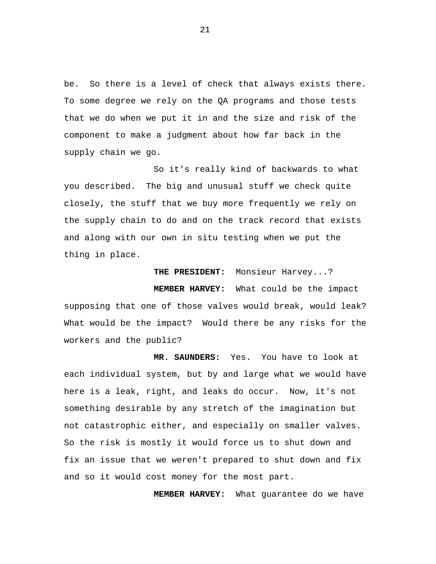be. So there is a level of check that always exists there. To some degree we rely on the QA programs and those tests that we do when we put it in and the size and risk of the component to make a judgment about how far back in the supply chain we go.

So it's really kind of backwards to what you described. The big and unusual stuff we check quite closely, the stuff that we buy more frequently we rely on the supply chain to do and on the track record that exists and along with our own in situ testing when we put the thing in place.

**THE PRESIDENT:** Monsieur Harvey...? **MEMBER HARVEY:** What could be the impact supposing that one of those valves would break, would leak? What would be the impact? Would there be any risks for the workers and the public?

**MR. SAUNDERS:** Yes. You have to look at each individual system, but by and large what we would have here is a leak, right, and leaks do occur. Now, it's not something desirable by any stretch of the imagination but not catastrophic either, and especially on smaller valves. So the risk is mostly it would force us to shut down and fix an issue that we weren't prepared to shut down and fix and so it would cost money for the most part.

**MEMBER HARVEY:** What guarantee do we have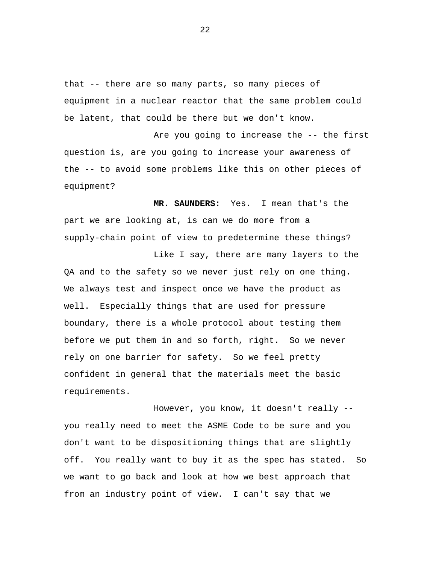that -- there are so many parts, so many pieces of equipment in a nuclear reactor that the same problem could be latent, that could be there but we don't know.

Are you going to increase the -- the first question is, are you going to increase your awareness of the -- to avoid some problems like this on other pieces of equipment?

**MR. SAUNDERS:** Yes. I mean that's the part we are looking at, is can we do more from a supply-chain point of view to predetermine these things?

Like I say, there are many layers to the QA and to the safety so we never just rely on one thing. We always test and inspect once we have the product as well. Especially things that are used for pressure boundary, there is a whole protocol about testing them before we put them in and so forth, right. So we never rely on one barrier for safety. So we feel pretty confident in general that the materials meet the basic requirements.

However, you know, it doesn't really - you really need to meet the ASME Code to be sure and you don't want to be dispositioning things that are slightly off. You really want to buy it as the spec has stated. So we want to go back and look at how we best approach that from an industry point of view. I can't say that we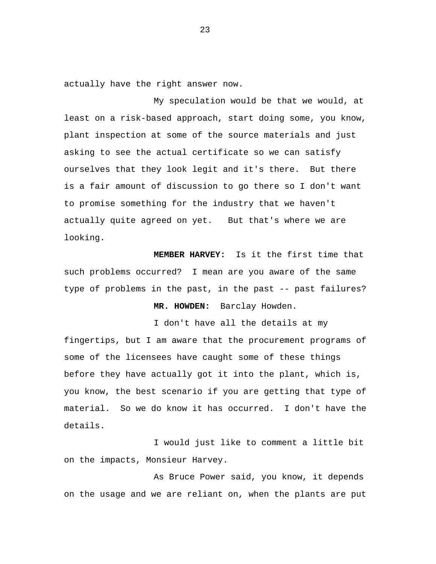actually have the right answer now.

My speculation would be that we would, at least on a risk-based approach, start doing some, you know, plant inspection at some of the source materials and just asking to see the actual certificate so we can satisfy ourselves that they look legit and it's there. But there is a fair amount of discussion to go there so I don't want to promise something for the industry that we haven't actually quite agreed on yet. But that's where we are looking.

**MEMBER HARVEY:** Is it the first time that such problems occurred? I mean are you aware of the same type of problems in the past, in the past -- past failures?

### **MR. HOWDEN:** Barclay Howden.

I don't have all the details at my

fingertips, but I am aware that the procurement programs of some of the licensees have caught some of these things before they have actually got it into the plant, which is, you know, the best scenario if you are getting that type of material. So we do know it has occurred. I don't have the details.

I would just like to comment a little bit on the impacts, Monsieur Harvey.

As Bruce Power said, you know, it depends on the usage and we are reliant on, when the plants are put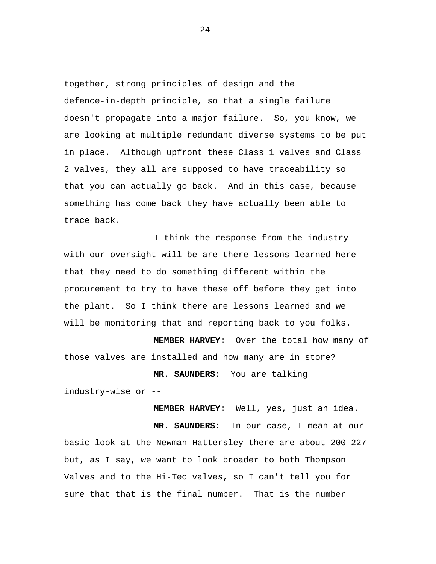together, strong principles of design and the defence-in-depth principle, so that a single failure doesn't propagate into a major failure. So, you know, we are looking at multiple redundant diverse systems to be put in place. Although upfront these Class 1 valves and Class 2 valves, they all are supposed to have traceability so that you can actually go back. And in this case, because something has come back they have actually been able to trace back.

I think the response from the industry with our oversight will be are there lessons learned here that they need to do something different within the procurement to try to have these off before they get into the plant. So I think there are lessons learned and we will be monitoring that and reporting back to you folks.

**MEMBER HARVEY:** Over the total how many of those valves are installed and how many are in store?

**MR. SAUNDERS:** You are talking industry-wise or --

**MEMBER HARVEY:** Well, yes, just an idea.

**MR. SAUNDERS:** In our case, I mean at our basic look at the Newman Hattersley there are about 200-227 but, as I say, we want to look broader to both Thompson Valves and to the Hi-Tec valves, so I can't tell you for sure that that is the final number. That is the number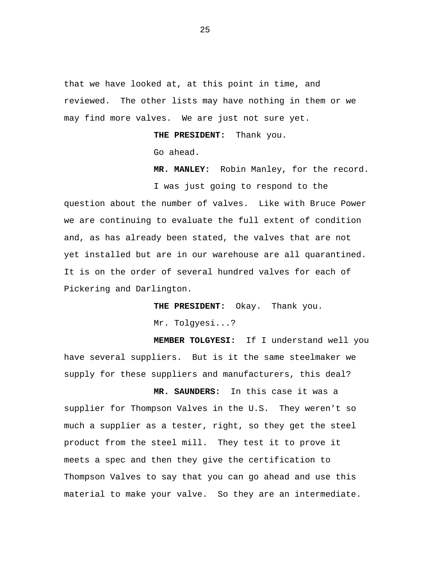that we have looked at, at this point in time, and reviewed. The other lists may have nothing in them or we may find more valves. We are just not sure yet.

**THE PRESIDENT:** Thank you.

Go ahead.

**MR. MANLEY:** Robin Manley, for the record.

I was just going to respond to the question about the number of valves. Like with Bruce Power we are continuing to evaluate the full extent of condition and, as has already been stated, the valves that are not yet installed but are in our warehouse are all quarantined. It is on the order of several hundred valves for each of Pickering and Darlington.

> **THE PRESIDENT:** Okay. Thank you. Mr. Tolqyesi...?

**MEMBER TOLGYESI:** If I understand well you have several suppliers. But is it the same steelmaker we supply for these suppliers and manufacturers, this deal?

**MR. SAUNDERS:** In this case it was a supplier for Thompson Valves in the U.S. They weren't so much a supplier as a tester, right, so they get the steel product from the steel mill. They test it to prove it meets a spec and then they give the certification to Thompson Valves to say that you can go ahead and use this material to make your valve. So they are an intermediate.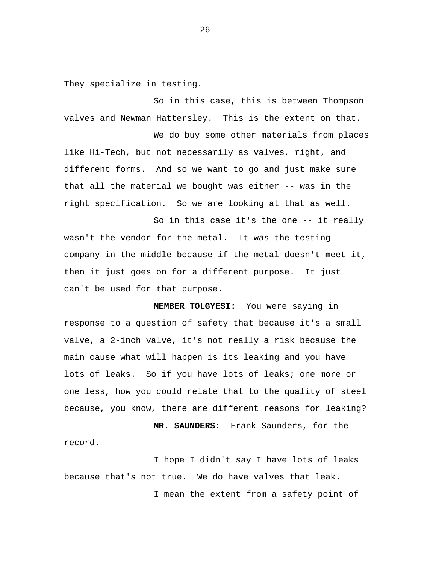They specialize in testing.

record.

So in this case, this is between Thompson valves and Newman Hattersley. This is the extent on that.

We do buy some other materials from places like Hi-Tech, but not necessarily as valves, right, and different forms. And so we want to go and just make sure that all the material we bought was either -- was in the right specification. So we are looking at that as well.

So in this case it's the one -- it really wasn't the vendor for the metal. It was the testing company in the middle because if the metal doesn't meet it, then it just goes on for a different purpose. It just can't be used for that purpose.

**MEMBER TOLGYESI:** You were saying in response to a question of safety that because it's a small valve, a 2-inch valve, it's not really a risk because the main cause what will happen is its leaking and you have lots of leaks. So if you have lots of leaks; one more or one less, how you could relate that to the quality of steel because, you know, there are different reasons for leaking?

**MR. SAUNDERS:** Frank Saunders, for the

I hope I didn't say I have lots of leaks because that's not true. We do have valves that leak. I mean the extent from a safety point of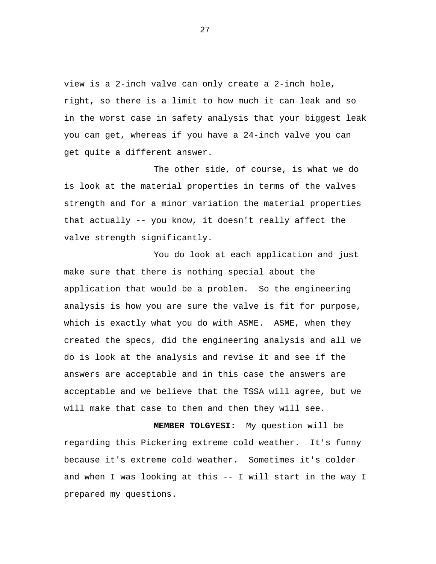view is a 2-inch valve can only create a 2-inch hole, right, so there is a limit to how much it can leak and so in the worst case in safety analysis that your biggest leak you can get, whereas if you have a 24-inch valve you can get quite a different answer.

The other side, of course, is what we do is look at the material properties in terms of the valves strength and for a minor variation the material properties that actually -- you know, it doesn't really affect the valve strength significantly.

You do look at each application and just make sure that there is nothing special about the application that would be a problem. So the engineering analysis is how you are sure the valve is fit for purpose, which is exactly what you do with ASME. ASME, when they created the specs, did the engineering analysis and all we do is look at the analysis and revise it and see if the answers are acceptable and in this case the answers are acceptable and we believe that the TSSA will agree, but we will make that case to them and then they will see.

**MEMBER TOLGYESI:** My question will be regarding this Pickering extreme cold weather. It's funny because it's extreme cold weather. Sometimes it's colder and when I was looking at this -- I will start in the way I prepared my questions.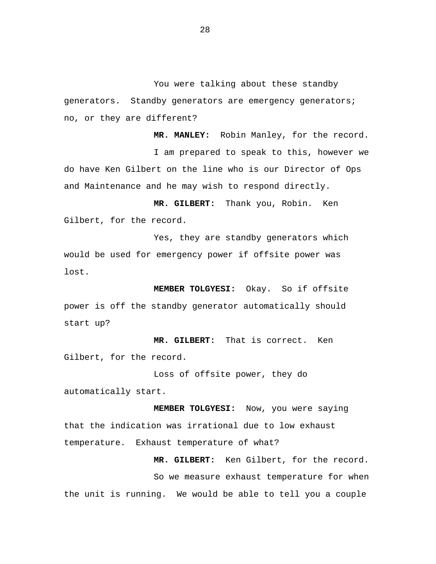You were talking about these standby generators. Standby generators are emergency generators; no, or they are different?

**MR. MANLEY:** Robin Manley, for the record. I am prepared to speak to this, however we do have Ken Gilbert on the line who is our Director of Ops and Maintenance and he may wish to respond directly.

**MR. GILBERT:** Thank you, Robin. Ken Gilbert, for the record.

Yes, they are standby generators which would be used for emergency power if offsite power was lost.

**MEMBER TOLGYESI:** Okay. So if offsite power is off the standby generator automatically should start up?

**MR. GILBERT:** That is correct. Ken Gilbert, for the record.

Loss of offsite power, they do automatically start.

**MEMBER TOLGYESI:** Now, you were saying that the indication was irrational due to low exhaust temperature. Exhaust temperature of what?

**MR. GILBERT:** Ken Gilbert, for the record. So we measure exhaust temperature for when the unit is running. We would be able to tell you a couple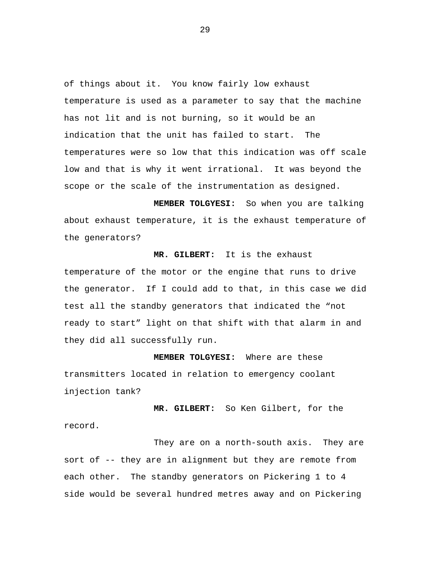of things about it. You know fairly low exhaust temperature is used as a parameter to say that the machine has not lit and is not burning, so it would be an indication that the unit has failed to start. The temperatures were so low that this indication was off scale low and that is why it went irrational. It was beyond the scope or the scale of the instrumentation as designed.

**MEMBER TOLGYESI:** So when you are talking about exhaust temperature, it is the exhaust temperature of the generators?

**MR. GILBERT:** It is the exhaust temperature of the motor or the engine that runs to drive the generator. If I could add to that, in this case we did test all the standby generators that indicated the "not ready to start" light on that shift with that alarm in and they did all successfully run.

**MEMBER TOLGYESI:** Where are these transmitters located in relation to emergency coolant injection tank?

**MR. GILBERT:** So Ken Gilbert, for the record.

They are on a north-south axis. They are sort of -- they are in alignment but they are remote from each other. The standby generators on Pickering 1 to 4 side would be several hundred metres away and on Pickering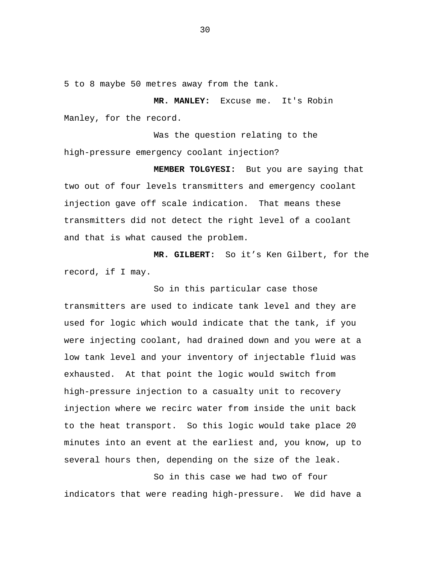5 to 8 maybe 50 metres away from the tank.

**MR. MANLEY:** Excuse me. It's Robin Manley, for the record.

Was the question relating to the high-pressure emergency coolant injection?

**MEMBER TOLGYESI:** But you are saying that two out of four levels transmitters and emergency coolant injection gave off scale indication. That means these transmitters did not detect the right level of a coolant and that is what caused the problem.

**MR. GILBERT:** So it's Ken Gilbert, for the record, if I may.

So in this particular case those transmitters are used to indicate tank level and they are used for logic which would indicate that the tank, if you were injecting coolant, had drained down and you were at a low tank level and your inventory of injectable fluid was exhausted. At that point the logic would switch from high-pressure injection to a casualty unit to recovery injection where we recirc water from inside the unit back to the heat transport. So this logic would take place 20 minutes into an event at the earliest and, you know, up to several hours then, depending on the size of the leak.

So in this case we had two of four indicators that were reading high-pressure. We did have a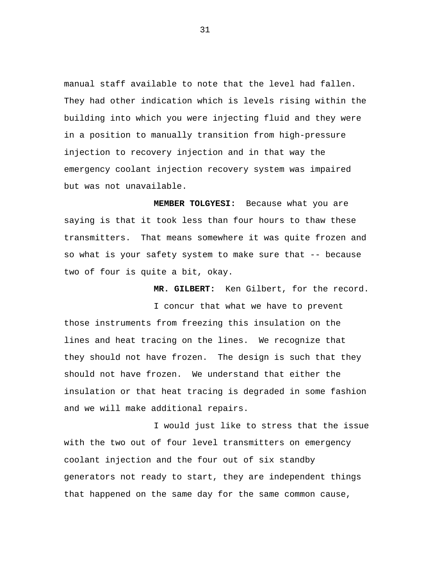manual staff available to note that the level had fallen. They had other indication which is levels rising within the building into which you were injecting fluid and they were in a position to manually transition from high-pressure injection to recovery injection and in that way the emergency coolant injection recovery system was impaired but was not unavailable.

**MEMBER TOLGYESI:** Because what you are saying is that it took less than four hours to thaw these transmitters. That means somewhere it was quite frozen and so what is your safety system to make sure that -- because two of four is quite a bit, okay.

**MR. GILBERT:** Ken Gilbert, for the record.

I concur that what we have to prevent those instruments from freezing this insulation on the lines and heat tracing on the lines. We recognize that they should not have frozen. The design is such that they should not have frozen. We understand that either the insulation or that heat tracing is degraded in some fashion and we will make additional repairs.

I would just like to stress that the issue with the two out of four level transmitters on emergency coolant injection and the four out of six standby generators not ready to start, they are independent things that happened on the same day for the same common cause,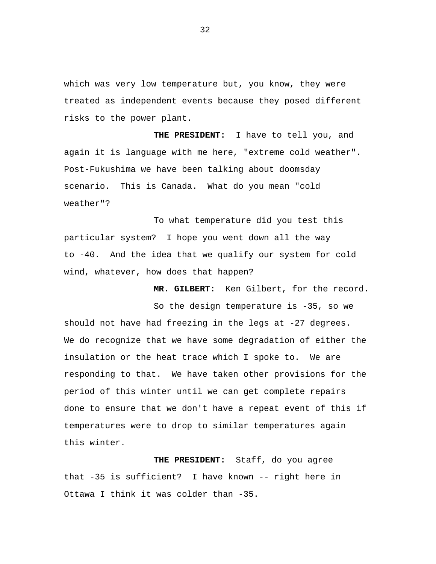which was very low temperature but, you know, they were treated as independent events because they posed different risks to the power plant.

**THE PRESIDENT:** I have to tell you, and again it is language with me here, "extreme cold weather". Post-Fukushima we have been talking about doomsday scenario. This is Canada. What do you mean "cold weather"?

To what temperature did you test this particular system? I hope you went down all the way to -40. And the idea that we qualify our system for cold wind, whatever, how does that happen?

**MR. GILBERT:** Ken Gilbert, for the record.

So the design temperature is -35, so we should not have had freezing in the legs at -27 degrees. We do recognize that we have some degradation of either the insulation or the heat trace which I spoke to. We are responding to that. We have taken other provisions for the period of this winter until we can get complete repairs done to ensure that we don't have a repeat event of this if temperatures were to drop to similar temperatures again this winter.

**THE PRESIDENT:** Staff, do you agree that -35 is sufficient? I have known -- right here in Ottawa I think it was colder than -35.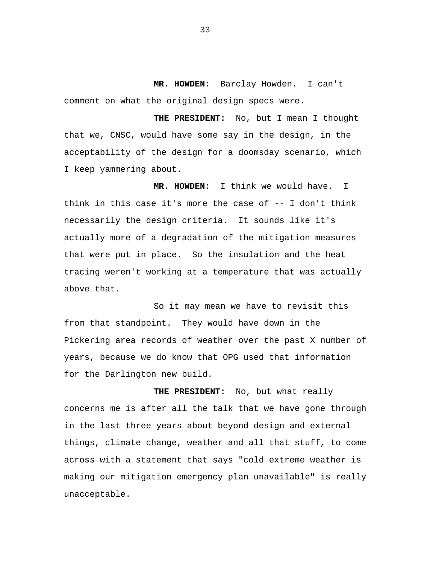**MR. HOWDEN:** Barclay Howden. I can't comment on what the original design specs were.

**THE PRESIDENT:** No, but I mean I thought that we, CNSC, would have some say in the design, in the acceptability of the design for a doomsday scenario, which I keep yammering about.

**MR. HOWDEN:** I think we would have. I think in this case it's more the case of -- I don't think necessarily the design criteria. It sounds like it's actually more of a degradation of the mitigation measures that were put in place. So the insulation and the heat tracing weren't working at a temperature that was actually above that.

So it may mean we have to revisit this from that standpoint. They would have down in the Pickering area records of weather over the past X number of years, because we do know that OPG used that information for the Darlington new build.

**THE PRESIDENT:** No, but what really concerns me is after all the talk that we have gone through in the last three years about beyond design and external things, climate change, weather and all that stuff, to come across with a statement that says "cold extreme weather is making our mitigation emergency plan unavailable" is really unacceptable.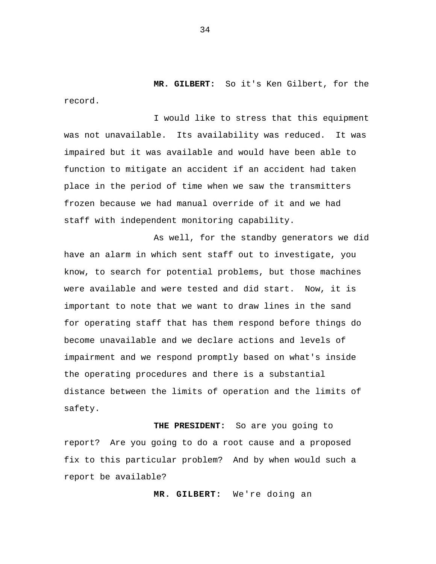**MR. GILBERT:** So it's Ken Gilbert, for the record.

I would like to stress that this equipment was not unavailable. Its availability was reduced. It was impaired but it was available and would have been able to function to mitigate an accident if an accident had taken place in the period of time when we saw the transmitters frozen because we had manual override of it and we had staff with independent monitoring capability.

As well, for the standby generators we did have an alarm in which sent staff out to investigate, you know, to search for potential problems, but those machines were available and were tested and did start. Now, it is important to note that we want to draw lines in the sand for operating staff that has them respond before things do become unavailable and we declare actions and levels of impairment and we respond promptly based on what's inside the operating procedures and there is a substantial distance between the limits of operation and the limits of safety.

**THE PRESIDENT:** So are you going to report? Are you going to do a root cause and a proposed fix to this particular problem? And by when would such a report be available?

**MR. GILBERT:** We're doing an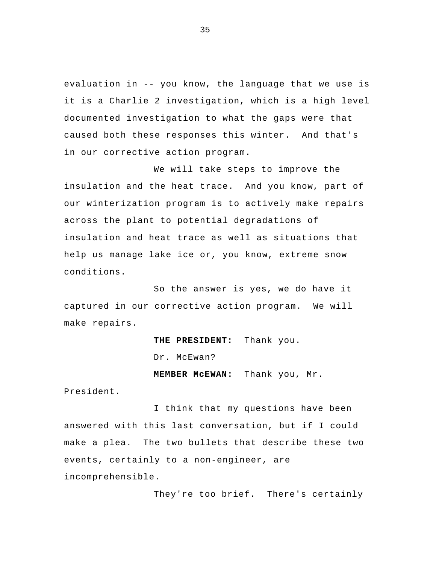evaluation in -- you know, the language that we use is it is a Charlie 2 investigation, which is a high level documented investigation to what the gaps were that caused both these responses this winter. And that's in our corrective action program.

 We will take steps to improve the insulation and the heat trace. And you know, part of our winterization program is to actively make repairs across the plant to potential degradations of insulation and heat trace as well as situations that help us manage lake ice or, you know, extreme snow conditions.

So the answer is yes, we do have it captured in our corrective action program. We will make repairs.

**THE PRESIDENT:** Thank you.

Dr. McEwan?

**MEMBER McEWAN:** Thank you, Mr.

President.

I think that my questions have been answered with this last conversation, but if I could make a plea. The two bullets that describe these two events, certainly to a non-engineer, are incomprehensible.

They're too brief. There's certainly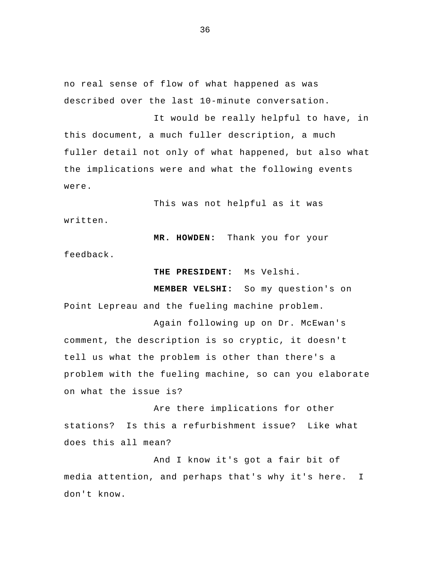no real sense of flow of what happened as was described over the last 10-minute conversation.

It would be really helpful to have, in this document, a much fuller description, a much fuller detail not only of what happened, but also what the implications were and what the following events were.

This was not helpful as it was written.

**MR. HOWDEN:** Thank you for your feedback.

**THE PRESIDENT:** Ms Velshi.

**MEMBER VELSHI:** So my question's on Point Lepreau and the fueling machine problem.

Again following up on Dr. McEwan's comment, the description is so cryptic, it doesn't tell us what the problem is other than there's a problem with the fueling machine, so can you elaborate on what the issue is?

 Are there implications for other stations? Is this a refurbishment issue? Like what does this all mean?

And I know it's got a fair bit of media attention, and perhaps that's why it's here. don't know. I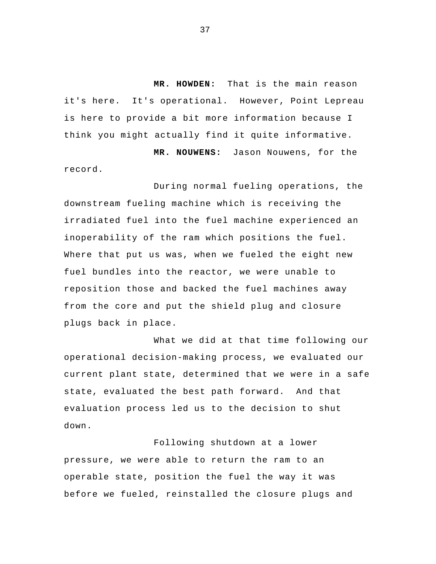**MR. HOWDEN:** That is the main reason it's here. It's operational. However, Point Lepreau is here to provide a bit more information because I think you might actually find it quite informative.

**MR. NOUWENS:** Jason Nouwens, for the record.

 During normal fueling operations, the downstream fueling machine which is receiving the irradiated fuel into the fuel machine experienced an inoperability of the ram which positions the fuel. Where that put us was, when we fueled the eight new fuel bundles into the reactor, we were unable to reposition those and backed the fuel machines away from the core and put the shield plug and closure plugs back in place.

What we did at that time following our operational decision-making process, we evaluated our current plant state, determined that we were in a safe state, evaluated the best path forward. And that evaluation process led us to the decision to shut down.

 Following shutdown at a lower pressure, we were able to return the ram to an operable state, position the fuel the way it was before we fueled, reinstalled the closure plugs and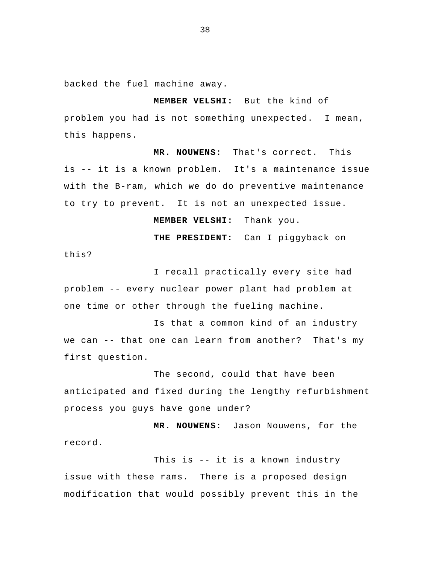backed the fuel machine away.

**MEMBER VELSHI:** But the kind of problem you had is not something unexpected. I mean, this happens.

**MR. NOUWENS:** That's correct. This is -- it is a known problem. It's a maintenance issue with the B-ram, which we do do preventive maintenance to try to prevent. It is not an unexpected issue.

**MEMBER VELSHI:** Thank you.

**THE PRESIDENT:** Can I piggyback on

this?

I recall practically every site had problem -- every nuclear power plant had problem at one time or other through the fueling machine.

Is that a common kind of an industry we can -- that one can learn from another? That's my first question.

 The second, could that have been anticipated and fixed during the lengthy refurbishment process you guys have gone under?

**MR. NOUWENS:** Jason Nouwens, for the record.

This is -- it is a known industry issue with these rams. There is a proposed design modification that would possibly prevent this in the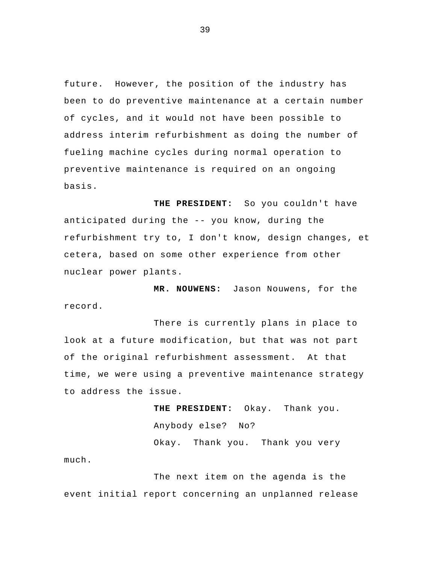future. However, the position of the industry has been to do preventive maintenance at a certain number of cycles, and it would not have been possible to address interim refurbishment as doing the number of fueling machine cycles during normal operation to preventive maintenance is required on an ongoing basis.

**THE PRESIDENT:** So you couldn't have anticipated during the -- you know, during the refurbishment try to, I don't know, design changes, et cetera, based on some other experience from other nuclear power plants.

**MR. NOUWENS:** Jason Nouwens, for the record.

There is currently plans in place to look at a future modification, but that was not part of the original refurbishment assessment. At that time, we were using a preventive maintenance strategy to address the issue.

> **THE PRESIDENT:** Okay. Thank you. Anybody else? No? Okay. Thank you. Thank you very

The next item on the agenda is the event initial report concerning an unplanned release

much.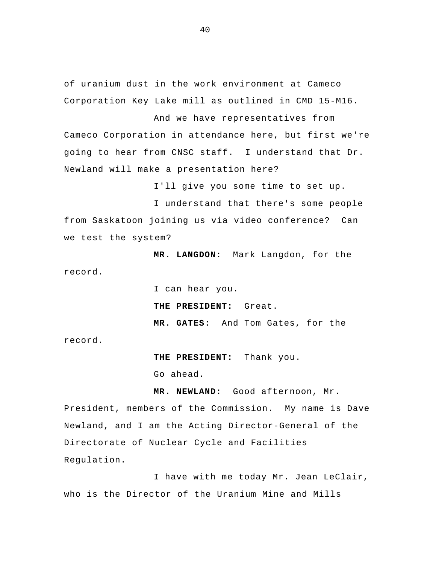of uranium dust in the work environment at Cameco Corporation Key Lake mill as outlined in CMD 15-M16.

And we have representatives from Cameco Corporation in attendance here, but first we're going to hear from CNSC staff. I understand that Dr. Newland will make a presentation here?

I'll give you some time to set up.

I understand that there's some people from Saskatoon joining us via video conference? Can we test the system?

**MR. LANGDON:** Mark Langdon, for the record.

I can hear you.

**THE PRESIDENT:** Great.

**MR. GATES:** And Tom Gates, for the

record.

Regulation.

**THE PRESIDENT:** Thank you.

Go ahead.

**MR. NEWLAND:** Good afternoon, Mr. President, members of the Commission. My name is Dave Newland, and I am the Acting Director-General of the Directorate of Nuclear Cycle and Facilities

I have with me today Mr. Jean LeClair, who is the Director of the Uranium Mine and Mills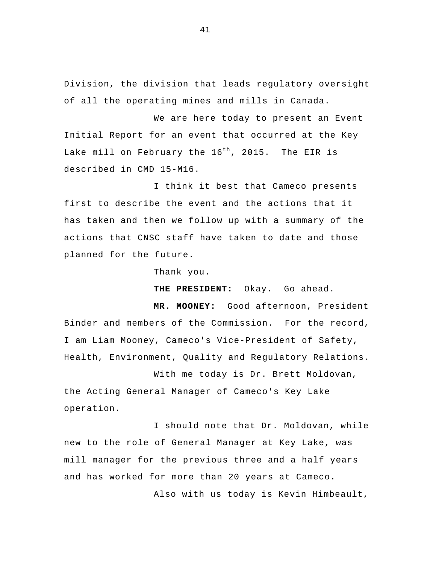Division, the division that leads regulatory oversight of all the operating mines and mills in Canada.

We are here today to present an Event Initial Report for an event that occurred at the Key Lake mill on February the  $16^{th}$ , 2015. The EIR is described in CMD 15-M16.

I think it best that Cameco presents first to describe the event and the actions that it has taken and then we follow up with a summary of the actions that CNSC staff have taken to date and those planned for the future.

Thank you.

**THE PRESIDENT:** Okay. Go ahead.

**MR. MOONEY:** Good afternoon, President Binder and members of the Commission. For the record, I am Liam Mooney, Cameco's Vice-President of Safety, Health, Environment, Quality and Regulatory Relations.

With me today is Dr. Brett Moldovan, the Acting General Manager of Cameco's Key Lake operation.

I should note that Dr. Moldovan, while new to the role of General Manager at Key Lake, was mill manager for the previous three and a half years and has worked for more than 20 years at Cameco.

Also with us today is Kevin Himbeault,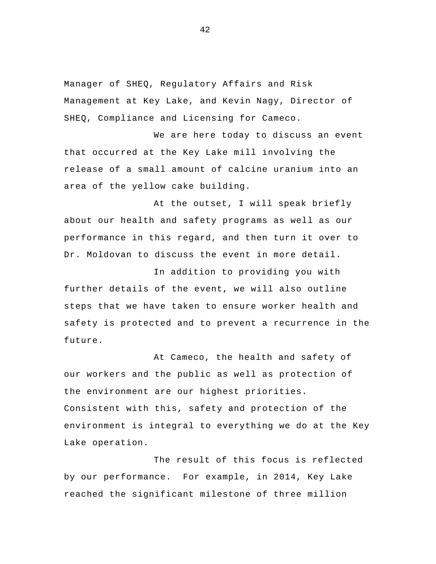Manager of SHEQ, Regulatory Affairs and Risk Management at Key Lake, and Kevin Nagy, Director of SHEQ, Compliance and Licensing for Cameco.

We are here today to discuss an event that occurred at the Key Lake mill involving the release of a small amount of calcine uranium into an area of the yellow cake building.

At the outset, I will speak briefly about our health and safety programs as well as our performance in this regard, and then turn it over to Dr. Moldovan to discuss the event in more detail.

In addition to providing you with further details of the event, we will also outline steps that we have taken to ensure worker health and safety is protected and to prevent a recurrence in the future.

At Cameco, the health and safety of our workers and the public as well as protection of the environment are our highest priorities. Consistent with this, safety and protection of the environment is integral to everything we do at the Key Lake operation.

The result of this focus is reflected by our performance. For example, in 2014, Key Lake reached the significant milestone of three million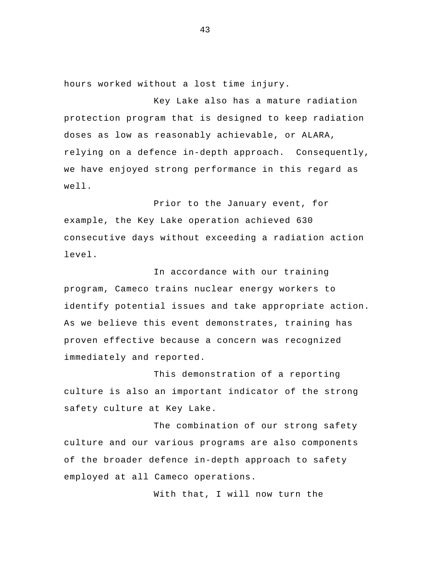hours worked without a lost time injury.

Key Lake also has a mature radiation protection program that is designed to keep radiation doses as low as reasonably achievable, or ALARA, relying on a defence in-depth approach. Consequently, we have enjoyed strong performance in this regard as well.

Prior to the January event, for example, the Key Lake operation achieved 630 consecutive days without exceeding a radiation action level.

In accordance with our training program, Cameco trains nuclear energy workers to identify potential issues and take appropriate action. As we believe this event demonstrates, training has proven effective because a concern was recognized immediately and reported.

 This demonstration of a reporting culture is also an important indicator of the strong safety culture at Key Lake.

The combination of our strong safety culture and our various programs are also components of the broader defence in-depth approach to safety employed at all Cameco operations.

With that, I will now turn the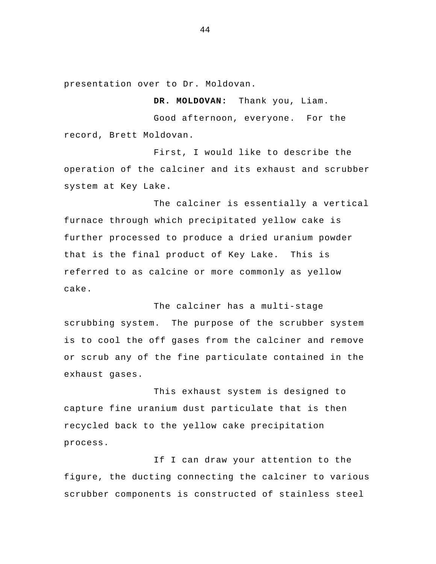presentation over to Dr. Moldovan.

 Good afternoon, everyone. For the record, Brett Moldovan.

First, I would like to describe the operation of the calciner and its exhaust and scrubber system at Key Lake.

**DR. MOLDOVAN:** Thank you, Liam.

The calciner is essentially a vertical furnace through which precipitated yellow cake is further processed to produce a dried uranium powder that is the final product of Key Lake. This is referred to as calcine or more commonly as yellow cake.

 The calciner has a multi-stage scrubbing system. The purpose of the scrubber system is to cool the off gases from the calciner and remove or scrub any of the fine particulate contained in the exhaust gases.

 This exhaust system is designed to capture fine uranium dust particulate that is then recycled back to the yellow cake precipitation process.

If I can draw your attention to the figure, the ducting connecting the calciner to various scrubber components is constructed of stainless steel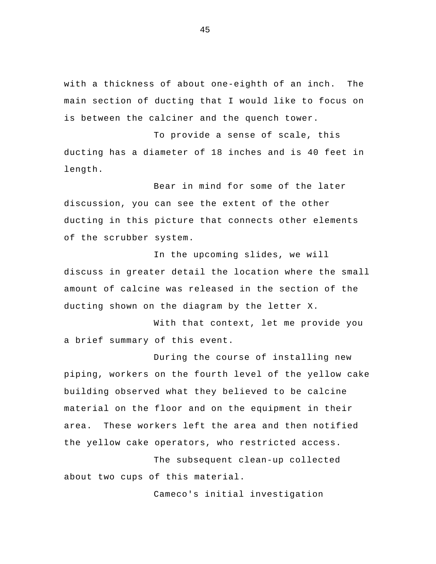with a thickness of about one-eighth of an inch. The main section of ducting that I would like to focus on is between the calciner and the quench tower.

To provide a sense of scale, this ducting has a diameter of 18 inches and is 40 feet in length.

 Bear in mind for some of the later discussion, you can see the extent of the other ducting in this picture that connects other elements of the scrubber system.

In the upcoming slides, we will discuss in greater detail the location where the small amount of calcine was released in the section of the ducting shown on the diagram by the letter X.

With that context, let me provide you a brief summary of this event.

 During the course of installing new piping, workers on the fourth level of the yellow cake building observed what they believed to be calcine material on the floor and on the equipment in their area. These workers left the area and then notified the yellow cake operators, who restricted access.

 The subsequent clean-up collected about two cups of this material.

Cameco's initial investigation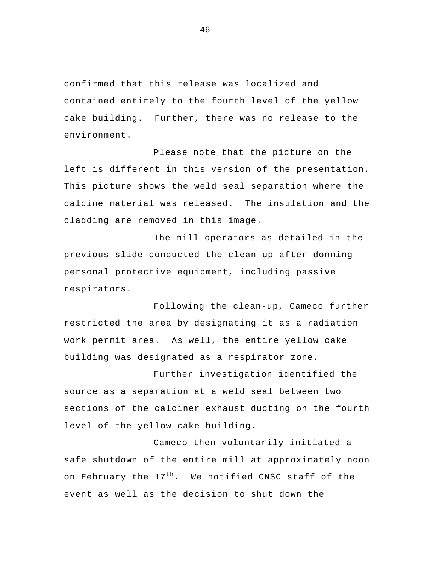confirmed that this release was localized and contained entirely to the fourth level of the yellow cake building. Further, there was no release to the environment.

Please note that the picture on the left is different in this version of the presentation. This picture shows the weld seal separation where the calcine material was released. The insulation and the cladding are removed in this image.

The mill operators as detailed in the previous slide conducted the clean-up after donning personal protective equipment, including passive respirators.

Following the clean-up, Cameco further restricted the area by designating it as a radiation work permit area. As well, the entire yellow cake building was designated as a respirator zone.

 Further investigation identified the source as a separation at a weld seal between two sections of the calciner exhaust ducting on the fourth level of the yellow cake building.

Cameco then voluntarily initiated a safe shutdown of the entire mill at approximately noon on February the 17<sup>th</sup>. We notified CNSC staff of the event as well as the decision to shut down the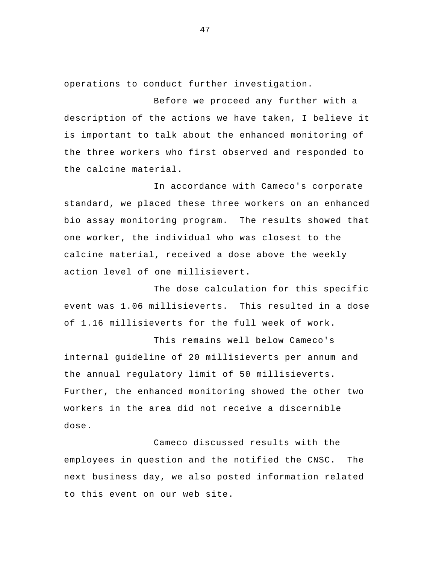operations to conduct further investigation.

Before we proceed any further with a description of the actions we have taken, I believe it is important to talk about the enhanced monitoring of the three workers who first observed and responded to the calcine material.

In accordance with Cameco's corporate standard, we placed these three workers on an enhanced bio assay monitoring program. The results showed that one worker, the individual who was closest to the calcine material, received a dose above the weekly action level of one millisievert.

The dose calculation for this specific event was 1.06 millisieverts. This resulted in a dose of 1.16 millisieverts for the full week of work.

 This remains well below Cameco's internal guideline of 20 millisieverts per annum and the annual regulatory limit of 50 millisieverts. Further, the enhanced monitoring showed the other two workers in the area did not receive a discernible dose.

Cameco discussed results with the employees in question and the notified the CNSC. The next business day, we also posted information related to this event on our web site.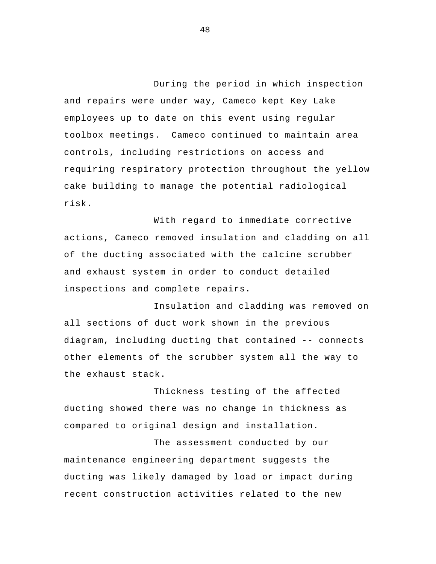During the period in which inspection and repairs were under way, Cameco kept Key Lake employees up to date on this event using regular toolbox meetings. Cameco continued to maintain area controls, including restrictions on access and requiring respiratory protection throughout the yellow cake building to manage the potential radiological risk.

With regard to immediate corrective actions, Cameco removed insulation and cladding on all of the ducting associated with the calcine scrubber and exhaust system in order to conduct detailed inspections and complete repairs.

Insulation and cladding was removed on all sections of duct work shown in the previous diagram, including ducting that contained -- connects other elements of the scrubber system all the way to the exhaust stack.

 Thickness testing of the affected ducting showed there was no change in thickness as compared to original design and installation.

 The assessment conducted by our maintenance engineering department suggests the ducting was likely damaged by load or impact during recent construction activities related to the new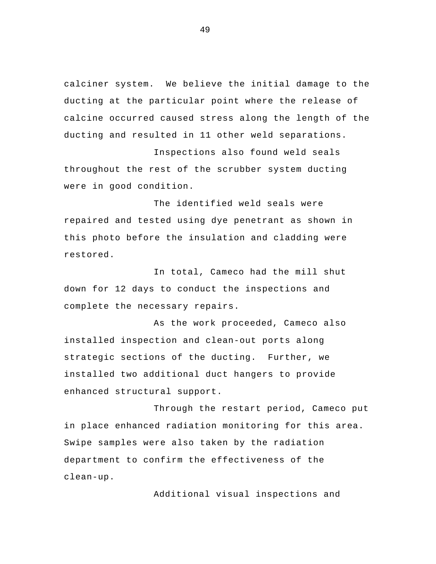calciner system. We believe the initial damage to the ducting at the particular point where the release of calcine occurred caused stress along the length of the ducting and resulted in 11 other weld separations.

Inspections also found weld seals throughout the rest of the scrubber system ducting were in good condition.

 The identified weld seals were repaired and tested using dye penetrant as shown in this photo before the insulation and cladding were restored.

In total, Cameco had the mill shut down for 12 days to conduct the inspections and complete the necessary repairs.

As the work proceeded, Cameco also installed inspection and clean-out ports along strategic sections of the ducting. Further, we installed two additional duct hangers to provide enhanced structural support.

 Through the restart period, Cameco put in place enhanced radiation monitoring for this area. Swipe samples were also taken by the radiation department to confirm the effectiveness of the clean-up.

Additional visual inspections and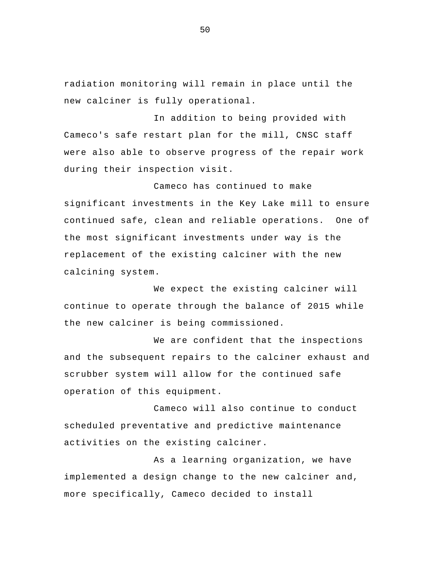radiation monitoring will remain in place until the new calciner is fully operational.

In addition to being provided with Cameco's safe restart plan for the mill, CNSC staff were also able to observe progress of the repair work during their inspection visit.

 Cameco has continued to make significant investments in the Key Lake mill to ensure continued safe, clean and reliable operations. One of the most significant investments under way is the replacement of the existing calciner with the new calcining system.

We expect the existing calciner will continue to operate through the balance of 2015 while the new calciner is being commissioned.

We are confident that the inspections and the subsequent repairs to the calciner exhaust and scrubber system will allow for the continued safe operation of this equipment.

Cameco will also continue to conduct scheduled preventative and predictive maintenance activities on the existing calciner.

As a learning organization, we have implemented a design change to the new calciner and, more specifically, Cameco decided to install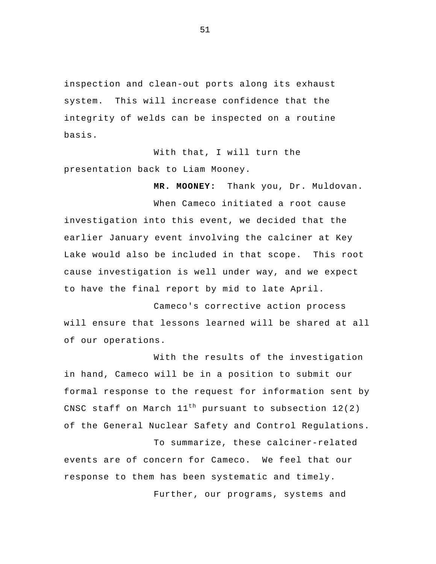inspection and clean-out ports along its exhaust system. This will increase confidence that the integrity of welds can be inspected on a routine basis.

With that, I will turn the presentation back to Liam Mooney.

**MR. MOONEY:** Thank you, Dr. Muldovan.

When Cameco initiated a root cause investigation into this event, we decided that the earlier January event involving the calciner at Key Lake would also be included in that scope. This root cause investigation is well under way, and we expect to have the final report by mid to late April.

 Cameco's corrective action process will ensure that lessons learned will be shared at all of our operations.

With the results of the investigation in hand, Cameco will be in a position to submit our formal response to the request for information sent by CNSC staff on March  $11^{th}$  pursuant to subsection  $12(2)$ of the General Nuclear Safety and Control Regulations.

To summarize, these calciner-related events are of concern for Cameco. We feel that our response to them has been systematic and timely.

Further, our programs, systems and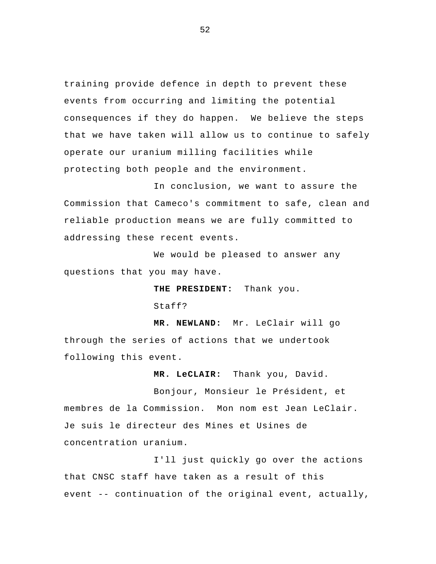training provide defence in depth to prevent these events from occurring and limiting the potential consequences if they do happen. We believe the steps that we have taken will allow us to continue to safely operate our uranium milling facilities while protecting both people and the environment.

 In conclusion, we want to assure the Commission that Cameco's commitment to safe, clean and reliable production means we are fully committed to addressing these recent events.

We would be pleased to answer any questions that you may have.

**THE PRESIDENT:** Thank you.

Staff?

**MR. NEWLAND:** Mr. LeClair will go through the series of actions that we undertook following this event.

**MR. LeCLAIR:** Thank you, David.

 Bonjour, Monsieur le Président, et membres de la Commission. Mon nom est Jean LeClair. Je suis le directeur des Mines et Usines de concentration uranium.

I'll just quickly go over the actions that CNSC staff have taken as a result of this event -- continuation of the original event, actually,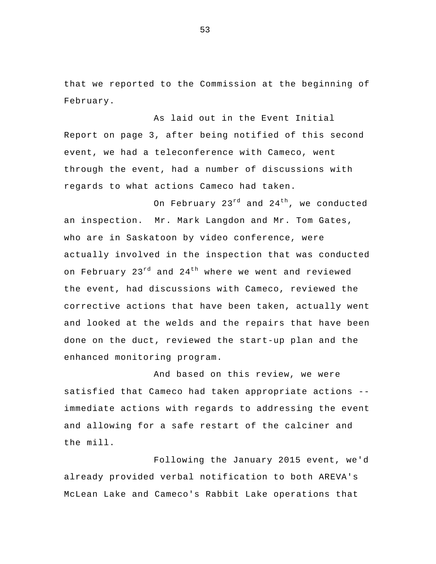that we reported to the Commission at the beginning of February.

As laid out in the Event Initial Report on page 3, after being notified of this second event, we had a teleconference with Cameco, went through the event, had a number of discussions with regards to what actions Cameco had taken.

On February  $23^{rd}$  and  $24^{th}$ , we conducted an inspection. Mr. Mark Langdon and Mr. Tom Gates, who are in Saskatoon by video conference, were actually involved in the inspection that was conducted on February  $23^{rd}$  and  $24^{th}$  where we went and reviewed the event, had discussions with Cameco, reviewed the corrective actions that have been taken, actually went and looked at the welds and the repairs that have been done on the duct, reviewed the start-up plan and the enhanced monitoring program.

And based on this review, we were satisfied that Cameco had taken appropriate actions - immediate actions with regards to addressing the event and allowing for a safe restart of the calciner and the mill.

 Following the January 2015 event, we'd already provided verbal notification to both AREVA's McLean Lake and Cameco's Rabbit Lake operations that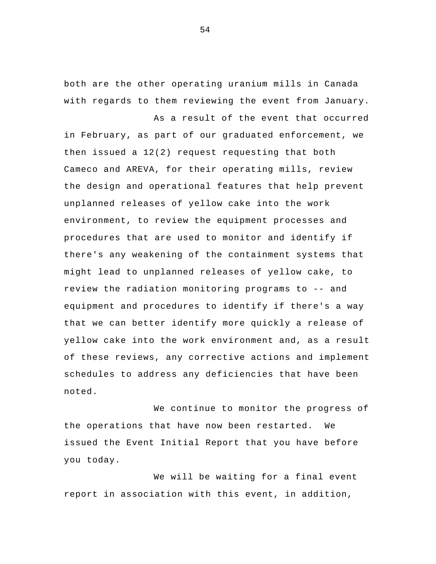both are the other operating uranium mills in Canada with regards to them reviewing the event from January.

As a result of the event that occurred in February, as part of our graduated enforcement, we then issued a 12(2) request requesting that both Cameco and AREVA, for their operating mills, review the design and operational features that help prevent unplanned releases of yellow cake into the work environment, to review the equipment processes and procedures that are used to monitor and identify if there's any weakening of the containment systems that might lead to unplanned releases of yellow cake, to review the radiation monitoring programs to -- and equipment and procedures to identify if there's a way that we can better identify more quickly a release of yellow cake into the work environment and, as a result of these reviews, any corrective actions and implement schedules to address any deficiencies that have been noted.

We continue to monitor the progress of the operations that have now been restarted. We issued the Event Initial Report that you have before you today.

We will be waiting for a final event report in association with this event, in addition,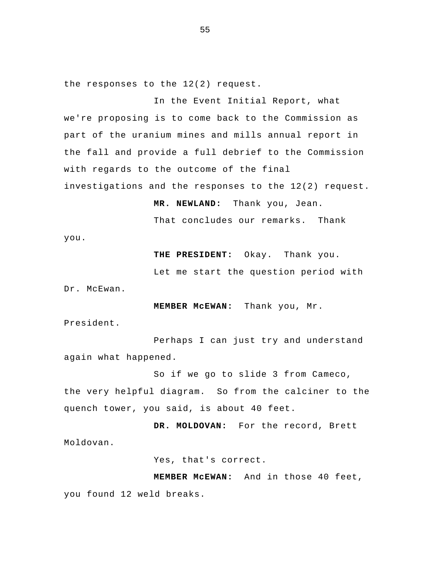the responses to the 12(2) request.

In the Event Initial Report, what we're proposing is to come back to the Commission as part of the uranium mines and mills annual report in the fall and provide a full debrief to the Commission with regards to the outcome of the final investigations and the responses to the 12(2) request.

**MR. NEWLAND:** Thank you, Jean.

That concludes our remarks. Thank

you.

**THE PRESIDENT:** Okay. Thank you.

Let me start the question period with

Dr. McEwan.

**MEMBER McEWAN:** Thank you, Mr.

President.

 Perhaps I can just try and understand again what happened.

So if we go to slide 3 from Cameco, the very helpful diagram. So from the calciner to the quench tower, you said, is about 40 feet.

**DR. MOLDOVAN:** For the record, Brett Moldovan.

Yes, that's correct.

**MEMBER McEWAN:** And in those 40 feet, you found 12 weld breaks.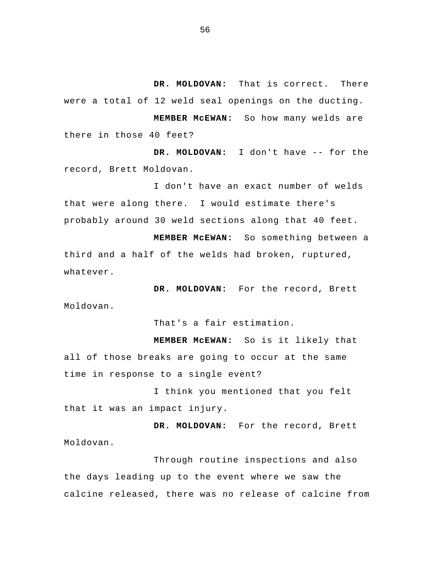**DR. MOLDOVAN:** That is correct. There were a total of 12 weld seal openings on the ducting.

**MEMBER McEWAN:** So how many welds are there in those 40 feet?

**DR. MOLDOVAN:** I don't have -- for the record, Brett Moldovan.

I don't have an exact number of welds that were along there. I would estimate there's probably around 30 weld sections along that 40 feet.

**MEMBER McEWAN:** So something between a third and a half of the welds had broken, ruptured, whatever.

**DR. MOLDOVAN:** For the record, Brett Moldovan.

That's a fair estimation.

**MEMBER McEWAN:** So is it likely that all of those breaks are going to occur at the same time in response to a single event?

I think you mentioned that you felt that it was an impact injury.

**DR. MOLDOVAN:** For the record, Brett Moldovan.

Through routine inspections and also the days leading up to the event where we saw the calcine released, there was no release of calcine from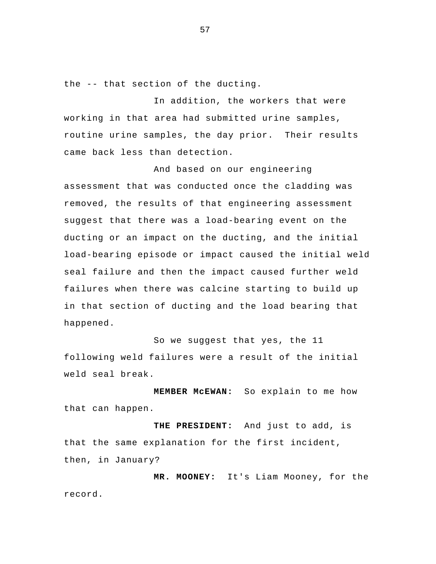the -- that section of the ducting.

 In addition, the workers that were working in that area had submitted urine samples, routine urine samples, the day prior. Their results came back less than detection.

 And based on our engineering assessment that was conducted once the cladding was removed, the results of that engineering assessment suggest that there was a load-bearing event on the ducting or an impact on the ducting, and the initial load-bearing episode or impact caused the initial weld seal failure and then the impact caused further weld failures when there was calcine starting to build up in that section of ducting and the load bearing that happened.

 So we suggest that yes, the 11 following weld failures were a result of the initial weld seal break.

**MEMBER McEWAN:** So explain to me how that can happen.

**THE PRESIDENT:** And just to add, is that the same explanation for the first incident, then, in January?

**MR. MOONEY:** It's Liam Mooney, for the record.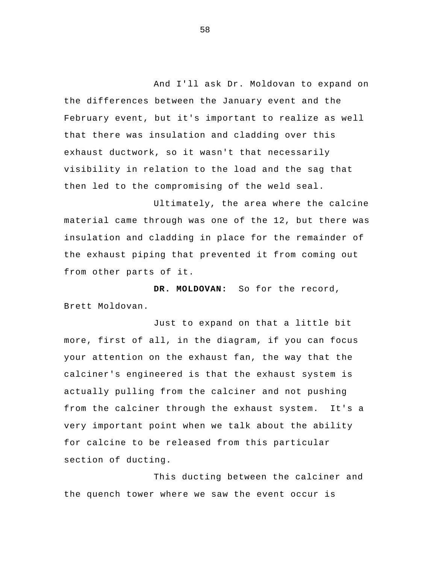And I'll ask Dr. Moldovan to expand on the differences between the January event and the February event, but it's important to realize as well that there was insulation and cladding over this exhaust ductwork, so it wasn't that necessarily visibility in relation to the load and the sag that then led to the compromising of the weld seal.

 Ultimately, the area where the calcine material came through was one of the 12, but there was insulation and cladding in place for the remainder of the exhaust piping that prevented it from coming out from other parts of it.

**DR. MOLDOVAN:** So for the record, Brett Moldovan.

 Just to expand on that a little bit more, first of all, in the diagram, if you can focus your attention on the exhaust fan, the way that the calciner's engineered is that the exhaust system is actually pulling from the calciner and not pushing from the calciner through the exhaust system. It's a very important point when we talk about the ability for calcine to be released from this particular section of ducting.

 This ducting between the calciner and the quench tower where we saw the event occur is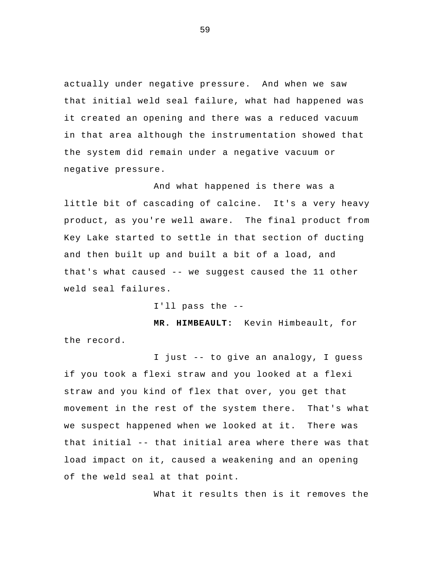actually under negative pressure. And when we saw that initial weld seal failure, what had happened was it created an opening and there was a reduced vacuum in that area although the instrumentation showed that the system did remain under a negative vacuum or negative pressure.

And what happened is there was a little bit of cascading of calcine. It's a very heavy product, as you're well aware. The final product from Key Lake started to settle in that section of ducting and then built up and built a bit of a load, and that's what caused -- we suggest caused the 11 other weld seal failures.

I'll pass the --

**MR. HIMBEAULT:** Kevin Himbeault, for the record.

I just -- to give an analogy, I guess if you took a flexi straw and you looked at a flexi straw and you kind of flex that over, you get that movement in the rest of the system there. That's what we suspect happened when we looked at it. There was that initial -- that initial area where there was that load impact on it, caused a weakening and an opening of the weld seal at that point.

What it results then is it removes the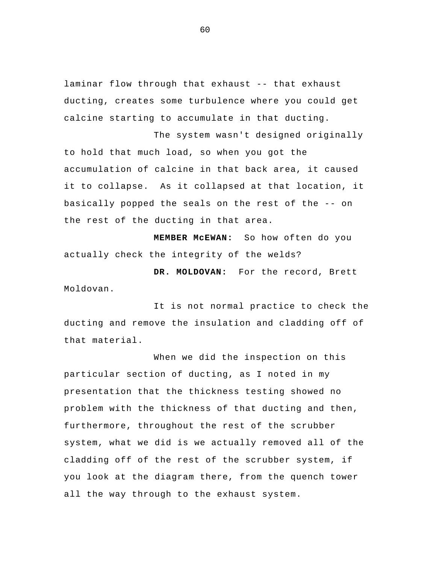laminar flow through that exhaust -- that exhaust ducting, creates some turbulence where you could get calcine starting to accumulate in that ducting.

The system wasn't designed originally to hold that much load, so when you got the accumulation of calcine in that back area, it caused it to collapse. As it collapsed at that location, it basically popped the seals on the rest of the -- on the rest of the ducting in that area.

**MEMBER McEWAN:** So how often do you actually check the integrity of the welds?

**DR. MOLDOVAN:** For the record, Brett Moldovan.

It is not normal practice to check the ducting and remove the insulation and cladding off of that material.

When we did the inspection on this particular section of ducting, as I noted in my presentation that the thickness testing showed no problem with the thickness of that ducting and then, furthermore, throughout the rest of the scrubber system, what we did is we actually removed all of the cladding off of the rest of the scrubber system, if you look at the diagram there, from the quench tower all the way through to the exhaust system.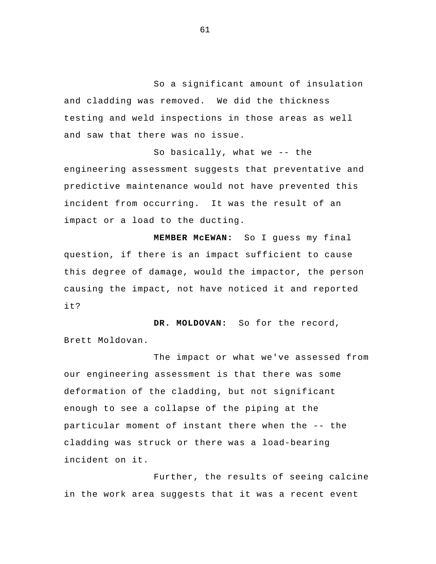So a significant amount of insulation and cladding was removed. We did the thickness testing and weld inspections in those areas as well and saw that there was no issue.

So basically, what we -- the engineering assessment suggests that preventative and predictive maintenance would not have prevented this incident from occurring. It was the result of an impact or a load to the ducting.

**MEMBER McEWAN:** So I guess my final question, if there is an impact sufficient to cause this degree of damage, would the impactor, the person causing the impact, not have noticed it and reported it?

**DR. MOLDOVAN:** So for the record, Brett Moldovan.

The impact or what we've assessed from our engineering assessment is that there was some deformation of the cladding, but not significant enough to see a collapse of the piping at the particular moment of instant there when the -- the cladding was struck or there was a load-bearing incident on it.

Further, the results of seeing calcine in the work area suggests that it was a recent event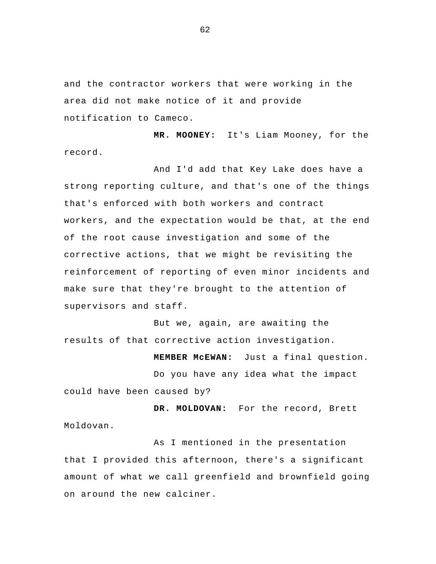and the contractor workers that were working in the area did not make notice of it and provide notification to Cameco.

**MR. MOONEY:** It's Liam Mooney, for the record.

And I'd add that Key Lake does have a strong reporting culture, and that's one of the things that's enforced with both workers and contract workers, and the expectation would be that, at the end of the root cause investigation and some of the corrective actions, that we might be revisiting the reinforcement of reporting of even minor incidents and make sure that they're brought to the attention of supervisors and staff.

But we, again, are awaiting the results of that corrective action investigation.

**MEMBER McEWAN:** Just a final question. Do you have any idea what the impact could have been caused by?

**DR. MOLDOVAN:** For the record, Brett Moldovan.

As I mentioned in the presentation that I provided this afternoon, there's a significant amount of what we call greenfield and brownfield going on around the new calciner.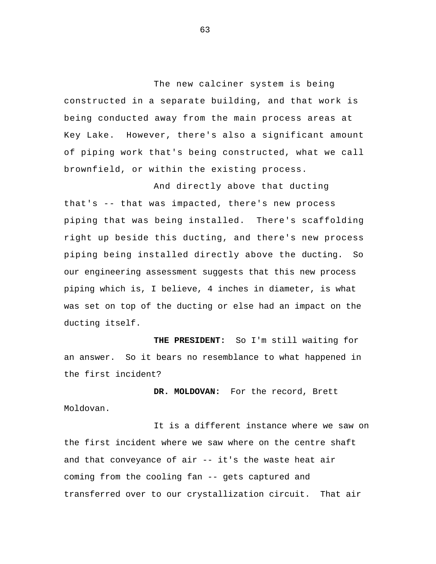The new calciner system is being constructed in a separate building, and that work is being conducted away from the main process areas at Key Lake. However, there's also a significant amount of piping work that's being constructed, what we call brownfield, or within the existing process.

And directly above that ducting that's -- that was impacted, there's new process piping that was being installed. There's scaffolding right up beside this ducting, and there's new process piping being installed directly above the ducting. So our engineering assessment suggests that this new process piping which is, I believe, 4 inches in diameter, is what was set on top of the ducting or else had an impact on the ducting itself.

**THE PRESIDENT:** So I'm still waiting for an answer. So it bears no resemblance to what happened in the first incident?

**DR. MOLDOVAN:** For the record, Brett Moldovan.

It is a different instance where we saw on the first incident where we saw where on the centre shaft and that conveyance of air -- it's the waste heat air coming from the cooling fan -- gets captured and transferred over to our crystallization circuit. That air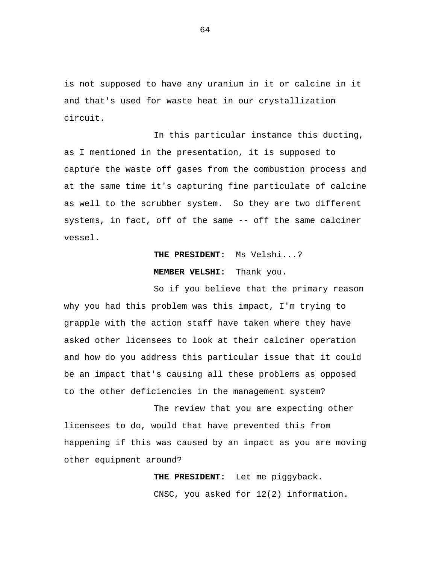is not supposed to have any uranium in it or calcine in it and that's used for waste heat in our crystallization circuit.

In this particular instance this ducting, as I mentioned in the presentation, it is supposed to capture the waste off gases from the combustion process and at the same time it's capturing fine particulate of calcine as well to the scrubber system. So they are two different systems, in fact, off of the same -- off the same calciner vessel.

## **THE PRESIDENT:** Ms Velshi...?

## **MEMBER VELSHI:** Thank you.

So if you believe that the primary reason why you had this problem was this impact, I'm trying to grapple with the action staff have taken where they have asked other licensees to look at their calciner operation and how do you address this particular issue that it could be an impact that's causing all these problems as opposed to the other deficiencies in the management system?

The review that you are expecting other licensees to do, would that have prevented this from happening if this was caused by an impact as you are moving other equipment around?

> **THE PRESIDENT:** Let me piggyback. CNSC, you asked for 12(2) information.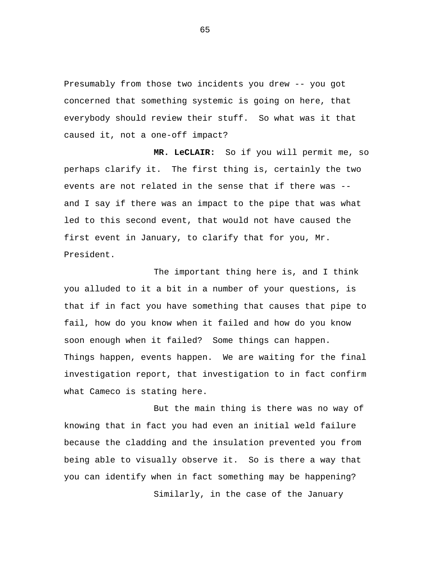Presumably from those two incidents you drew -- you got concerned that something systemic is going on here, that everybody should review their stuff. So what was it that caused it, not a one-off impact?

**MR. LeCLAIR:** So if you will permit me, so perhaps clarify it. The first thing is, certainly the two events are not related in the sense that if there was - and I say if there was an impact to the pipe that was what led to this second event, that would not have caused the first event in January, to clarify that for you, Mr. President.

The important thing here is, and I think you alluded to it a bit in a number of your questions, is that if in fact you have something that causes that pipe to fail, how do you know when it failed and how do you know soon enough when it failed? Some things can happen. Things happen, events happen. We are waiting for the final investigation report, that investigation to in fact confirm what Cameco is stating here.

But the main thing is there was no way of knowing that in fact you had even an initial weld failure because the cladding and the insulation prevented you from being able to visually observe it. So is there a way that you can identify when in fact something may be happening? Similarly, in the case of the January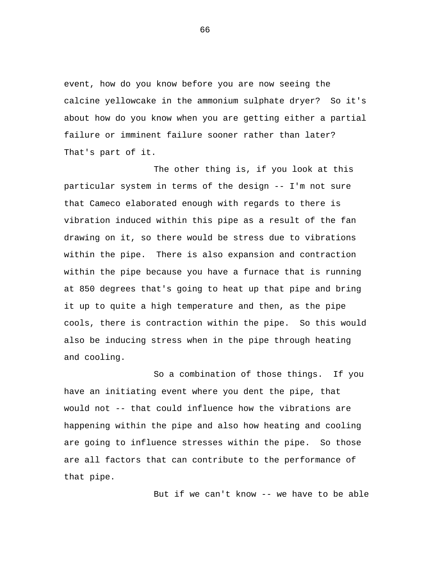event, how do you know before you are now seeing the calcine yellowcake in the ammonium sulphate dryer? So it's about how do you know when you are getting either a partial failure or imminent failure sooner rather than later? That's part of it.

The other thing is, if you look at this particular system in terms of the design -- I'm not sure that Cameco elaborated enough with regards to there is vibration induced within this pipe as a result of the fan drawing on it, so there would be stress due to vibrations within the pipe. There is also expansion and contraction within the pipe because you have a furnace that is running at 850 degrees that's going to heat up that pipe and bring it up to quite a high temperature and then, as the pipe cools, there is contraction within the pipe. So this would also be inducing stress when in the pipe through heating and cooling.

So a combination of those things. If you have an initiating event where you dent the pipe, that would not -- that could influence how the vibrations are happening within the pipe and also how heating and cooling are going to influence stresses within the pipe. So those are all factors that can contribute to the performance of that pipe.

But if we can't know -- we have to be able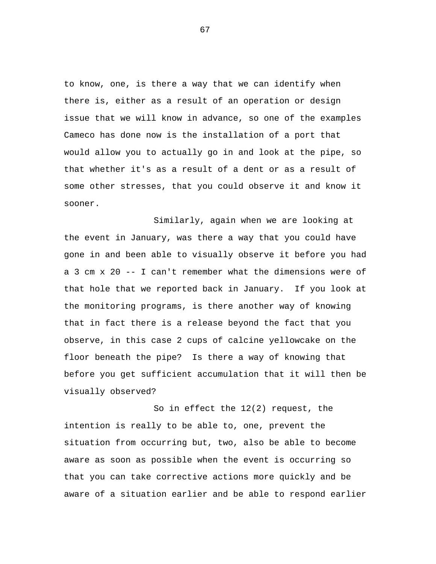to know, one, is there a way that we can identify when there is, either as a result of an operation or design issue that we will know in advance, so one of the examples Cameco has done now is the installation of a port that would allow you to actually go in and look at the pipe, so that whether it's as a result of a dent or as a result of some other stresses, that you could observe it and know it sooner.

Similarly, again when we are looking at the event in January, was there a way that you could have gone in and been able to visually observe it before you had a 3 cm x 20 -- I can't remember what the dimensions were of that hole that we reported back in January. If you look at the monitoring programs, is there another way of knowing that in fact there is a release beyond the fact that you observe, in this case 2 cups of calcine yellowcake on the floor beneath the pipe? Is there a way of knowing that before you get sufficient accumulation that it will then be visually observed?

So in effect the 12(2) request, the intention is really to be able to, one, prevent the situation from occurring but, two, also be able to become aware as soon as possible when the event is occurring so that you can take corrective actions more quickly and be aware of a situation earlier and be able to respond earlier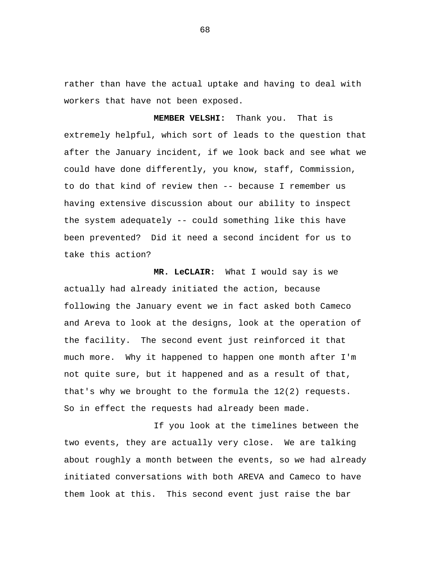rather than have the actual uptake and having to deal with workers that have not been exposed.

**MEMBER VELSHI:** Thank you. That is extremely helpful, which sort of leads to the question that after the January incident, if we look back and see what we could have done differently, you know, staff, Commission, to do that kind of review then -- because I remember us having extensive discussion about our ability to inspect the system adequately -- could something like this have been prevented? Did it need a second incident for us to take this action?

**MR. LeCLAIR:** What I would say is we actually had already initiated the action, because following the January event we in fact asked both Cameco and Areva to look at the designs, look at the operation of the facility. The second event just reinforced it that much more. Why it happened to happen one month after I'm not quite sure, but it happened and as a result of that, that's why we brought to the formula the 12(2) requests. So in effect the requests had already been made.

If you look at the timelines between the two events, they are actually very close. We are talking about roughly a month between the events, so we had already initiated conversations with both AREVA and Cameco to have them look at this. This second event just raise the bar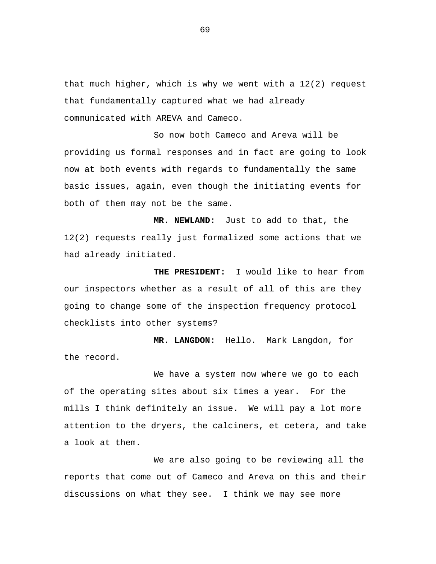that much higher, which is why we went with a 12(2) request that fundamentally captured what we had already communicated with AREVA and Cameco.

So now both Cameco and Areva will be providing us formal responses and in fact are going to look now at both events with regards to fundamentally the same basic issues, again, even though the initiating events for both of them may not be the same.

**MR. NEWLAND:** Just to add to that, the 12(2) requests really just formalized some actions that we had already initiated.

**THE PRESIDENT:** I would like to hear from our inspectors whether as a result of all of this are they going to change some of the inspection frequency protocol checklists into other systems?

**MR. LANGDON:** Hello. Mark Langdon, for the record.

We have a system now where we go to each of the operating sites about six times a year. For the mills I think definitely an issue. We will pay a lot more attention to the dryers, the calciners, et cetera, and take a look at them.

We are also going to be reviewing all the reports that come out of Cameco and Areva on this and their discussions on what they see. I think we may see more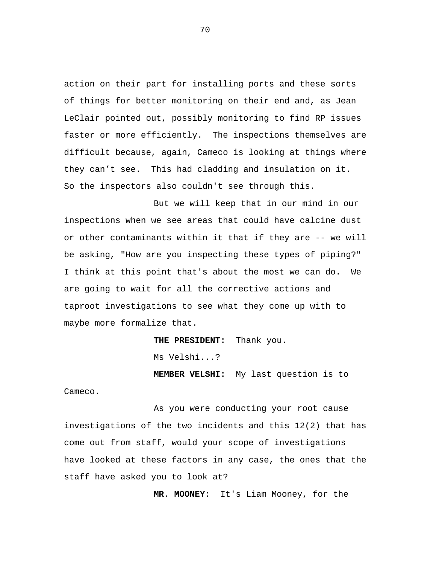action on their part for installing ports and these sorts of things for better monitoring on their end and, as Jean LeClair pointed out, possibly monitoring to find RP issues faster or more efficiently. The inspections themselves are difficult because, again, Cameco is looking at things where they can't see. This had cladding and insulation on it. So the inspectors also couldn't see through this.

But we will keep that in our mind in our inspections when we see areas that could have calcine dust or other contaminants within it that if they are -- we will be asking, "How are you inspecting these types of piping?" I think at this point that's about the most we can do. We are going to wait for all the corrective actions and taproot investigations to see what they come up with to maybe more formalize that.

**THE PRESIDENT:** Thank you.

Ms Velshi...?

**MEMBER VELSHI:** My last question is to

Cameco.

As you were conducting your root cause investigations of the two incidents and this 12(2) that has come out from staff, would your scope of investigations have looked at these factors in any case, the ones that the staff have asked you to look at?

**MR. MOONEY:** It's Liam Mooney, for the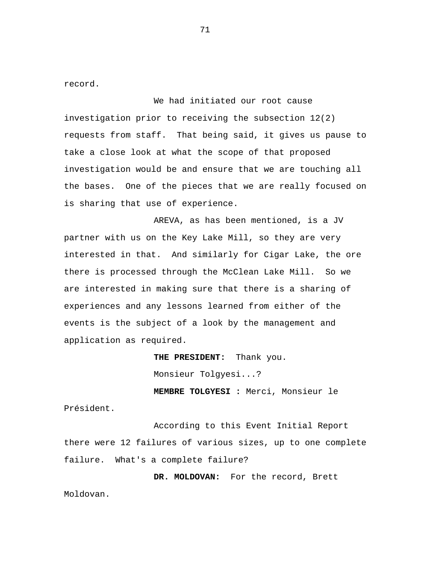record.

We had initiated our root cause investigation prior to receiving the subsection 12(2) requests from staff. That being said, it gives us pause to take a close look at what the scope of that proposed investigation would be and ensure that we are touching all the bases. One of the pieces that we are really focused on is sharing that use of experience.

AREVA, as has been mentioned, is a JV partner with us on the Key Lake Mill, so they are very interested in that. And similarly for Cigar Lake, the ore there is processed through the McClean Lake Mill. So we are interested in making sure that there is a sharing of experiences and any lessons learned from either of the events is the subject of a look by the management and application as required.

> **THE PRESIDENT:** Thank you. Monsieur Tolgyesi...? **MEMBRE TOLGYESI :** Merci, Monsieur le

Président.

According to this Event Initial Report there were 12 failures of various sizes, up to one complete failure. What's a complete failure?

**DR. MOLDOVAN:** For the record, Brett Moldovan.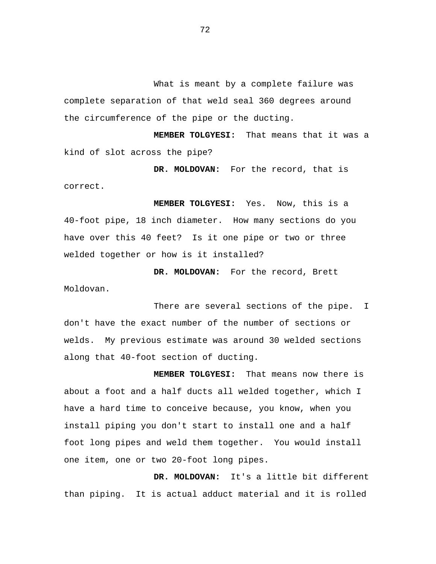What is meant by a complete failure was complete separation of that weld seal 360 degrees around the circumference of the pipe or the ducting.

**MEMBER TOLGYESI:** That means that it was a kind of slot across the pipe?

**DR. MOLDOVAN:** For the record, that is correct.

**MEMBER TOLGYESI:** Yes. Now, this is a 40-foot pipe, 18 inch diameter. How many sections do you have over this 40 feet? Is it one pipe or two or three welded together or how is it installed?

**DR. MOLDOVAN:** For the record, Brett Moldovan.

There are several sections of the pipe. I don't have the exact number of the number of sections or welds. My previous estimate was around 30 welded sections along that 40-foot section of ducting.

**MEMBER TOLGYESI:** That means now there is about a foot and a half ducts all welded together, which I have a hard time to conceive because, you know, when you install piping you don't start to install one and a half foot long pipes and weld them together. You would install one item, one or two 20-foot long pipes.

**DR. MOLDOVAN:** It's a little bit different than piping. It is actual adduct material and it is rolled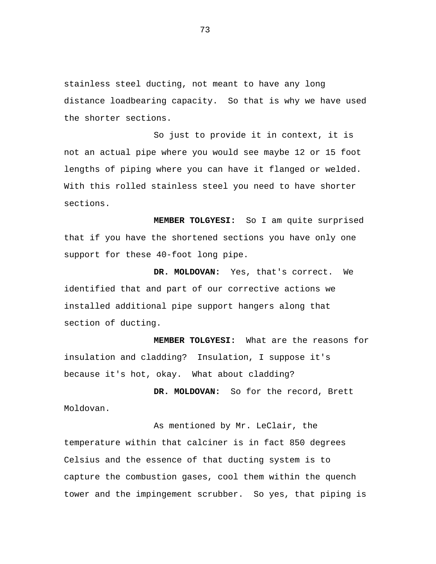stainless steel ducting, not meant to have any long distance loadbearing capacity. So that is why we have used the shorter sections.

So just to provide it in context, it is not an actual pipe where you would see maybe 12 or 15 foot lengths of piping where you can have it flanged or welded. With this rolled stainless steel you need to have shorter sections.

**MEMBER TOLGYESI:** So I am quite surprised that if you have the shortened sections you have only one support for these 40-foot long pipe.

**DR. MOLDOVAN:** Yes, that's correct. We identified that and part of our corrective actions we installed additional pipe support hangers along that section of ducting.

**MEMBER TOLGYESI:** What are the reasons for insulation and cladding? Insulation, I suppose it's because it's hot, okay. What about cladding?

**DR. MOLDOVAN:** So for the record, Brett Moldovan.

As mentioned by Mr. LeClair, the temperature within that calciner is in fact 850 degrees Celsius and the essence of that ducting system is to capture the combustion gases, cool them within the quench tower and the impingement scrubber. So yes, that piping is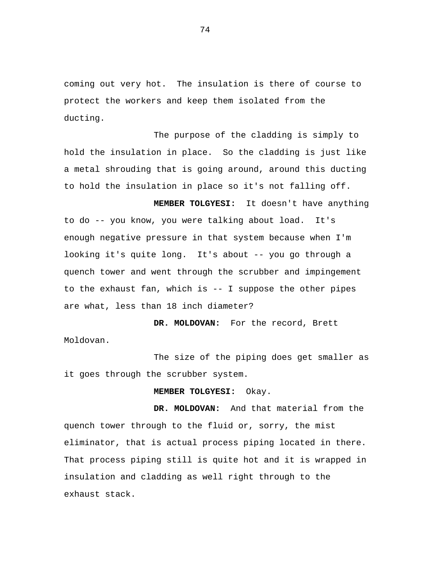coming out very hot. The insulation is there of course to protect the workers and keep them isolated from the ducting.

The purpose of the cladding is simply to hold the insulation in place. So the cladding is just like a metal shrouding that is going around, around this ducting to hold the insulation in place so it's not falling off.

**MEMBER TOLGYESI:** It doesn't have anything to do -- you know, you were talking about load. It's enough negative pressure in that system because when I'm looking it's quite long. It's about -- you go through a quench tower and went through the scrubber and impingement to the exhaust fan, which is -- I suppose the other pipes are what, less than 18 inch diameter?

**DR. MOLDOVAN:** For the record, Brett Moldovan.

The size of the piping does get smaller as it goes through the scrubber system.

**MEMBER TOLGYESI:** Okay.

**DR. MOLDOVAN:** And that material from the quench tower through to the fluid or, sorry, the mist eliminator, that is actual process piping located in there. That process piping still is quite hot and it is wrapped in insulation and cladding as well right through to the exhaust stack.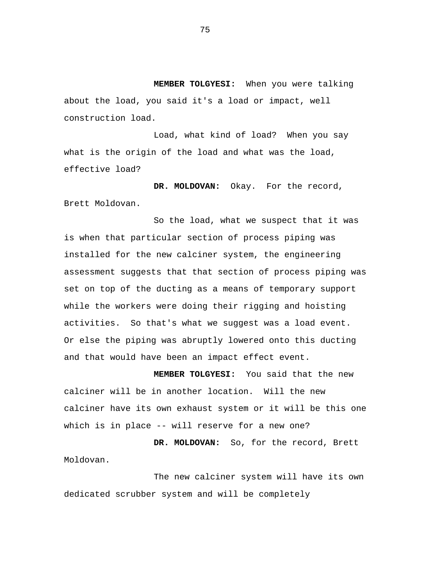**MEMBER TOLGYESI:** When you were talking about the load, you said it's a load or impact, well construction load.

Load, what kind of load? When you say what is the origin of the load and what was the load, effective load?

**DR. MOLDOVAN:** Okay. For the record, Brett Moldovan.

So the load, what we suspect that it was is when that particular section of process piping was installed for the new calciner system, the engineering assessment suggests that that section of process piping was set on top of the ducting as a means of temporary support while the workers were doing their rigging and hoisting activities. So that's what we suggest was a load event. Or else the piping was abruptly lowered onto this ducting and that would have been an impact effect event.

**MEMBER TOLGYESI:** You said that the new calciner will be in another location. Will the new calciner have its own exhaust system or it will be this one which is in place -- will reserve for a new one?

**DR. MOLDOVAN:** So, for the record, Brett Moldovan.

The new calciner system will have its own dedicated scrubber system and will be completely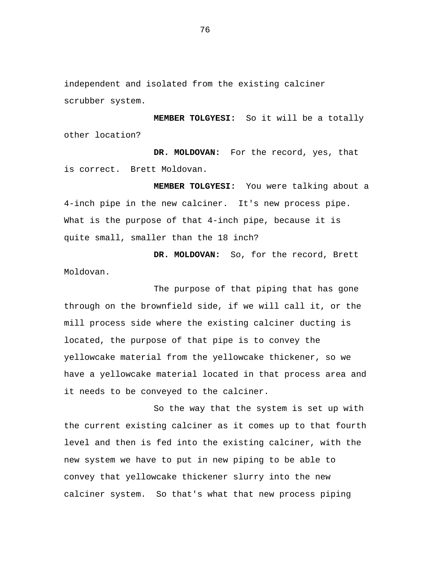independent and isolated from the existing calciner scrubber system.

**MEMBER TOLGYESI:** So it will be a totally other location?

**DR. MOLDOVAN:** For the record, yes, that is correct. Brett Moldovan.

**MEMBER TOLGYESI:** You were talking about a 4-inch pipe in the new calciner. It's new process pipe. What is the purpose of that 4-inch pipe, because it is quite small, smaller than the 18 inch?

**DR. MOLDOVAN:** So, for the record, Brett Moldovan.

The purpose of that piping that has gone through on the brownfield side, if we will call it, or the mill process side where the existing calciner ducting is located, the purpose of that pipe is to convey the yellowcake material from the yellowcake thickener, so we have a yellowcake material located in that process area and it needs to be conveyed to the calciner.

So the way that the system is set up with the current existing calciner as it comes up to that fourth level and then is fed into the existing calciner, with the new system we have to put in new piping to be able to convey that yellowcake thickener slurry into the new calciner system. So that's what that new process piping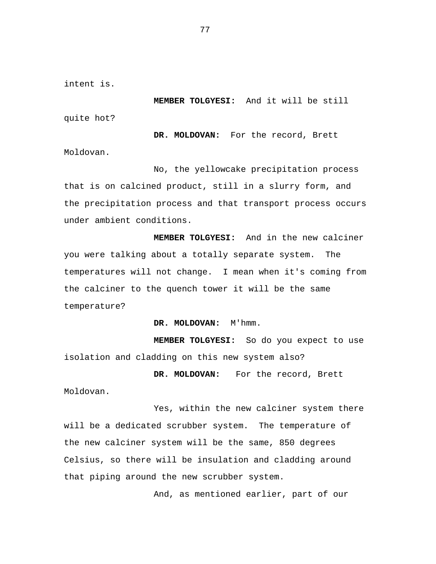intent is.

**MEMBER TOLGYESI:** And it will be still

quite hot?

**DR. MOLDOVAN:** For the record, Brett Moldovan.

No, the yellowcake precipitation process that is on calcined product, still in a slurry form, and the precipitation process and that transport process occurs under ambient conditions.

**MEMBER TOLGYESI:** And in the new calciner you were talking about a totally separate system. The temperatures will not change. I mean when it's coming from the calciner to the quench tower it will be the same temperature?

**DR. MOLDOVAN:** M'hmm.

**MEMBER TOLGYESI:** So do you expect to use isolation and cladding on this new system also?

**DR. MOLDOVAN:** For the record, Brett

Moldovan.

Yes, within the new calciner system there will be a dedicated scrubber system. The temperature of the new calciner system will be the same, 850 degrees Celsius, so there will be insulation and cladding around that piping around the new scrubber system.

And, as mentioned earlier, part of our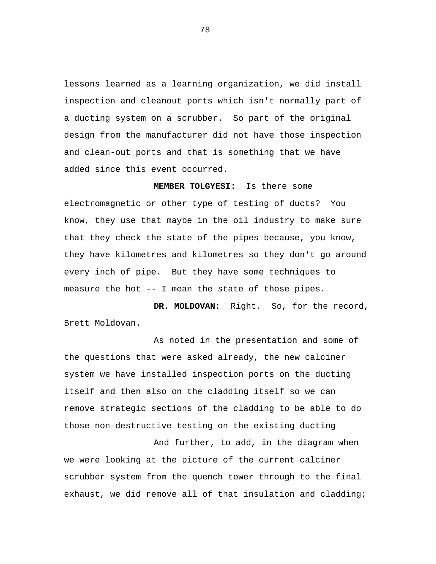lessons learned as a learning organization, we did install inspection and cleanout ports which isn't normally part of a ducting system on a scrubber. So part of the original design from the manufacturer did not have those inspection and clean-out ports and that is something that we have added since this event occurred.

**MEMBER TOLGYESI:** Is there some electromagnetic or other type of testing of ducts? You know, they use that maybe in the oil industry to make sure that they check the state of the pipes because, you know, they have kilometres and kilometres so they don't go around every inch of pipe. But they have some techniques to measure the hot -- I mean the state of those pipes.

**DR. MOLDOVAN:** Right. So, for the record, Brett Moldovan.

As noted in the presentation and some of the questions that were asked already, the new calciner system we have installed inspection ports on the ducting itself and then also on the cladding itself so we can remove strategic sections of the cladding to be able to do those non-destructive testing on the existing ducting

And further, to add, in the diagram when we were looking at the picture of the current calciner scrubber system from the quench tower through to the final exhaust, we did remove all of that insulation and cladding;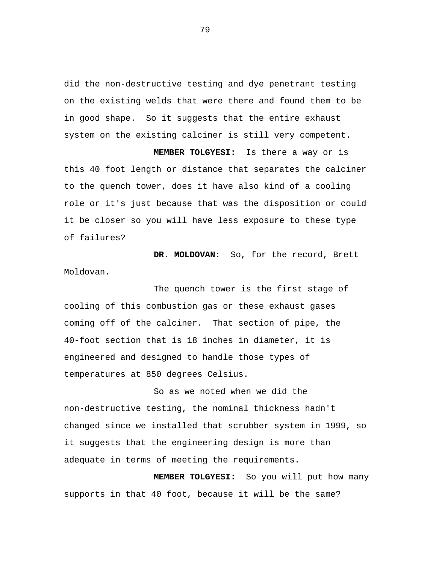did the non-destructive testing and dye penetrant testing on the existing welds that were there and found them to be in good shape. So it suggests that the entire exhaust system on the existing calciner is still very competent.

**MEMBER TOLGYESI:** Is there a way or is this 40 foot length or distance that separates the calciner to the quench tower, does it have also kind of a cooling role or it's just because that was the disposition or could it be closer so you will have less exposure to these type of failures?

**DR. MOLDOVAN:** So, for the record, Brett Moldovan.

The quench tower is the first stage of cooling of this combustion gas or these exhaust gases coming off of the calciner. That section of pipe, the 40-foot section that is 18 inches in diameter, it is engineered and designed to handle those types of temperatures at 850 degrees Celsius.

So as we noted when we did the non-destructive testing, the nominal thickness hadn't changed since we installed that scrubber system in 1999, so it suggests that the engineering design is more than adequate in terms of meeting the requirements.

**MEMBER TOLGYESI:** So you will put how many supports in that 40 foot, because it will be the same?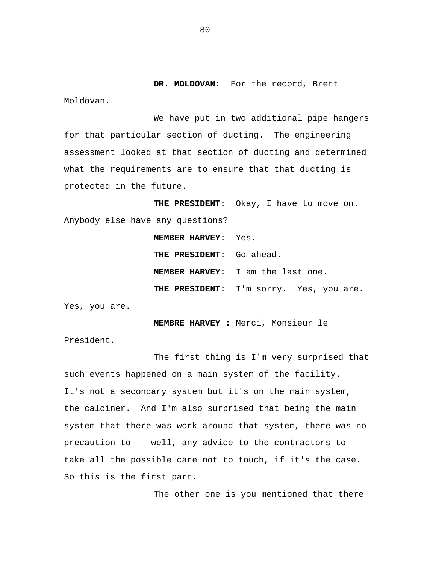**DR. MOLDOVAN:** For the record, Brett

Moldovan.

We have put in two additional pipe hangers for that particular section of ducting. The engineering assessment looked at that section of ducting and determined what the requirements are to ensure that that ducting is protected in the future.

**THE PRESIDENT:** Okay, I have to move on. Anybody else have any questions? **MEMBER HARVEY:** Yes.

> **THE PRESIDENT:** Go ahead. **MEMBER HARVEY:** I am the last one. **THE PRESIDENT:** I'm sorry. Yes, you are.

Yes, you are.

**MEMBRE HARVEY :** Merci, Monsieur le

Président.

The first thing is I'm very surprised that such events happened on a main system of the facility. It's not a secondary system but it's on the main system, the calciner. And I'm also surprised that being the main system that there was work around that system, there was no precaution to -- well, any advice to the contractors to take all the possible care not to touch, if it's the case. So this is the first part.

The other one is you mentioned that there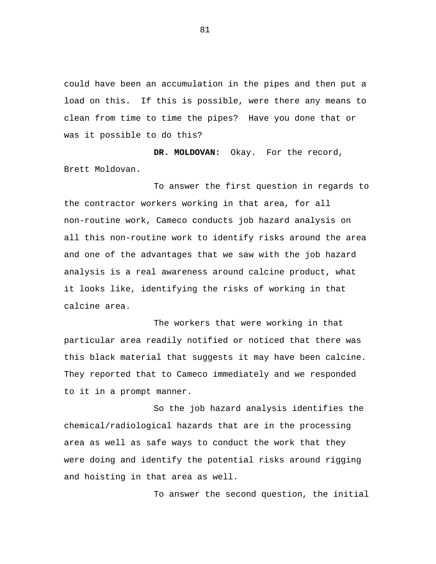could have been an accumulation in the pipes and then put a load on this. If this is possible, were there any means to clean from time to time the pipes? Have you done that or was it possible to do this?

**DR. MOLDOVAN:** Okay. For the record, Brett Moldovan.

To answer the first question in regards to the contractor workers working in that area, for all non-routine work, Cameco conducts job hazard analysis on all this non-routine work to identify risks around the area and one of the advantages that we saw with the job hazard analysis is a real awareness around calcine product, what it looks like, identifying the risks of working in that calcine area.

The workers that were working in that particular area readily notified or noticed that there was this black material that suggests it may have been calcine. They reported that to Cameco immediately and we responded to it in a prompt manner.

So the job hazard analysis identifies the chemical/radiological hazards that are in the processing area as well as safe ways to conduct the work that they were doing and identify the potential risks around rigging and hoisting in that area as well.

To answer the second question, the initial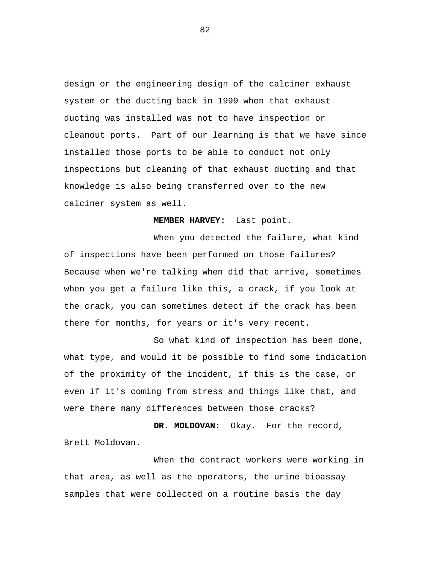design or the engineering design of the calciner exhaust system or the ducting back in 1999 when that exhaust ducting was installed was not to have inspection or cleanout ports. Part of our learning is that we have since installed those ports to be able to conduct not only inspections but cleaning of that exhaust ducting and that knowledge is also being transferred over to the new calciner system as well.

## **MEMBER HARVEY:** Last point.

When you detected the failure, what kind of inspections have been performed on those failures? Because when we're talking when did that arrive, sometimes when you get a failure like this, a crack, if you look at the crack, you can sometimes detect if the crack has been there for months, for years or it's very recent.

So what kind of inspection has been done, what type, and would it be possible to find some indication of the proximity of the incident, if this is the case, or even if it's coming from stress and things like that, and were there many differences between those cracks?

**DR. MOLDOVAN:** Okay. For the record, Brett Moldovan.

When the contract workers were working in that area, as well as the operators, the urine bioassay samples that were collected on a routine basis the day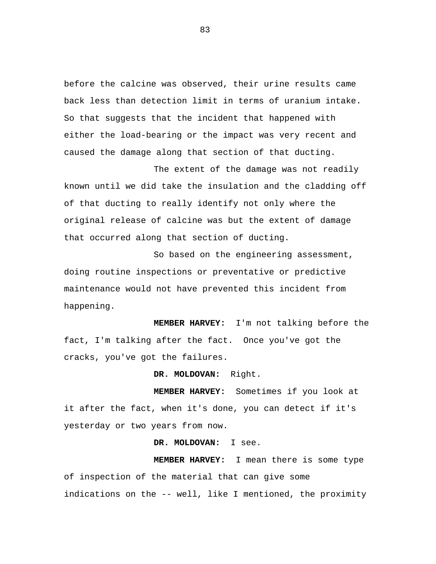before the calcine was observed, their urine results came back less than detection limit in terms of uranium intake. So that suggests that the incident that happened with either the load-bearing or the impact was very recent and caused the damage along that section of that ducting.

The extent of the damage was not readily known until we did take the insulation and the cladding off of that ducting to really identify not only where the original release of calcine was but the extent of damage that occurred along that section of ducting.

So based on the engineering assessment, doing routine inspections or preventative or predictive maintenance would not have prevented this incident from happening.

**MEMBER HARVEY:** I'm not talking before the fact, I'm talking after the fact. Once you've got the cracks, you've got the failures.

**DR. MOLDOVAN:** Right.

**MEMBER HARVEY:** Sometimes if you look at it after the fact, when it's done, you can detect if it's yesterday or two years from now.

**DR. MOLDOVAN:** I see.

**MEMBER HARVEY:** I mean there is some type of inspection of the material that can give some indications on the -- well, like I mentioned, the proximity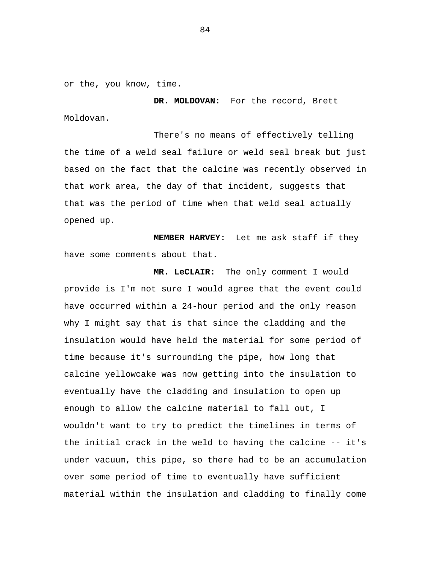or the, you know, time.

**DR. MOLDOVAN:** For the record, Brett Moldovan.

There's no means of effectively telling the time of a weld seal failure or weld seal break but just based on the fact that the calcine was recently observed in that work area, the day of that incident, suggests that that was the period of time when that weld seal actually opened up.

**MEMBER HARVEY:** Let me ask staff if they have some comments about that.

**MR. LeCLAIR:** The only comment I would provide is I'm not sure I would agree that the event could have occurred within a 24-hour period and the only reason why I might say that is that since the cladding and the insulation would have held the material for some period of time because it's surrounding the pipe, how long that calcine yellowcake was now getting into the insulation to eventually have the cladding and insulation to open up enough to allow the calcine material to fall out, I wouldn't want to try to predict the timelines in terms of the initial crack in the weld to having the calcine -- it's under vacuum, this pipe, so there had to be an accumulation over some period of time to eventually have sufficient material within the insulation and cladding to finally come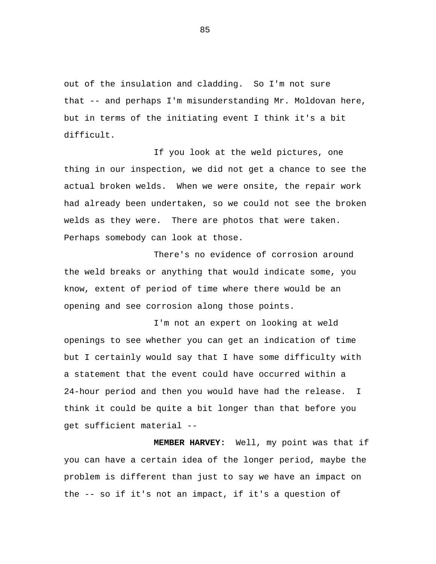out of the insulation and cladding. So I'm not sure that -- and perhaps I'm misunderstanding Mr. Moldovan here, but in terms of the initiating event I think it's a bit difficult.

If you look at the weld pictures, one thing in our inspection, we did not get a chance to see the actual broken welds. When we were onsite, the repair work had already been undertaken, so we could not see the broken welds as they were. There are photos that were taken. Perhaps somebody can look at those.

There's no evidence of corrosion around the weld breaks or anything that would indicate some, you know, extent of period of time where there would be an opening and see corrosion along those points.

I'm not an expert on looking at weld openings to see whether you can get an indication of time but I certainly would say that I have some difficulty with a statement that the event could have occurred within a 24-hour period and then you would have had the release. I think it could be quite a bit longer than that before you get sufficient material --

**MEMBER HARVEY:** Well, my point was that if you can have a certain idea of the longer period, maybe the problem is different than just to say we have an impact on the -- so if it's not an impact, if it's a question of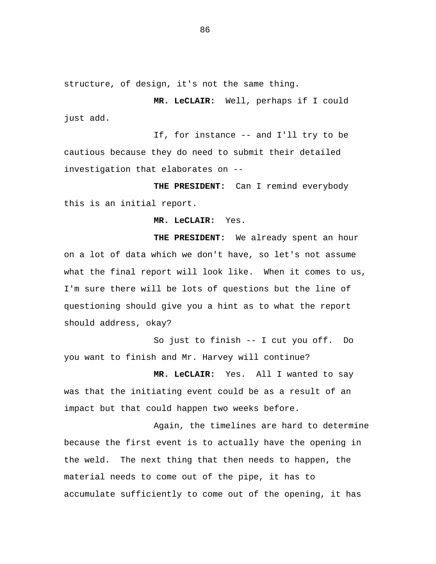structure, of design, it's not the same thing.

**MR. LeCLAIR:** Well, perhaps if I could just add.

If, for instance -- and I'll try to be cautious because they do need to submit their detailed investigation that elaborates on --

**THE PRESIDENT:** Can I remind everybody this is an initial report.

**MR. LeCLAIR:** Yes.

**THE PRESIDENT:** We already spent an hour on a lot of data which we don't have, so let's not assume what the final report will look like. When it comes to us, I'm sure there will be lots of questions but the line of questioning should give you a hint as to what the report should address, okay?

So just to finish -- I cut you off. Do you want to finish and Mr. Harvey will continue?

**MR. LeCLAIR:** Yes. All I wanted to say was that the initiating event could be as a result of an impact but that could happen two weeks before.

Again, the timelines are hard to determine because the first event is to actually have the opening in the weld. The next thing that then needs to happen, the material needs to come out of the pipe, it has to accumulate sufficiently to come out of the opening, it has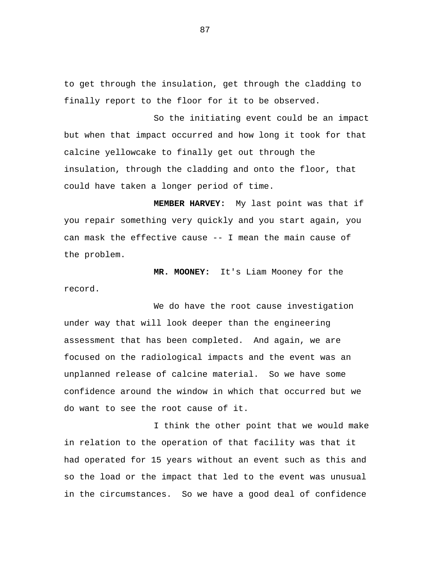to get through the insulation, get through the cladding to finally report to the floor for it to be observed.

So the initiating event could be an impact but when that impact occurred and how long it took for that calcine yellowcake to finally get out through the insulation, through the cladding and onto the floor, that could have taken a longer period of time.

**MEMBER HARVEY:** My last point was that if you repair something very quickly and you start again, you can mask the effective cause -- I mean the main cause of the problem.

**MR. MOONEY:** It's Liam Mooney for the record.

We do have the root cause investigation under way that will look deeper than the engineering assessment that has been completed. And again, we are focused on the radiological impacts and the event was an unplanned release of calcine material. So we have some confidence around the window in which that occurred but we do want to see the root cause of it.

I think the other point that we would make in relation to the operation of that facility was that it had operated for 15 years without an event such as this and so the load or the impact that led to the event was unusual in the circumstances. So we have a good deal of confidence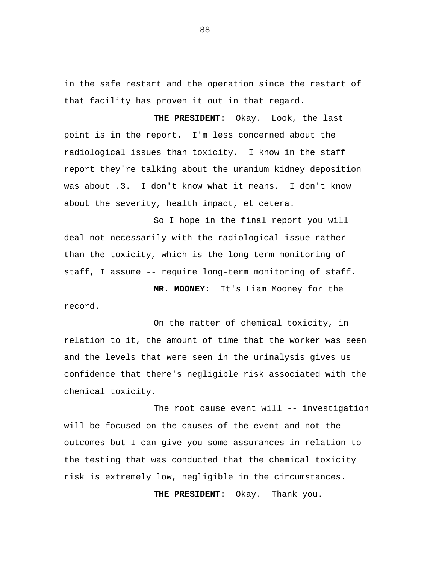in the safe restart and the operation since the restart of that facility has proven it out in that regard.

**THE PRESIDENT:** Okay. Look, the last point is in the report. I'm less concerned about the radiological issues than toxicity. I know in the staff report they're talking about the uranium kidney deposition was about .3. I don't know what it means. I don't know about the severity, health impact, et cetera.

So I hope in the final report you will deal not necessarily with the radiological issue rather than the toxicity, which is the long-term monitoring of staff, I assume -- require long-term monitoring of staff.

**MR. MOONEY:** It's Liam Mooney for the record.

On the matter of chemical toxicity, in relation to it, the amount of time that the worker was seen and the levels that were seen in the urinalysis gives us confidence that there's negligible risk associated with the chemical toxicity.

The root cause event will -- investigation will be focused on the causes of the event and not the outcomes but I can give you some assurances in relation to the testing that was conducted that the chemical toxicity risk is extremely low, negligible in the circumstances.

**THE PRESIDENT:** Okay. Thank you.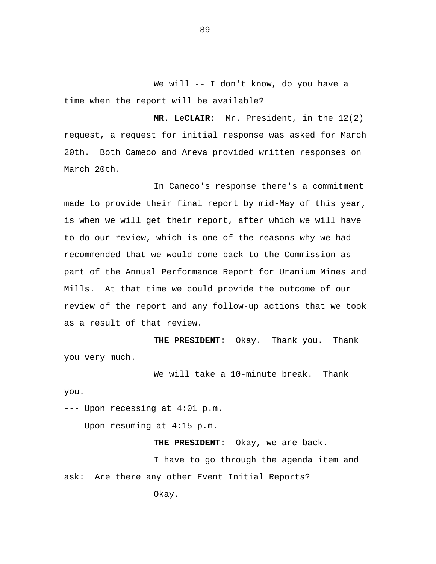We will -- I don't know, do you have a time when the report will be available?

**MR. LeCLAIR:** Mr. President, in the 12(2) request, a request for initial response was asked for March 20th. Both Cameco and Areva provided written responses on March 20th.

In Cameco's response there's a commitment made to provide their final report by mid-May of this year, is when we will get their report, after which we will have to do our review, which is one of the reasons why we had recommended that we would come back to the Commission as part of the Annual Performance Report for Uranium Mines and Mills. At that time we could provide the outcome of our review of the report and any follow-up actions that we took as a result of that review.

**THE PRESIDENT:** Okay. Thank you. Thank you very much.

We will take a 10-minute break. Thank

you.

--- Upon recessing at 4:01 p.m.

--- Upon resuming at 4:15 p.m.

**THE PRESIDENT:** Okay, we are back.

I have to go through the agenda item and ask: Are there any other Event Initial Reports?

Okay.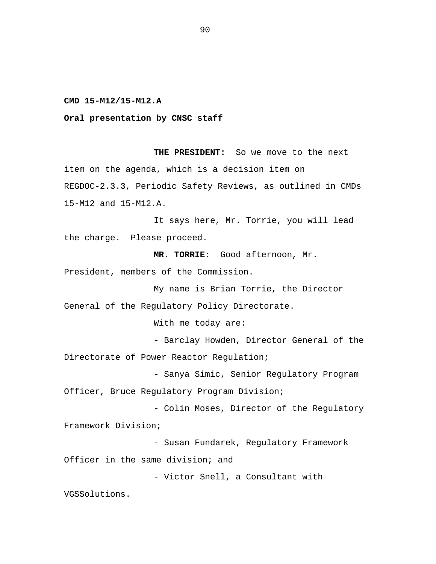**CMD 15-M12/15-M12.A** 

**Oral presentation by CNSC staff** 

**THE PRESIDENT:** So we move to the next item on the agenda, which is a decision item on REGDOC-2.3.3, Periodic Safety Reviews, as outlined in CMDs 15-M12 and 15-M12.A.

It says here, Mr. Torrie, you will lead the charge. Please proceed.

**MR. TORRIE:** Good afternoon, Mr.

President, members of the Commission.

My name is Brian Torrie, the Director General of the Regulatory Policy Directorate.

With me today are:

- Barclay Howden, Director General of the

Directorate of Power Reactor Regulation;

- Sanya Simic, Senior Regulatory Program Officer, Bruce Regulatory Program Division;

- Colin Moses, Director of the Regulatory Framework Division;

- Susan Fundarek, Regulatory Framework Officer in the same division; and

- Victor Snell, a Consultant with

VGSSolutions.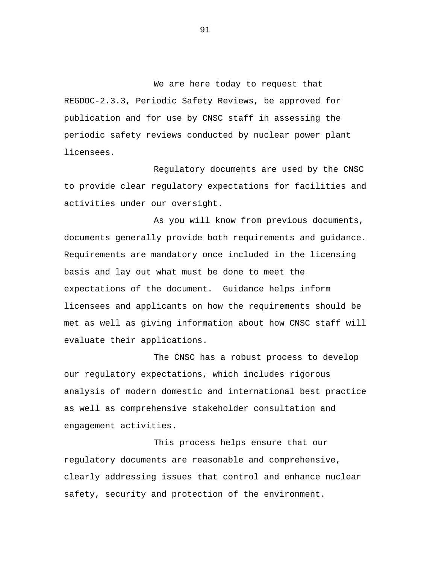We are here today to request that REGDOC-2.3.3, Periodic Safety Reviews, be approved for publication and for use by CNSC staff in assessing the periodic safety reviews conducted by nuclear power plant licensees.

Regulatory documents are used by the CNSC to provide clear regulatory expectations for facilities and activities under our oversight.

As you will know from previous documents, documents generally provide both requirements and guidance. Requirements are mandatory once included in the licensing basis and lay out what must be done to meet the expectations of the document. Guidance helps inform licensees and applicants on how the requirements should be met as well as giving information about how CNSC staff will evaluate their applications.

The CNSC has a robust process to develop our regulatory expectations, which includes rigorous analysis of modern domestic and international best practice as well as comprehensive stakeholder consultation and engagement activities.

This process helps ensure that our regulatory documents are reasonable and comprehensive, clearly addressing issues that control and enhance nuclear safety, security and protection of the environment.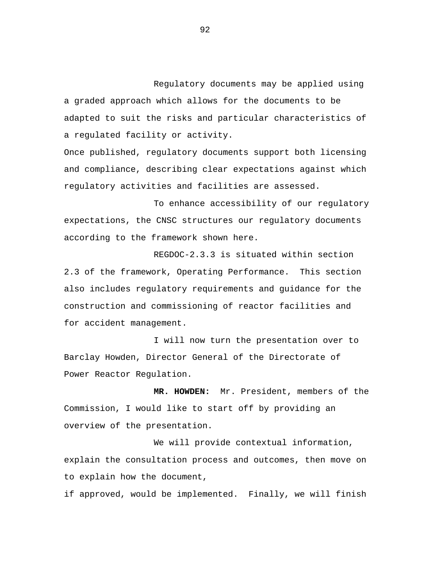Regulatory documents may be applied using a graded approach which allows for the documents to be adapted to suit the risks and particular characteristics of a regulated facility or activity.

Once published, regulatory documents support both licensing and compliance, describing clear expectations against which regulatory activities and facilities are assessed.

To enhance accessibility of our regulatory expectations, the CNSC structures our regulatory documents according to the framework shown here.

REGDOC-2.3.3 is situated within section 2.3 of the framework, Operating Performance. This section also includes regulatory requirements and guidance for the construction and commissioning of reactor facilities and for accident management.

I will now turn the presentation over to Barclay Howden, Director General of the Directorate of Power Reactor Regulation.

**MR. HOWDEN:** Mr. President, members of the Commission, I would like to start off by providing an overview of the presentation.

We will provide contextual information, explain the consultation process and outcomes, then move on to explain how the document,

if approved, would be implemented. Finally, we will finish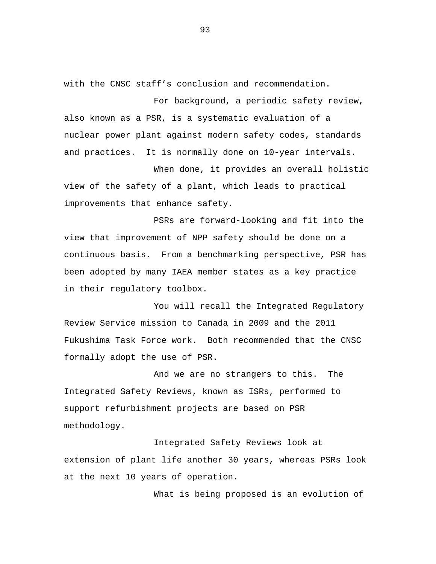with the CNSC staff's conclusion and recommendation.

For background, a periodic safety review, also known as a PSR, is a systematic evaluation of a nuclear power plant against modern safety codes, standards and practices. It is normally done on 10-year intervals.

When done, it provides an overall holistic view of the safety of a plant, which leads to practical improvements that enhance safety.

PSRs are forward-looking and fit into the view that improvement of NPP safety should be done on a continuous basis. From a benchmarking perspective, PSR has been adopted by many IAEA member states as a key practice in their regulatory toolbox.

You will recall the Integrated Regulatory Review Service mission to Canada in 2009 and the 2011 Fukushima Task Force work. Both recommended that the CNSC formally adopt the use of PSR.

And we are no strangers to this. The Integrated Safety Reviews, known as ISRs, performed to support refurbishment projects are based on PSR methodology.

Integrated Safety Reviews look at extension of plant life another 30 years, whereas PSRs look at the next 10 years of operation.

What is being proposed is an evolution of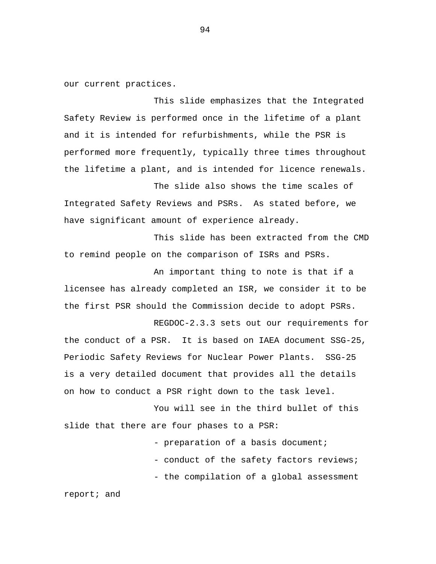our current practices.

This slide emphasizes that the Integrated Safety Review is performed once in the lifetime of a plant and it is intended for refurbishments, while the PSR is performed more frequently, typically three times throughout the lifetime a plant, and is intended for licence renewals.

The slide also shows the time scales of Integrated Safety Reviews and PSRs. As stated before, we have significant amount of experience already.

This slide has been extracted from the CMD to remind people on the comparison of ISRs and PSRs.

An important thing to note is that if a licensee has already completed an ISR, we consider it to be the first PSR should the Commission decide to adopt PSRs.

REGDOC-2.3.3 sets out our requirements for the conduct of a PSR. It is based on IAEA document SSG-25, Periodic Safety Reviews for Nuclear Power Plants. SSG-25 is a very detailed document that provides all the details on how to conduct a PSR right down to the task level.

You will see in the third bullet of this slide that there are four phases to a PSR:

> - preparation of a basis document; - conduct of the safety factors reviews; - the compilation of a global assessment

report; and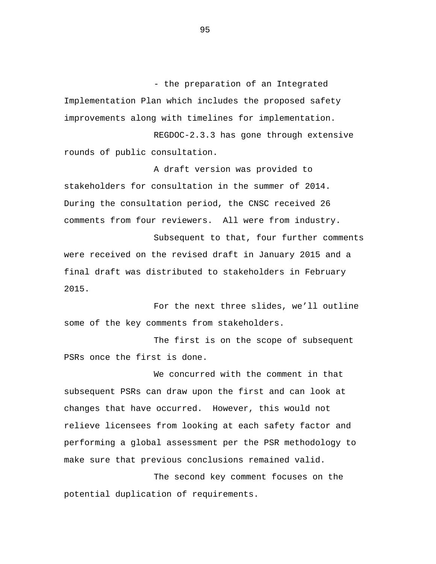- the preparation of an Integrated Implementation Plan which includes the proposed safety improvements along with timelines for implementation.

REGDOC-2.3.3 has gone through extensive rounds of public consultation.

A draft version was provided to stakeholders for consultation in the summer of 2014. During the consultation period, the CNSC received 26 comments from four reviewers. All were from industry.

Subsequent to that, four further comments were received on the revised draft in January 2015 and a final draft was distributed to stakeholders in February 2015.

For the next three slides, we'll outline some of the key comments from stakeholders.

The first is on the scope of subsequent PSRs once the first is done.

We concurred with the comment in that subsequent PSRs can draw upon the first and can look at changes that have occurred. However, this would not relieve licensees from looking at each safety factor and performing a global assessment per the PSR methodology to make sure that previous conclusions remained valid.

The second key comment focuses on the potential duplication of requirements.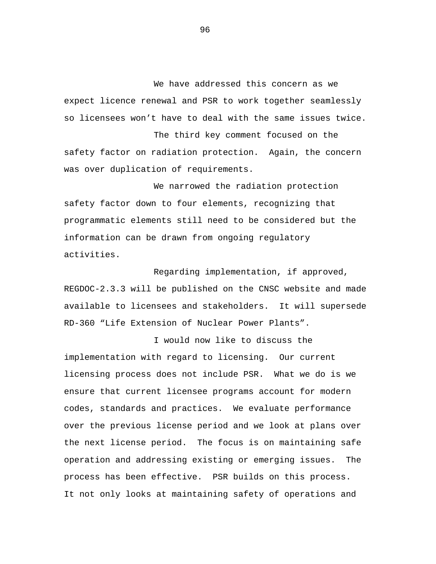We have addressed this concern as we expect licence renewal and PSR to work together seamlessly so licensees won't have to deal with the same issues twice.

The third key comment focused on the safety factor on radiation protection. Again, the concern was over duplication of requirements.

We narrowed the radiation protection safety factor down to four elements, recognizing that programmatic elements still need to be considered but the information can be drawn from ongoing regulatory activities.

Regarding implementation, if approved, REGDOC-2.3.3 will be published on the CNSC website and made available to licensees and stakeholders. It will supersede RD-360 "Life Extension of Nuclear Power Plants".

I would now like to discuss the implementation with regard to licensing. Our current licensing process does not include PSR. What we do is we ensure that current licensee programs account for modern codes, standards and practices. We evaluate performance over the previous license period and we look at plans over the next license period. The focus is on maintaining safe operation and addressing existing or emerging issues. The process has been effective. PSR builds on this process. It not only looks at maintaining safety of operations and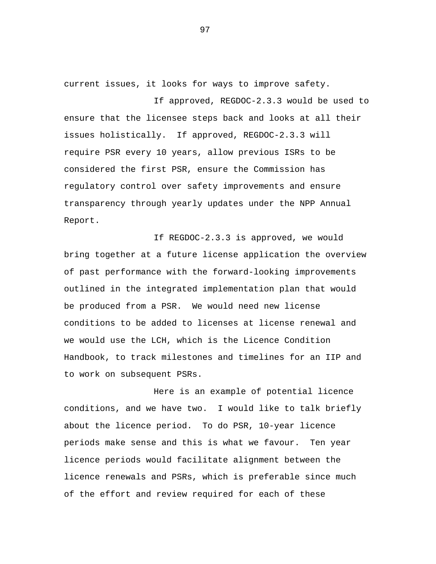current issues, it looks for ways to improve safety.

If approved, REGDOC-2.3.3 would be used to ensure that the licensee steps back and looks at all their issues holistically. If approved, REGDOC-2.3.3 will require PSR every 10 years, allow previous ISRs to be considered the first PSR, ensure the Commission has regulatory control over safety improvements and ensure transparency through yearly updates under the NPP Annual Report.

If REGDOC-2.3.3 is approved, we would bring together at a future license application the overview of past performance with the forward-looking improvements outlined in the integrated implementation plan that would be produced from a PSR. We would need new license conditions to be added to licenses at license renewal and we would use the LCH, which is the Licence Condition Handbook, to track milestones and timelines for an IIP and to work on subsequent PSRs.

Here is an example of potential licence conditions, and we have two. I would like to talk briefly about the licence period. To do PSR, 10-year licence periods make sense and this is what we favour. Ten year licence periods would facilitate alignment between the licence renewals and PSRs, which is preferable since much of the effort and review required for each of these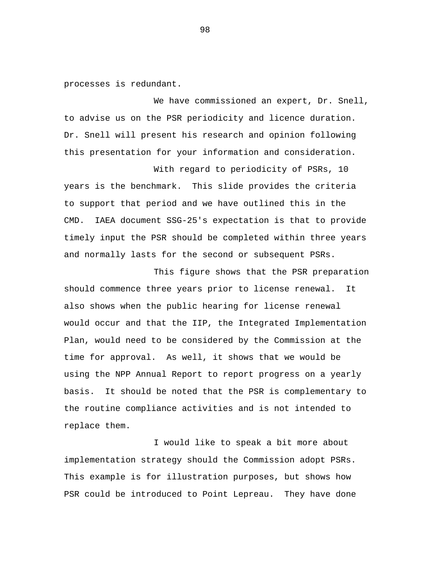processes is redundant.

We have commissioned an expert, Dr. Snell, to advise us on the PSR periodicity and licence duration. Dr. Snell will present his research and opinion following this presentation for your information and consideration.

With regard to periodicity of PSRs, 10 years is the benchmark. This slide provides the criteria to support that period and we have outlined this in the CMD. IAEA document SSG-25's expectation is that to provide timely input the PSR should be completed within three years and normally lasts for the second or subsequent PSRs.

This figure shows that the PSR preparation should commence three years prior to license renewal. It also shows when the public hearing for license renewal would occur and that the IIP, the Integrated Implementation Plan, would need to be considered by the Commission at the time for approval. As well, it shows that we would be using the NPP Annual Report to report progress on a yearly basis. It should be noted that the PSR is complementary to the routine compliance activities and is not intended to replace them.

I would like to speak a bit more about implementation strategy should the Commission adopt PSRs. This example is for illustration purposes, but shows how PSR could be introduced to Point Lepreau. They have done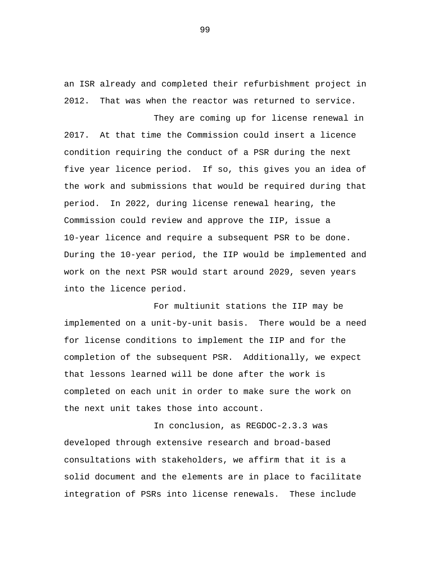an ISR already and completed their refurbishment project in 2012. That was when the reactor was returned to service.

They are coming up for license renewal in 2017. At that time the Commission could insert a licence condition requiring the conduct of a PSR during the next five year licence period. If so, this gives you an idea of the work and submissions that would be required during that period. In 2022, during license renewal hearing, the Commission could review and approve the IIP, issue a 10-year licence and require a subsequent PSR to be done. During the 10-year period, the IIP would be implemented and work on the next PSR would start around 2029, seven years into the licence period.

For multiunit stations the IIP may be implemented on a unit-by-unit basis. There would be a need for license conditions to implement the IIP and for the completion of the subsequent PSR. Additionally, we expect that lessons learned will be done after the work is completed on each unit in order to make sure the work on the next unit takes those into account.

In conclusion, as REGDOC-2.3.3 was developed through extensive research and broad-based consultations with stakeholders, we affirm that it is a solid document and the elements are in place to facilitate integration of PSRs into license renewals. These include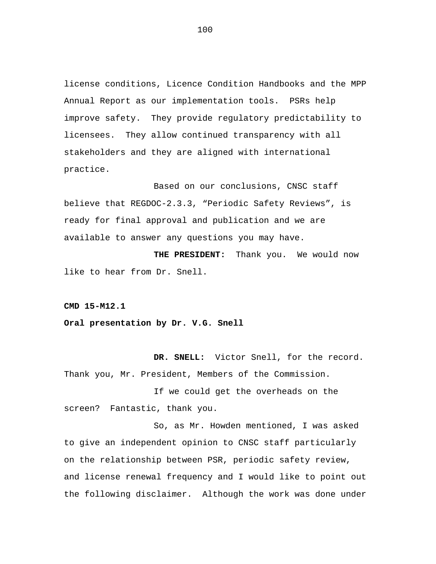license conditions, Licence Condition Handbooks and the MPP Annual Report as our implementation tools. PSRs help improve safety. They provide regulatory predictability to licensees. They allow continued transparency with all stakeholders and they are aligned with international practice.

Based on our conclusions, CNSC staff believe that REGDOC-2.3.3, "Periodic Safety Reviews", is ready for final approval and publication and we are available to answer any questions you may have.

**THE PRESIDENT:** Thank you. We would now like to hear from Dr. Snell.

**CMD 15-M12.1** 

**Oral presentation by Dr. V.G. Snell** 

**DR. SNELL:** Victor Snell, for the record. Thank you, Mr. President, Members of the Commission.

If we could get the overheads on the screen? Fantastic, thank you.

So, as Mr. Howden mentioned, I was asked to give an independent opinion to CNSC staff particularly on the relationship between PSR, periodic safety review, and license renewal frequency and I would like to point out the following disclaimer. Although the work was done under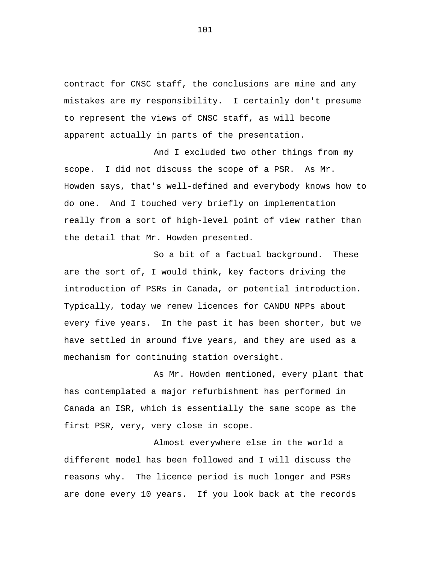contract for CNSC staff, the conclusions are mine and any mistakes are my responsibility. I certainly don't presume to represent the views of CNSC staff, as will become apparent actually in parts of the presentation.

And I excluded two other things from my scope. I did not discuss the scope of a PSR. As Mr. Howden says, that's well-defined and everybody knows how to do one. And I touched very briefly on implementation really from a sort of high-level point of view rather than the detail that Mr. Howden presented.

So a bit of a factual background. These are the sort of, I would think, key factors driving the introduction of PSRs in Canada, or potential introduction. Typically, today we renew licences for CANDU NPPs about every five years. In the past it has been shorter, but we have settled in around five years, and they are used as a mechanism for continuing station oversight.

As Mr. Howden mentioned, every plant that has contemplated a major refurbishment has performed in Canada an ISR, which is essentially the same scope as the first PSR, very, very close in scope.

Almost everywhere else in the world a different model has been followed and I will discuss the reasons why. The licence period is much longer and PSRs are done every 10 years. If you look back at the records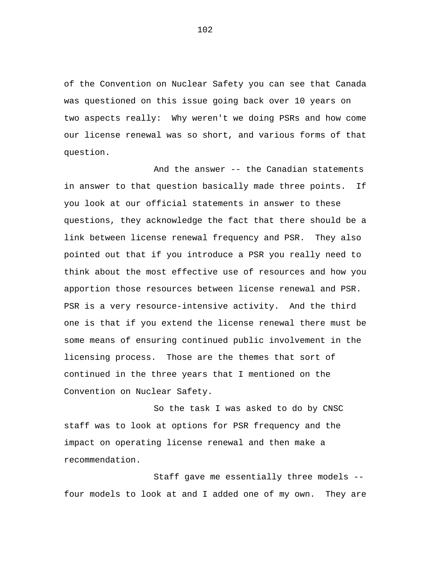of the Convention on Nuclear Safety you can see that Canada was questioned on this issue going back over 10 years on two aspects really: Why weren't we doing PSRs and how come our license renewal was so short, and various forms of that question.

And the answer -- the Canadian statements in answer to that question basically made three points. If you look at our official statements in answer to these questions, they acknowledge the fact that there should be a link between license renewal frequency and PSR. They also pointed out that if you introduce a PSR you really need to think about the most effective use of resources and how you apportion those resources between license renewal and PSR. PSR is a very resource-intensive activity. And the third one is that if you extend the license renewal there must be some means of ensuring continued public involvement in the licensing process. Those are the themes that sort of continued in the three years that I mentioned on the Convention on Nuclear Safety.

So the task I was asked to do by CNSC staff was to look at options for PSR frequency and the impact on operating license renewal and then make a recommendation.

Staff gave me essentially three models - four models to look at and I added one of my own. They are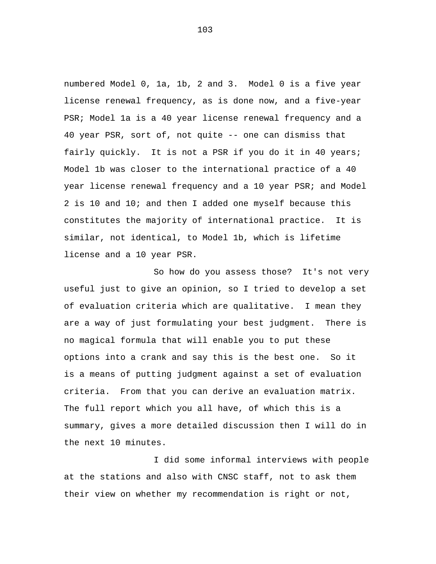numbered Model 0, 1a, 1b, 2 and 3. Model 0 is a five year license renewal frequency, as is done now, and a five-year PSR; Model 1a is a 40 year license renewal frequency and a 40 year PSR, sort of, not quite -- one can dismiss that fairly quickly. It is not a PSR if you do it in 40 years; Model 1b was closer to the international practice of a 40 year license renewal frequency and a 10 year PSR; and Model 2 is 10 and 10; and then I added one myself because this constitutes the majority of international practice. It is similar, not identical, to Model 1b, which is lifetime license and a 10 year PSR.

So how do you assess those? It's not very useful just to give an opinion, so I tried to develop a set of evaluation criteria which are qualitative. I mean they are a way of just formulating your best judgment. There is no magical formula that will enable you to put these options into a crank and say this is the best one. So it is a means of putting judgment against a set of evaluation criteria. From that you can derive an evaluation matrix. The full report which you all have, of which this is a summary, gives a more detailed discussion then I will do in the next 10 minutes.

I did some informal interviews with people at the stations and also with CNSC staff, not to ask them their view on whether my recommendation is right or not,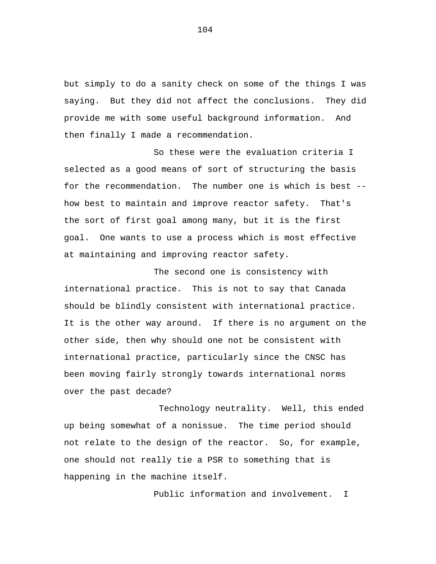but simply to do a sanity check on some of the things I was saying. But they did not affect the conclusions. They did provide me with some useful background information. And then finally I made a recommendation.

So these were the evaluation criteria I selected as a good means of sort of structuring the basis for the recommendation. The number one is which is best - how best to maintain and improve reactor safety. That's the sort of first goal among many, but it is the first goal. One wants to use a process which is most effective at maintaining and improving reactor safety.

The second one is consistency with international practice. This is not to say that Canada should be blindly consistent with international practice. It is the other way around. If there is no argument on the other side, then why should one not be consistent with international practice, particularly since the CNSC has been moving fairly strongly towards international norms over the past decade?

Technology neutrality. Well, this ended up being somewhat of a nonissue. The time period should not relate to the design of the reactor. So, for example, one should not really tie a PSR to something that is happening in the machine itself.

Public information and involvement. I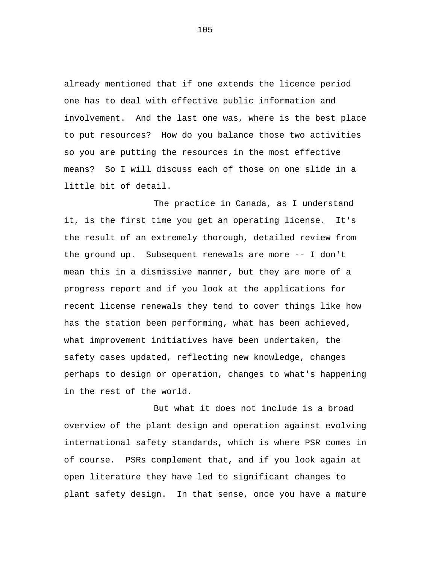already mentioned that if one extends the licence period one has to deal with effective public information and involvement. And the last one was, where is the best place to put resources? How do you balance those two activities so you are putting the resources in the most effective means? So I will discuss each of those on one slide in a little bit of detail.

The practice in Canada, as I understand it, is the first time you get an operating license. It's the result of an extremely thorough, detailed review from the ground up. Subsequent renewals are more -- I don't mean this in a dismissive manner, but they are more of a progress report and if you look at the applications for recent license renewals they tend to cover things like how has the station been performing, what has been achieved, what improvement initiatives have been undertaken, the safety cases updated, reflecting new knowledge, changes perhaps to design or operation, changes to what's happening in the rest of the world.

But what it does not include is a broad overview of the plant design and operation against evolving international safety standards, which is where PSR comes in of course. PSRs complement that, and if you look again at open literature they have led to significant changes to plant safety design. In that sense, once you have a mature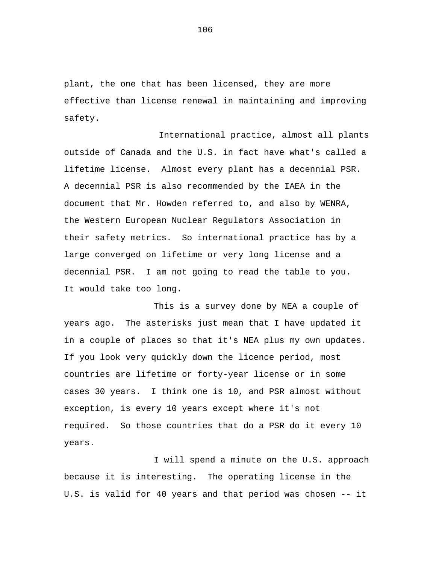plant, the one that has been licensed, they are more effective than license renewal in maintaining and improving safety.

International practice, almost all plants outside of Canada and the U.S. in fact have what's called a lifetime license. Almost every plant has a decennial PSR. A decennial PSR is also recommended by the IAEA in the document that Mr. Howden referred to, and also by WENRA, the Western European Nuclear Regulators Association in their safety metrics. So international practice has by a large converged on lifetime or very long license and a decennial PSR. I am not going to read the table to you. It would take too long.

This is a survey done by NEA a couple of years ago. The asterisks just mean that I have updated it in a couple of places so that it's NEA plus my own updates. If you look very quickly down the licence period, most countries are lifetime or forty-year license or in some cases 30 years. I think one is 10, and PSR almost without exception, is every 10 years except where it's not required. So those countries that do a PSR do it every 10 years.

I will spend a minute on the U.S. approach because it is interesting. The operating license in the U.S. is valid for 40 years and that period was chosen -- it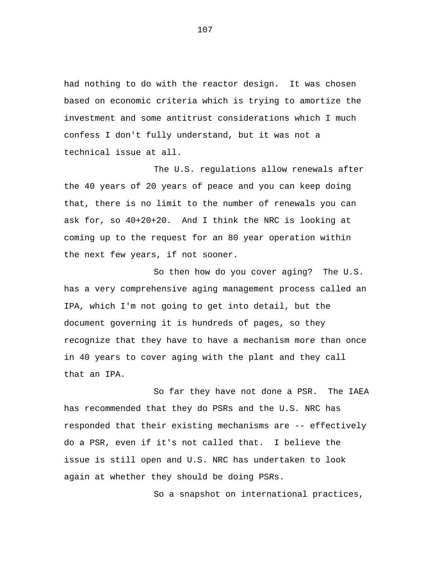had nothing to do with the reactor design. It was chosen based on economic criteria which is trying to amortize the investment and some antitrust considerations which I much confess I don't fully understand, but it was not a technical issue at all.

The U.S. regulations allow renewals after the 40 years of 20 years of peace and you can keep doing that, there is no limit to the number of renewals you can ask for, so 40+20+20. And I think the NRC is looking at coming up to the request for an 80 year operation within the next few years, if not sooner.

So then how do you cover aging? The U.S. has a very comprehensive aging management process called an IPA, which I'm not going to get into detail, but the document governing it is hundreds of pages, so they recognize that they have to have a mechanism more than once in 40 years to cover aging with the plant and they call that an IPA.

So far they have not done a PSR. The IAEA has recommended that they do PSRs and the U.S. NRC has responded that their existing mechanisms are -- effectively do a PSR, even if it's not called that. I believe the issue is still open and U.S. NRC has undertaken to look again at whether they should be doing PSRs.

So a snapshot on international practices,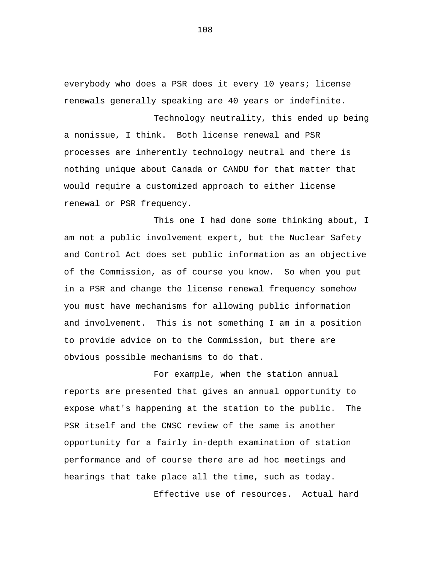everybody who does a PSR does it every 10 years; license renewals generally speaking are 40 years or indefinite.

Technology neutrality, this ended up being a nonissue, I think. Both license renewal and PSR processes are inherently technology neutral and there is nothing unique about Canada or CANDU for that matter that would require a customized approach to either license renewal or PSR frequency.

This one I had done some thinking about, I am not a public involvement expert, but the Nuclear Safety and Control Act does set public information as an objective of the Commission, as of course you know. So when you put in a PSR and change the license renewal frequency somehow you must have mechanisms for allowing public information and involvement. This is not something I am in a position to provide advice on to the Commission, but there are obvious possible mechanisms to do that.

For example, when the station annual reports are presented that gives an annual opportunity to expose what's happening at the station to the public. The PSR itself and the CNSC review of the same is another opportunity for a fairly in-depth examination of station performance and of course there are ad hoc meetings and hearings that take place all the time, such as today.

Effective use of resources. Actual hard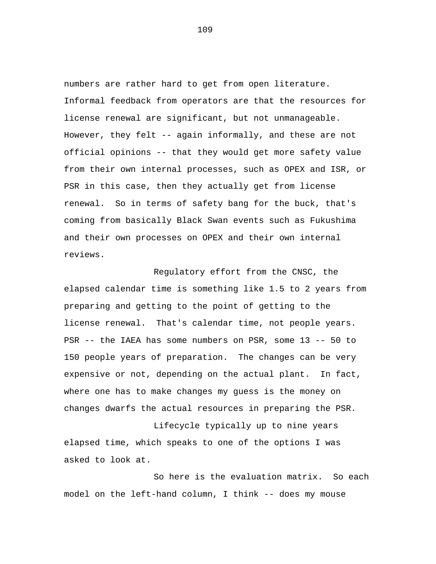numbers are rather hard to get from open literature. Informal feedback from operators are that the resources for license renewal are significant, but not unmanageable. However, they felt -- again informally, and these are not official opinions -- that they would get more safety value from their own internal processes, such as OPEX and ISR, or PSR in this case, then they actually get from license renewal. So in terms of safety bang for the buck, that's coming from basically Black Swan events such as Fukushima and their own processes on OPEX and their own internal reviews.

Regulatory effort from the CNSC, the elapsed calendar time is something like 1.5 to 2 years from preparing and getting to the point of getting to the license renewal. That's calendar time, not people years. PSR -- the IAEA has some numbers on PSR, some 13 -- 50 to 150 people years of preparation. The changes can be very expensive or not, depending on the actual plant. In fact, where one has to make changes my guess is the money on changes dwarfs the actual resources in preparing the PSR.

Lifecycle typically up to nine years elapsed time, which speaks to one of the options I was asked to look at.

So here is the evaluation matrix. So each model on the left-hand column, I think -- does my mouse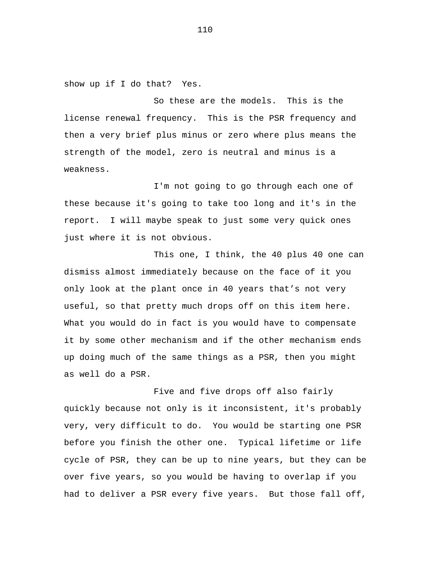show up if I do that? Yes.

So these are the models. This is the license renewal frequency. This is the PSR frequency and then a very brief plus minus or zero where plus means the strength of the model, zero is neutral and minus is a weakness.

I'm not going to go through each one of these because it's going to take too long and it's in the report. I will maybe speak to just some very quick ones just where it is not obvious.

This one, I think, the 40 plus 40 one can dismiss almost immediately because on the face of it you only look at the plant once in 40 years that's not very useful, so that pretty much drops off on this item here. What you would do in fact is you would have to compensate it by some other mechanism and if the other mechanism ends up doing much of the same things as a PSR, then you might as well do a PSR.

Five and five drops off also fairly quickly because not only is it inconsistent, it's probably very, very difficult to do. You would be starting one PSR before you finish the other one. Typical lifetime or life cycle of PSR, they can be up to nine years, but they can be over five years, so you would be having to overlap if you had to deliver a PSR every five years. But those fall off,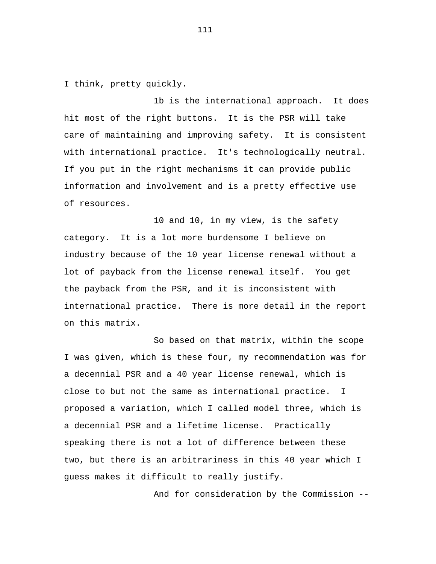I think, pretty quickly.

1b is the international approach. It does hit most of the right buttons. It is the PSR will take care of maintaining and improving safety. It is consistent with international practice. It's technologically neutral. If you put in the right mechanisms it can provide public information and involvement and is a pretty effective use of resources.

10 and 10, in my view, is the safety category. It is a lot more burdensome I believe on industry because of the 10 year license renewal without a lot of payback from the license renewal itself. You get the payback from the PSR, and it is inconsistent with international practice. There is more detail in the report on this matrix.

So based on that matrix, within the scope I was given, which is these four, my recommendation was for a decennial PSR and a 40 year license renewal, which is close to but not the same as international practice. I proposed a variation, which I called model three, which is a decennial PSR and a lifetime license. Practically speaking there is not a lot of difference between these two, but there is an arbitrariness in this 40 year which I guess makes it difficult to really justify.

And for consideration by the Commission --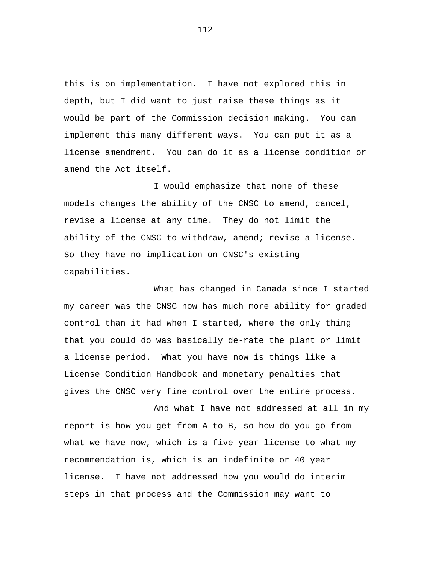this is on implementation. I have not explored this in depth, but I did want to just raise these things as it would be part of the Commission decision making. You can implement this many different ways. You can put it as a license amendment. You can do it as a license condition or amend the Act itself.

I would emphasize that none of these models changes the ability of the CNSC to amend, cancel, revise a license at any time. They do not limit the ability of the CNSC to withdraw, amend; revise a license. So they have no implication on CNSC's existing capabilities.

What has changed in Canada since I started my career was the CNSC now has much more ability for graded control than it had when I started, where the only thing that you could do was basically de-rate the plant or limit a license period. What you have now is things like a License Condition Handbook and monetary penalties that gives the CNSC very fine control over the entire process.

And what I have not addressed at all in my report is how you get from A to B, so how do you go from what we have now, which is a five year license to what my recommendation is, which is an indefinite or 40 year license. I have not addressed how you would do interim steps in that process and the Commission may want to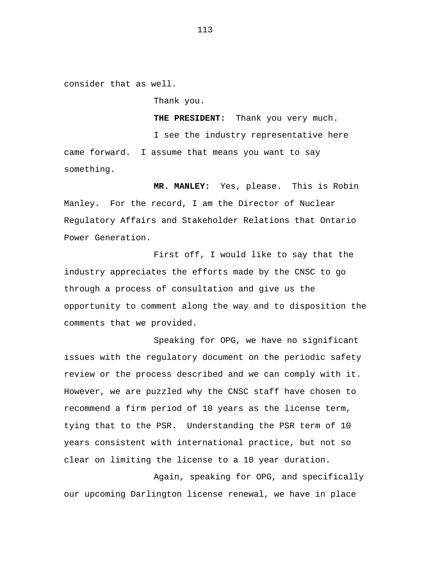consider that as well.

Thank you.

**THE PRESIDENT:** Thank you very much. I see the industry representative here came forward. I assume that means you want to say something.

**MR. MANLEY:** Yes, please. This is Robin Manley. For the record, I am the Director of Nuclear Regulatory Affairs and Stakeholder Relations that Ontario Power Generation.

First off, I would like to say that the industry appreciates the efforts made by the CNSC to go through a process of consultation and give us the opportunity to comment along the way and to disposition the comments that we provided.

Speaking for OPG, we have no significant issues with the regulatory document on the periodic safety review or the process described and we can comply with it. However, we are puzzled why the CNSC staff have chosen to recommend a firm period of 10 years as the license term, tying that to the PSR. Understanding the PSR term of 10 years consistent with international practice, but not so clear on limiting the license to a 10 year duration.

Again, speaking for OPG, and specifically our upcoming Darlington license renewal, we have in place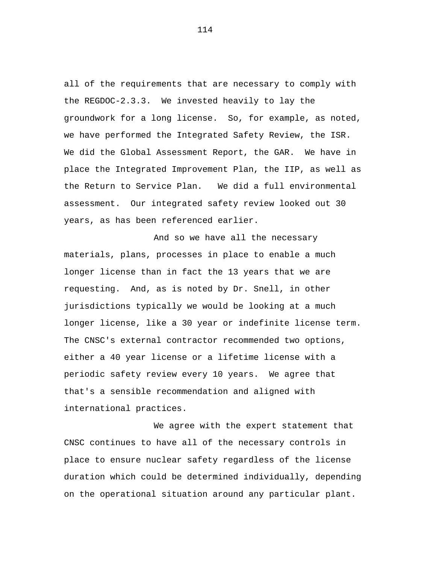all of the requirements that are necessary to comply with the REGDOC-2.3.3. We invested heavily to lay the groundwork for a long license. So, for example, as noted, we have performed the Integrated Safety Review, the ISR. We did the Global Assessment Report, the GAR. We have in place the Integrated Improvement Plan, the IIP, as well as the Return to Service Plan. We did a full environmental assessment. Our integrated safety review looked out 30 years, as has been referenced earlier.

And so we have all the necessary materials, plans, processes in place to enable a much longer license than in fact the 13 years that we are requesting. And, as is noted by Dr. Snell, in other jurisdictions typically we would be looking at a much longer license, like a 30 year or indefinite license term. The CNSC's external contractor recommended two options, either a 40 year license or a lifetime license with a periodic safety review every 10 years. We agree that that's a sensible recommendation and aligned with international practices.

We agree with the expert statement that CNSC continues to have all of the necessary controls in place to ensure nuclear safety regardless of the license duration which could be determined individually, depending on the operational situation around any particular plant.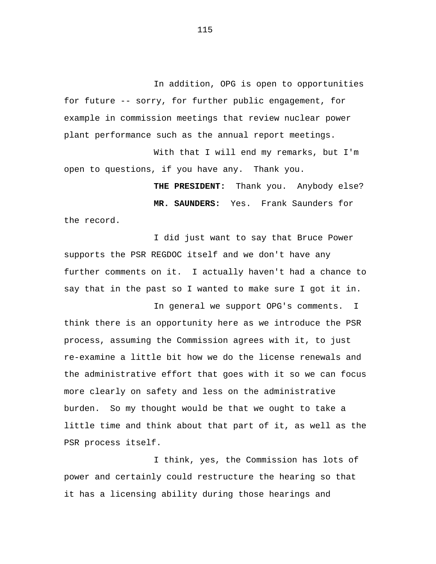In addition, OPG is open to opportunities for future -- sorry, for further public engagement, for example in commission meetings that review nuclear power plant performance such as the annual report meetings.

With that I will end my remarks, but I'm open to questions, if you have any. Thank you.

**THE PRESIDENT:** Thank you. Anybody else? **MR. SAUNDERS:** Yes. Frank Saunders for the record.

I did just want to say that Bruce Power supports the PSR REGDOC itself and we don't have any further comments on it. I actually haven't had a chance to say that in the past so I wanted to make sure I got it in.

In general we support OPG's comments. I think there is an opportunity here as we introduce the PSR process, assuming the Commission agrees with it, to just re-examine a little bit how we do the license renewals and the administrative effort that goes with it so we can focus more clearly on safety and less on the administrative burden. So my thought would be that we ought to take a little time and think about that part of it, as well as the PSR process itself.

I think, yes, the Commission has lots of power and certainly could restructure the hearing so that it has a licensing ability during those hearings and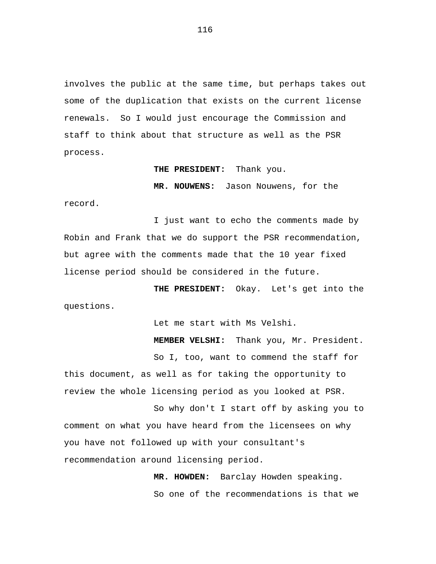involves the public at the same time, but perhaps takes out some of the duplication that exists on the current license renewals. So I would just encourage the Commission and staff to think about that structure as well as the PSR process.

**THE PRESIDENT:** Thank you.

**MR. NOUWENS:** Jason Nouwens, for the record.

I just want to echo the comments made by Robin and Frank that we do support the PSR recommendation, but agree with the comments made that the 10 year fixed license period should be considered in the future.

**THE PRESIDENT:** Okay. Let's get into the questions.

Let me start with Ms Velshi.

**MEMBER VELSHI:** Thank you, Mr. President.

So I, too, want to commend the staff for

this document, as well as for taking the opportunity to review the whole licensing period as you looked at PSR.

So why don't I start off by asking you to comment on what you have heard from the licensees on why you have not followed up with your consultant's recommendation around licensing period.

> **MR. HOWDEN:** Barclay Howden speaking. So one of the recommendations is that we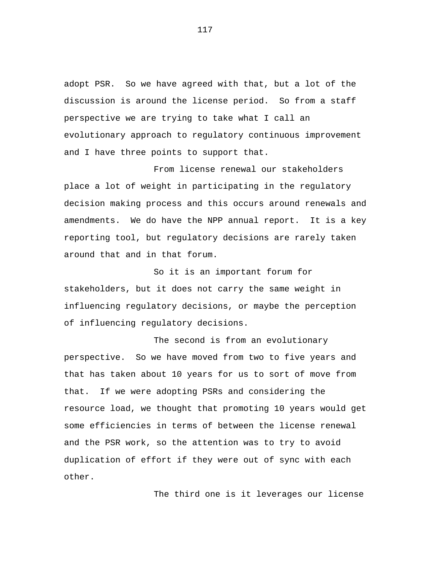adopt PSR. So we have agreed with that, but a lot of the discussion is around the license period. So from a staff perspective we are trying to take what I call an evolutionary approach to regulatory continuous improvement and I have three points to support that.

From license renewal our stakeholders place a lot of weight in participating in the regulatory decision making process and this occurs around renewals and amendments. We do have the NPP annual report. It is a key reporting tool, but regulatory decisions are rarely taken around that and in that forum.

So it is an important forum for stakeholders, but it does not carry the same weight in influencing regulatory decisions, or maybe the perception of influencing regulatory decisions.

The second is from an evolutionary perspective. So we have moved from two to five years and that has taken about 10 years for us to sort of move from that. If we were adopting PSRs and considering the resource load, we thought that promoting 10 years would get some efficiencies in terms of between the license renewal and the PSR work, so the attention was to try to avoid duplication of effort if they were out of sync with each other.

The third one is it leverages our license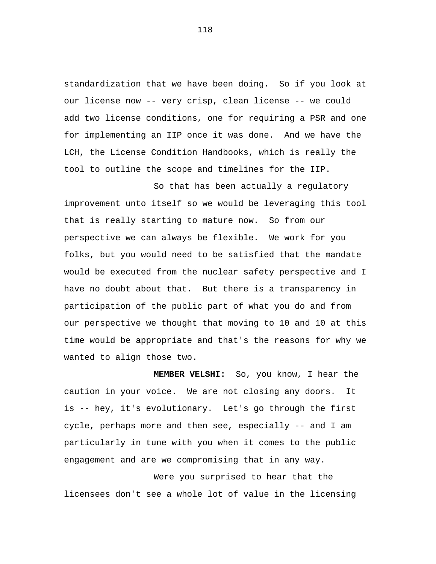standardization that we have been doing. So if you look at our license now -- very crisp, clean license -- we could add two license conditions, one for requiring a PSR and one for implementing an IIP once it was done. And we have the LCH, the License Condition Handbooks, which is really the tool to outline the scope and timelines for the IIP.

So that has been actually a regulatory improvement unto itself so we would be leveraging this tool that is really starting to mature now. So from our perspective we can always be flexible. We work for you folks, but you would need to be satisfied that the mandate would be executed from the nuclear safety perspective and I have no doubt about that. But there is a transparency in participation of the public part of what you do and from our perspective we thought that moving to 10 and 10 at this time would be appropriate and that's the reasons for why we wanted to align those two.

**MEMBER VELSHI:** So, you know, I hear the caution in your voice. We are not closing any doors. It is -- hey, it's evolutionary. Let's go through the first cycle, perhaps more and then see, especially -- and I am particularly in tune with you when it comes to the public engagement and are we compromising that in any way.

Were you surprised to hear that the licensees don't see a whole lot of value in the licensing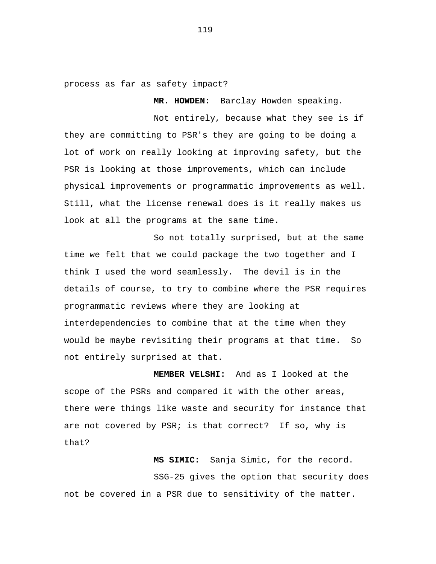process as far as safety impact?

**MR. HOWDEN:** Barclay Howden speaking.

Not entirely, because what they see is if they are committing to PSR's they are going to be doing a lot of work on really looking at improving safety, but the PSR is looking at those improvements, which can include physical improvements or programmatic improvements as well. Still, what the license renewal does is it really makes us look at all the programs at the same time.

So not totally surprised, but at the same time we felt that we could package the two together and I think I used the word seamlessly. The devil is in the details of course, to try to combine where the PSR requires programmatic reviews where they are looking at interdependencies to combine that at the time when they would be maybe revisiting their programs at that time. So not entirely surprised at that.

 **MEMBER VELSHI:** And as I looked at the scope of the PSRs and compared it with the other areas, there were things like waste and security for instance that are not covered by PSR; is that correct? If so, why is that?

**MS SIMIC:** Sanja Simic, for the record. SSG-25 gives the option that security does not be covered in a PSR due to sensitivity of the matter.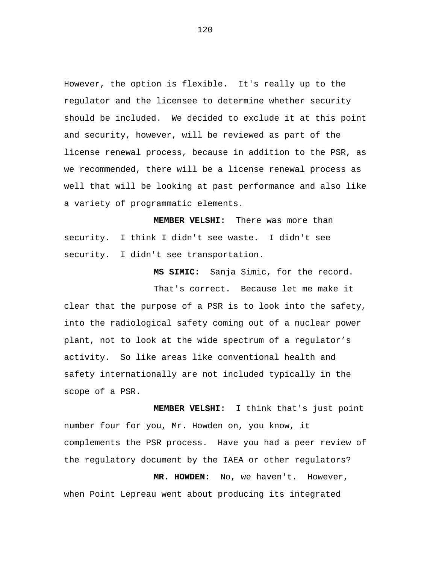However, the option is flexible. It's really up to the regulator and the licensee to determine whether security should be included. We decided to exclude it at this point and security, however, will be reviewed as part of the license renewal process, because in addition to the PSR, as we recommended, there will be a license renewal process as well that will be looking at past performance and also like a variety of programmatic elements.

**MEMBER VELSHI:** There was more than security. I think I didn't see waste. I didn't see security. I didn't see transportation.

**MS SIMIC:** Sanja Simic, for the record.

That's correct. Because let me make it clear that the purpose of a PSR is to look into the safety, into the radiological safety coming out of a nuclear power plant, not to look at the wide spectrum of a regulator's activity. So like areas like conventional health and safety internationally are not included typically in the scope of a PSR.

**MEMBER VELSHI:** I think that's just point number four for you, Mr. Howden on, you know, it complements the PSR process. Have you had a peer review of the regulatory document by the IAEA or other regulators?

**MR. HOWDEN:** No, we haven't. However, when Point Lepreau went about producing its integrated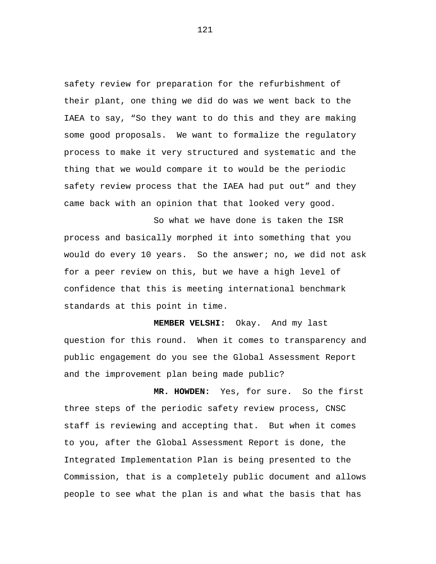safety review for preparation for the refurbishment of their plant, one thing we did do was we went back to the IAEA to say, "So they want to do this and they are making some good proposals. We want to formalize the regulatory process to make it very structured and systematic and the thing that we would compare it to would be the periodic safety review process that the IAEA had put out" and they came back with an opinion that that looked very good.

So what we have done is taken the ISR process and basically morphed it into something that you would do every 10 years. So the answer; no, we did not ask for a peer review on this, but we have a high level of confidence that this is meeting international benchmark standards at this point in time.

**MEMBER VELSHI:** Okay. And my last question for this round. When it comes to transparency and public engagement do you see the Global Assessment Report and the improvement plan being made public?

**MR. HOWDEN:** Yes, for sure. So the first three steps of the periodic safety review process, CNSC staff is reviewing and accepting that. But when it comes to you, after the Global Assessment Report is done, the Integrated Implementation Plan is being presented to the Commission, that is a completely public document and allows people to see what the plan is and what the basis that has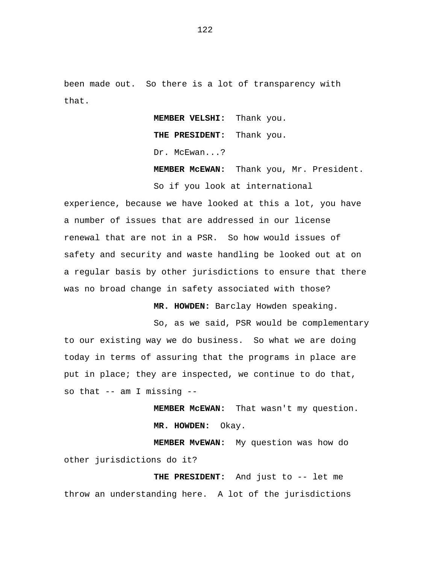been made out. So there is a lot of transparency with that.

> **MEMBER VELSHI:** Thank you. **THE PRESIDENT:** Thank you. Dr. McEwan...?

**MEMBER McEWAN:** Thank you, Mr. President. So if you look at international

experience, because we have looked at this a lot, you have a number of issues that are addressed in our license renewal that are not in a PSR. So how would issues of safety and security and waste handling be looked out at on a regular basis by other jurisdictions to ensure that there was no broad change in safety associated with those?

**MR. HOWDEN:** Barclay Howden speaking.

So, as we said, PSR would be complementary to our existing way we do business. So what we are doing today in terms of assuring that the programs in place are put in place; they are inspected, we continue to do that, so that -- am I missing --

> **MEMBER McEWAN:** That wasn't my question. **MR. HOWDEN:** Okay.

**MEMBER MvEWAN:** My question was how do other jurisdictions do it?

**THE PRESIDENT:** And just to -- let me throw an understanding here. A lot of the jurisdictions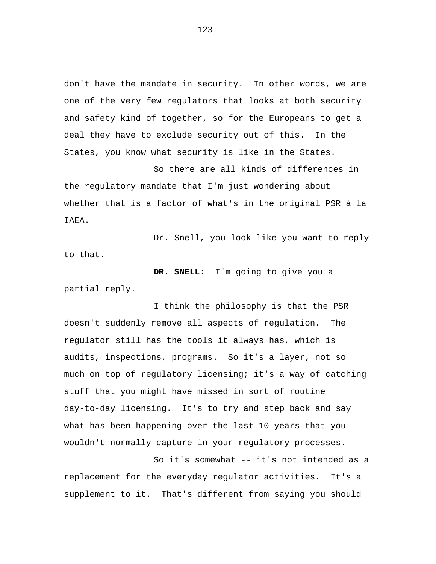don't have the mandate in security. In other words, we are one of the very few regulators that looks at both security and safety kind of together, so for the Europeans to get a deal they have to exclude security out of this. In the States, you know what security is like in the States.

So there are all kinds of differences in the regulatory mandate that I'm just wondering about whether that is a factor of what's in the original PSR à la IAEA.

Dr. Snell, you look like you want to reply to that.

**DR. SNELL:** I'm going to give you a partial reply.

I think the philosophy is that the PSR doesn't suddenly remove all aspects of regulation. The regulator still has the tools it always has, which is audits, inspections, programs. So it's a layer, not so much on top of regulatory licensing; it's a way of catching stuff that you might have missed in sort of routine day-to-day licensing. It's to try and step back and say what has been happening over the last 10 years that you wouldn't normally capture in your regulatory processes.

So it's somewhat -- it's not intended as a replacement for the everyday regulator activities. It's a supplement to it. That's different from saying you should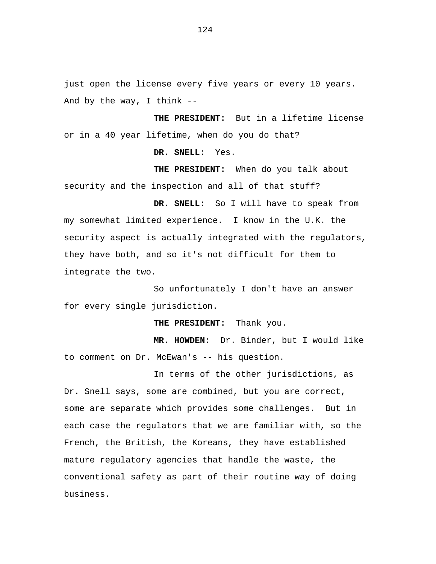just open the license every five years or every 10 years. And by the way, I think --

**THE PRESIDENT:** But in a lifetime license or in a 40 year lifetime, when do you do that?

**DR. SNELL:** Yes.

**THE PRESIDENT:** When do you talk about security and the inspection and all of that stuff?

**DR. SNELL:** So I will have to speak from my somewhat limited experience. I know in the U.K. the security aspect is actually integrated with the regulators, they have both, and so it's not difficult for them to integrate the two.

So unfortunately I don't have an answer for every single jurisdiction.

**THE PRESIDENT:** Thank you.

**MR. HOWDEN:** Dr. Binder, but I would like to comment on Dr. McEwan's -- his question.

In terms of the other jurisdictions, as Dr. Snell says, some are combined, but you are correct, some are separate which provides some challenges. But in each case the regulators that we are familiar with, so the French, the British, the Koreans, they have established mature regulatory agencies that handle the waste, the conventional safety as part of their routine way of doing business.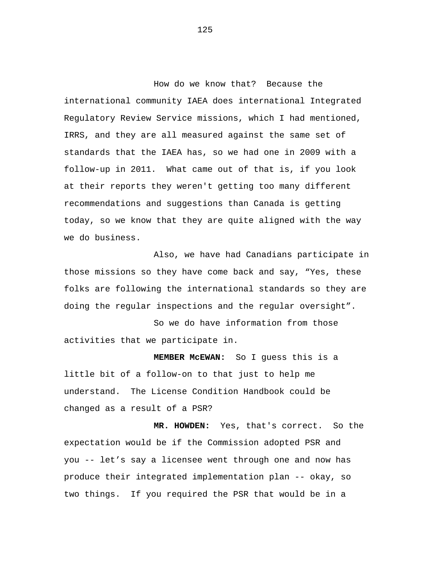How do we know that? Because the international community IAEA does international Integrated Regulatory Review Service missions, which I had mentioned, IRRS, and they are all measured against the same set of standards that the IAEA has, so we had one in 2009 with a follow-up in 2011. What came out of that is, if you look at their reports they weren't getting too many different recommendations and suggestions than Canada is getting today, so we know that they are quite aligned with the way we do business.

Also, we have had Canadians participate in those missions so they have come back and say, "Yes, these folks are following the international standards so they are doing the regular inspections and the regular oversight".

So we do have information from those activities that we participate in.

**MEMBER McEWAN:** So I guess this is a little bit of a follow-on to that just to help me understand. The License Condition Handbook could be changed as a result of a PSR?

**MR. HOWDEN:** Yes, that's correct. So the expectation would be if the Commission adopted PSR and you -- let's say a licensee went through one and now has produce their integrated implementation plan -- okay, so two things. If you required the PSR that would be in a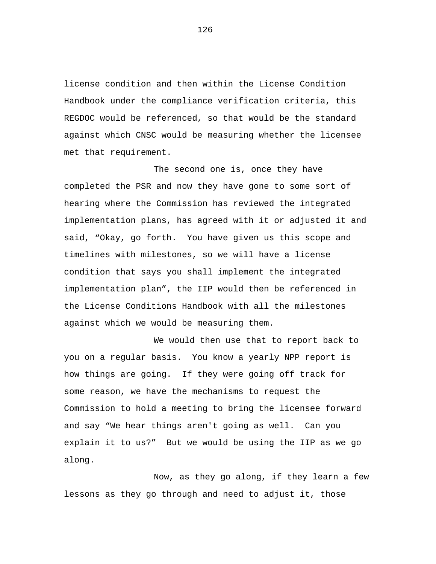license condition and then within the License Condition Handbook under the compliance verification criteria, this REGDOC would be referenced, so that would be the standard against which CNSC would be measuring whether the licensee met that requirement.

The second one is, once they have completed the PSR and now they have gone to some sort of hearing where the Commission has reviewed the integrated implementation plans, has agreed with it or adjusted it and said, "Okay, go forth. You have given us this scope and timelines with milestones, so we will have a license condition that says you shall implement the integrated implementation plan", the IIP would then be referenced in the License Conditions Handbook with all the milestones against which we would be measuring them.

We would then use that to report back to you on a regular basis. You know a yearly NPP report is how things are going. If they were going off track for some reason, we have the mechanisms to request the Commission to hold a meeting to bring the licensee forward and say "We hear things aren't going as well. Can you explain it to us?" But we would be using the IIP as we go along.

Now, as they go along, if they learn a few lessons as they go through and need to adjust it, those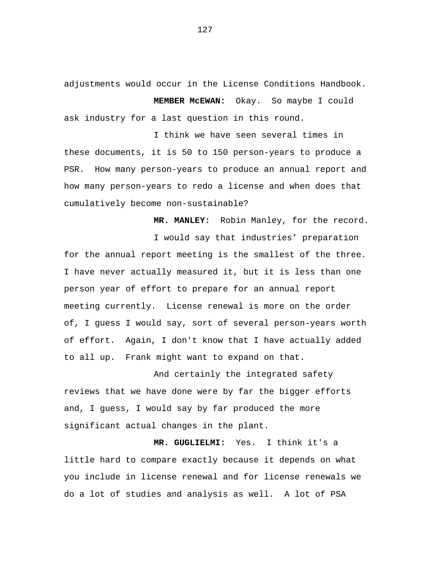adjustments would occur in the License Conditions Handbook.

**MEMBER McEWAN:** Okay. So maybe I could ask industry for a last question in this round.

I think we have seen several times in these documents, it is 50 to 150 person-years to produce a PSR. How many person-years to produce an annual report and how many person-years to redo a license and when does that cumulatively become non-sustainable?

**MR. MANLEY:** Robin Manley, for the record.

I would say that industries' preparation for the annual report meeting is the smallest of the three. I have never actually measured it, but it is less than one person year of effort to prepare for an annual report meeting currently. License renewal is more on the order of, I guess I would say, sort of several person-years worth of effort. Again, I don't know that I have actually added to all up. Frank might want to expand on that.

And certainly the integrated safety reviews that we have done were by far the bigger efforts and, I guess, I would say by far produced the more significant actual changes in the plant.

**MR. GUGLIELMI:** Yes. I think it's a little hard to compare exactly because it depends on what you include in license renewal and for license renewals we do a lot of studies and analysis as well. A lot of PSA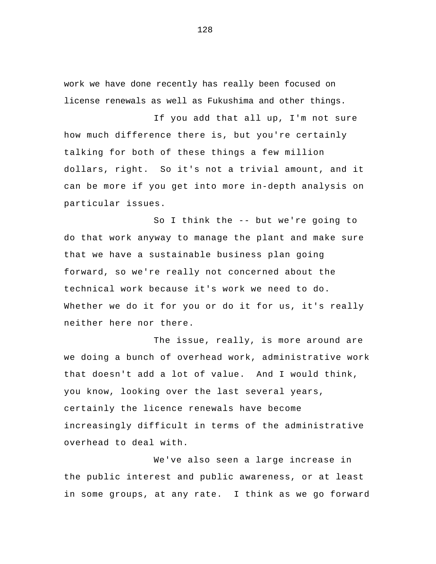work we have done recently has really been focused on license renewals as well as Fukushima and other things.

If you add that all up, I'm not sure how much difference there is, but you're certainly talking for both of these things a few million dollars, right. So it's not a trivial amount, and it can be more if you get into more in-depth analysis on particular issues.

So I think the -- but we're going to do that work anyway to manage the plant and make sure that we have a sustainable business plan going forward, so we're really not concerned about the technical work because it's work we need to do. Whether we do it for you or do it for us, it's really neither here nor there.

The issue, really, is more around are we doing a bunch of overhead work, administrative work that doesn't add a lot of value. And I would think, you know, looking over the last several years, certainly the licence renewals have become increasingly difficult in terms of the administrative overhead to deal with.

We've also seen a large increase in the public interest and public awareness, or at least in some groups, at any rate. I think as we go forward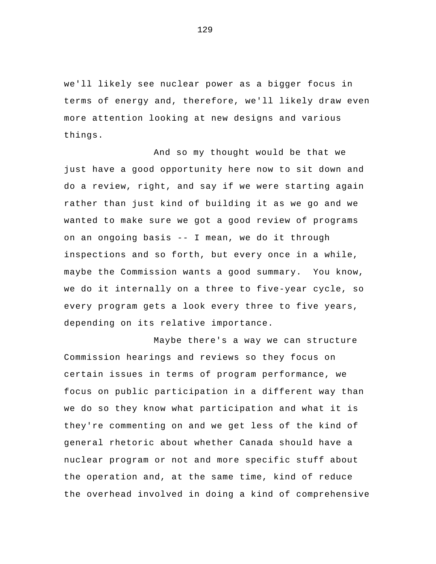we'll likely see nuclear power as a bigger focus in terms of energy and, therefore, we'll likely draw even more attention looking at new designs and various things.

And so my thought would be that we just have a good opportunity here now to sit down and do a review, right, and say if we were starting again rather than just kind of building it as we go and we wanted to make sure we got a good review of programs on an ongoing basis -- I mean, we do it through inspections and so forth, but every once in a while, maybe the Commission wants a good summary. You know, we do it internally on a three to five-year cycle, so every program gets a look every three to five years, depending on its relative importance.

Maybe there's a way we can structure Commission hearings and reviews so they focus on certain issues in terms of program performance, we focus on public participation in a different way than we do so they know what participation and what it is they're commenting on and we get less of the kind of general rhetoric about whether Canada should have a nuclear program or not and more specific stuff about the operation and, at the same time, kind of reduce the overhead involved in doing a kind of comprehensive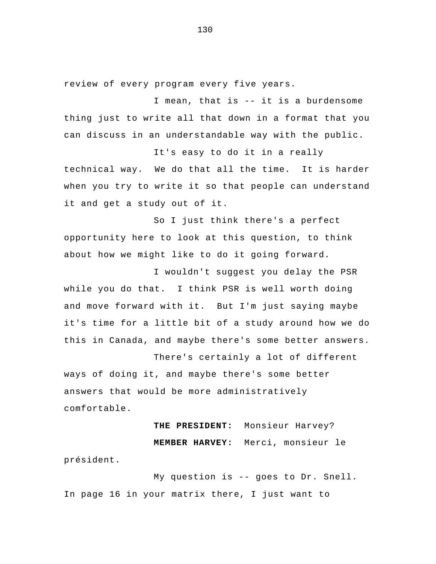review of every program every five years.

I mean, that is -- it is a burdensome thing just to write all that down in a format that you can discuss in an understandable way with the public.

It's easy to do it in a really technical way. We do that all the time. It is harder when you try to write it so that people can understand it and get a study out of it.

So I just think there's a perfect opportunity here to look at this question, to think about how we might like to do it going forward.

I wouldn't suggest you delay the PSR while you do that. I think PSR is well worth doing and move forward with it. But I'm just saying maybe it's time for a little bit of a study around how we do this in Canada, and maybe there's some better answers.

 There's certainly a lot of different ways of doing it, and maybe there's some better answers that would be more administratively comfortable.

## **THE PRESIDENT:** Monsieur Harvey? **MEMBER HARVEY:** Merci, monsieur le

président.

My question is -- goes to Dr. Snell. In page 16 in your matrix there, I just want to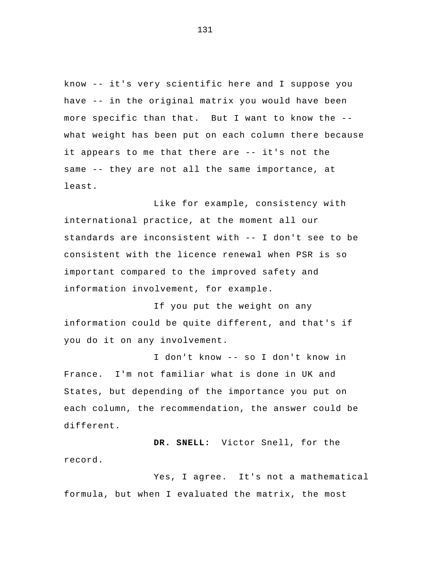know -- it's very scientific here and I suppose you have -- in the original matrix you would have been more specific than that. But I want to know the - what weight has been put on each column there because it appears to me that there are -- it's not the same -- they are not all the same importance, at least.

 Like for example, consistency with international practice, at the moment all our standards are inconsistent with -- I don't see to be consistent with the licence renewal when PSR is so important compared to the improved safety and information involvement, for example.

If you put the weight on any information could be quite different, and that's if you do it on any involvement.

I don't know -- so I don't know in France. I'm not familiar what is done in UK and States, but depending of the importance you put on each column, the recommendation, the answer could be different.

**DR. SNELL:** Victor Snell, for the record.

Yes, I agree. It's not a mathematical formula, but when I evaluated the matrix, the most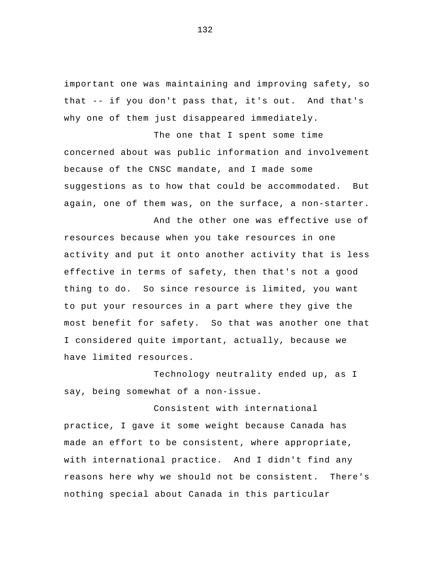important one was maintaining and improving safety, so that -- if you don't pass that, it's out. And that's why one of them just disappeared immediately.

The one that I spent some time concerned about was public information and involvement because of the CNSC mandate, and I made some suggestions as to how that could be accommodated. But again, one of them was, on the surface, a non-starter.

And the other one was effective use of resources because when you take resources in one activity and put it onto another activity that is less effective in terms of safety, then that's not a good thing to do. So since resource is limited, you want to put your resources in a part where they give the most benefit for safety. So that was another one that I considered quite important, actually, because we have limited resources.

 Technology neutrality ended up, as I say, being somewhat of a non-issue.

 Consistent with international practice, I gave it some weight because Canada has made an effort to be consistent, where appropriate, with international practice. And I didn't find any reasons here why we should not be consistent. There's nothing special about Canada in this particular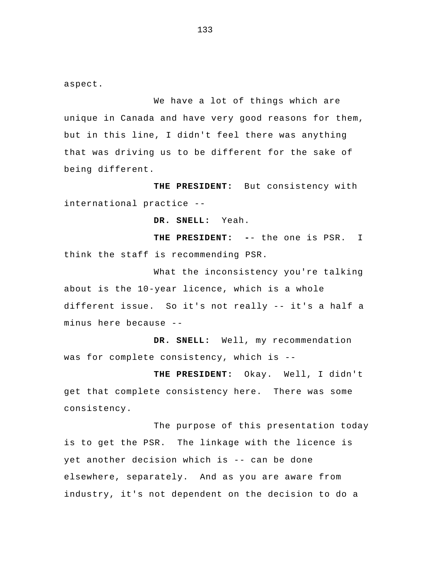aspect.

We have a lot of things which are unique in Canada and have very good reasons for them, but in this line, I didn't feel there was anything that was driving us to be different for the sake of being different.

**THE PRESIDENT:** But consistency with international practice --

**DR. SNELL:** Yeah.

**THE PRESIDENT: -**- the one is PSR. I think the staff is recommending PSR.

 What the inconsistency you're talking about is the 10-year licence, which is a whole different issue. So it's not really -- it's a half a minus here because --

**DR. SNELL:** Well, my recommendation was for complete consistency, which is --

**THE PRESIDENT:** Okay. Well, I didn't get that complete consistency here. There was some consistency.

 The purpose of this presentation today is to get the PSR. The linkage with the licence is yet another decision which is -- can be done elsewhere, separately. And as you are aware from industry, it's not dependent on the decision to do a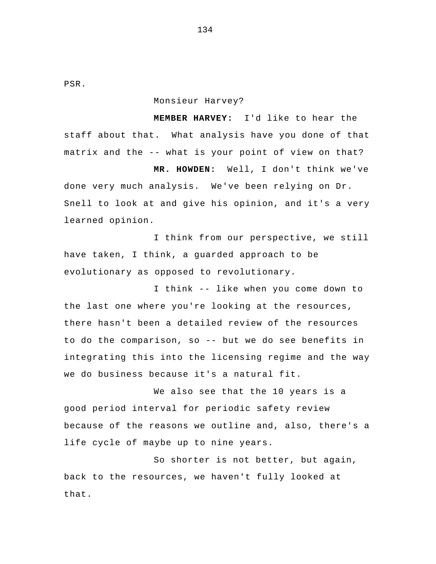PSR.

Monsieur Harvey?

**MEMBER HARVEY:** I'd like to hear the staff about that. What analysis have you done of that matrix and the -- what is your point of view on that?

**MR. HOWDEN:** Well, I don't think we've done very much analysis. We've been relying on Dr. Snell to look at and give his opinion, and it's a very learned opinion.

I think from our perspective, we still have taken, I think, a guarded approach to be evolutionary as opposed to revolutionary.

I think -- like when you come down to the last one where you're looking at the resources, there hasn't been a detailed review of the resources to do the comparison, so -- but we do see benefits in integrating this into the licensing regime and the way we do business because it's a natural fit.

We also see that the 10 years is a good period interval for periodic safety review because of the reasons we outline and, also, there's a life cycle of maybe up to nine years.

So shorter is not better, but again, back to the resources, we haven't fully looked at that.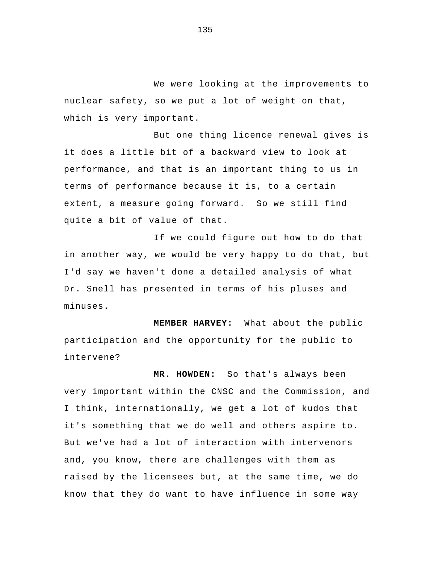We were looking at the improvements to nuclear safety, so we put a lot of weight on that, which is very important.

But one thing licence renewal gives is it does a little bit of a backward view to look at performance, and that is an important thing to us in terms of performance because it is, to a certain extent, a measure going forward. So we still find quite a bit of value of that.

 If we could figure out how to do that in another way, we would be very happy to do that, but I'd say we haven't done a detailed analysis of what Dr. Snell has presented in terms of his pluses and minuses.

**MEMBER HARVEY:** What about the public participation and the opportunity for the public to intervene?

**MR. HOWDEN:** So that's always been very important within the CNSC and the Commission, and I think, internationally, we get a lot of kudos that it's something that we do well and others aspire to. But we've had a lot of interaction with intervenors and, you know, there are challenges with them as raised by the licensees but, at the same time, we do know that they do want to have influence in some way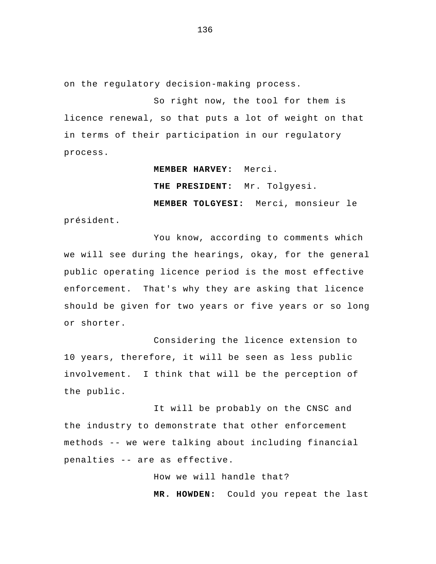on the regulatory decision-making process.

So right now, the tool for them is licence renewal, so that puts a lot of weight on that in terms of their participation in our regulatory process.

**MEMBER HARVEY:** Merci.

**THE PRESIDENT:** Mr. Tolgyesi.

**MEMBER TOLGYESI:** Merci, monsieur le président.

 You know, according to comments which we will see during the hearings, okay, for the general public operating licence period is the most effective enforcement. That's why they are asking that licence should be given for two years or five years or so long or shorter.

 Considering the licence extension to 10 years, therefore, it will be seen as less public involvement. I think that will be the perception of the public.

 It will be probably on the CNSC and the industry to demonstrate that other enforcement methods -- we were talking about including financial penalties -- are as effective.

> How we will handle that? **MR. HOWDEN:** Could you repeat the last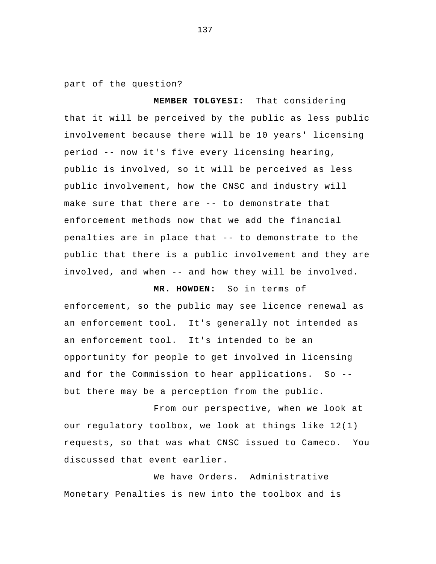part of the question?

**MEMBER TOLGYESI:** That considering that it will be perceived by the public as less public involvement because there will be 10 years' licensing period -- now it's five every licensing hearing, public is involved, so it will be perceived as less public involvement, how the CNSC and industry will make sure that there are -- to demonstrate that enforcement methods now that we add the financial penalties are in place that -- to demonstrate to the public that there is a public involvement and they are involved, and when -- and how they will be involved.

**MR. HOWDEN:** So in terms of enforcement, so the public may see licence renewal as an enforcement tool. It's generally not intended as an enforcement tool. It's intended to be an opportunity for people to get involved in licensing and for the Commission to hear applications. So - but there may be a perception from the public.

 From our perspective, when we look at our regulatory toolbox, we look at things like 12(1) requests, so that was what CNSC issued to Cameco. You discussed that event earlier.

 We have Orders. Administrative Monetary Penalties is new into the toolbox and is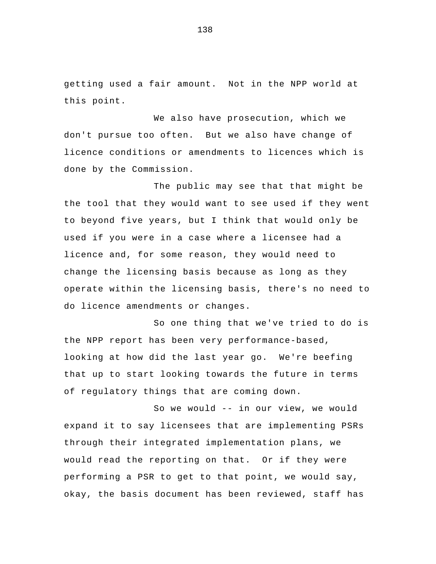getting used a fair amount. Not in the NPP world at this point.

 We also have prosecution, which we don't pursue too often. But we also have change of licence conditions or amendments to licences which is done by the Commission.

The public may see that that might be the tool that they would want to see used if they went to beyond five years, but I think that would only be used if you were in a case where a licensee had a licence and, for some reason, they would need to change the licensing basis because as long as they operate within the licensing basis, there's no need to do licence amendments or changes.

So one thing that we've tried to do is the NPP report has been very performance-based, looking at how did the last year go. We're beefing that up to start looking towards the future in terms of regulatory things that are coming down.

 So we would -- in our view, we would expand it to say licensees that are implementing PSRs through their integrated implementation plans, we would read the reporting on that. Or if they were performing a PSR to get to that point, we would say, okay, the basis document has been reviewed, staff has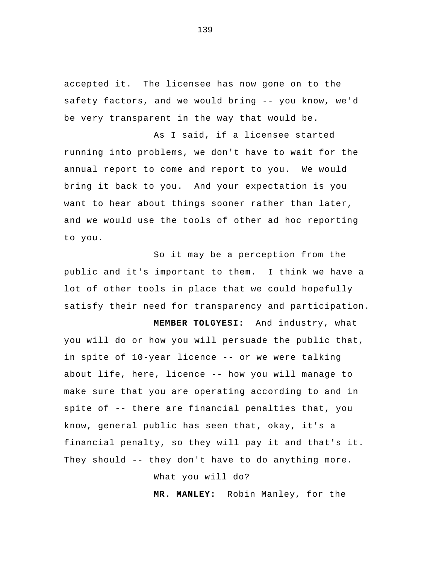accepted it. The licensee has now gone on to the safety factors, and we would bring -- you know, we'd be very transparent in the way that would be.

As I said, if a licensee started running into problems, we don't have to wait for the annual report to come and report to you. We would bring it back to you. And your expectation is you want to hear about things sooner rather than later, and we would use the tools of other ad hoc reporting to you.

So it may be a perception from the public and it's important to them. I think we have a lot of other tools in place that we could hopefully satisfy their need for transparency and participation.

**MEMBER TOLGYESI:** And industry, what you will do or how you will persuade the public that, in spite of 10-year licence -- or we were talking about life, here, licence -- how you will manage to make sure that you are operating according to and in spite of -- there are financial penalties that, you know, general public has seen that, okay, it's a financial penalty, so they will pay it and that's it. They should -- they don't have to do anything more.

What you will do?

**MR. MANLEY:** Robin Manley, for the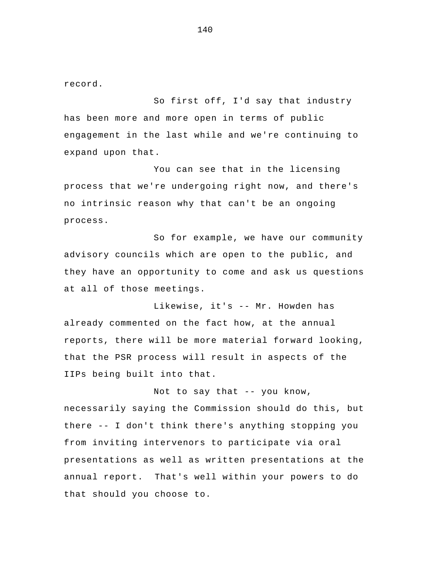record.

So first off, I'd say that industry has been more and more open in terms of public engagement in the last while and we're continuing to expand upon that.

You can see that in the licensing process that we're undergoing right now, and there's no intrinsic reason why that can't be an ongoing process.

So for example, we have our community advisory councils which are open to the public, and they have an opportunity to come and ask us questions at all of those meetings.

 Likewise, it's -- Mr. Howden has already commented on the fact how, at the annual reports, there will be more material forward looking, that the PSR process will result in aspects of the IIPs being built into that.

Not to say that -- you know, necessarily saying the Commission should do this, but there -- I don't think there's anything stopping you from inviting intervenors to participate via oral presentations as well as written presentations at the annual report. That's well within your powers to do that should you choose to.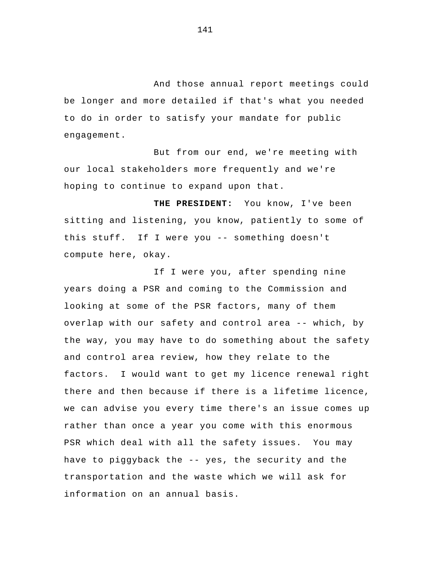And those annual report meetings could be longer and more detailed if that's what you needed to do in order to satisfy your mandate for public engagement.

But from our end, we're meeting with our local stakeholders more frequently and we're hoping to continue to expand upon that.

**THE PRESIDENT:** You know, I've been sitting and listening, you know, patiently to some of this stuff. If I were you -- something doesn't compute here, okay.

If I were you, after spending nine years doing a PSR and coming to the Commission and looking at some of the PSR factors, many of them overlap with our safety and control area -- which, by the way, you may have to do something about the safety and control area review, how they relate to the factors. I would want to get my licence renewal right there and then because if there is a lifetime licence, we can advise you every time there's an issue comes up rather than once a year you come with this enormous PSR which deal with all the safety issues. You may have to piggyback the -- yes, the security and the transportation and the waste which we will ask for information on an annual basis.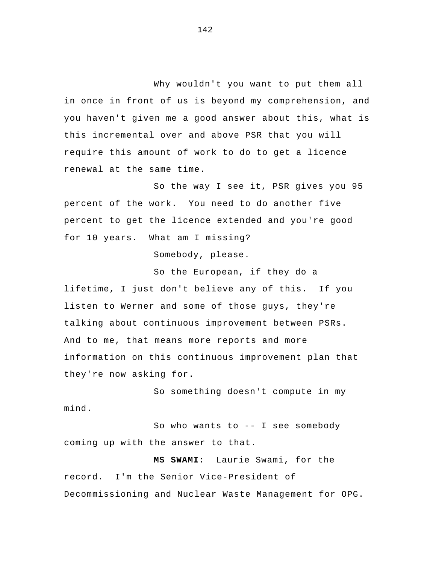Why wouldn't you want to put them all in once in front of us is beyond my comprehension, and you haven't given me a good answer about this, what is this incremental over and above PSR that you will require this amount of work to do to get a licence renewal at the same time.

So the way I see it, PSR gives you 95 percent of the work. You need to do another five percent to get the licence extended and you're good for 10 years. What am I missing?

Somebody, please.

So the European, if they do a lifetime, I just don't believe any of this. If you listen to Werner and some of those guys, they're talking about continuous improvement between PSRs. And to me, that means more reports and more information on this continuous improvement plan that they're now asking for.

 So something doesn't compute in my mind.

So who wants to -- I see somebody coming up with the answer to that.

**MS SWAMI:** Laurie Swami, for the record. I'm the Senior Vice-President of Decommissioning and Nuclear Waste Management for OPG.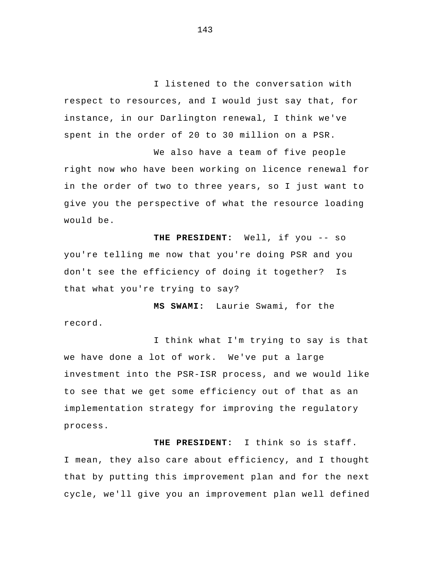I listened to the conversation with respect to resources, and I would just say that, for instance, in our Darlington renewal, I think we've spent in the order of 20 to 30 million on a PSR.

We also have a team of five people right now who have been working on licence renewal for in the order of two to three years, so I just want to give you the perspective of what the resource loading would be.

**THE PRESIDENT:** Well, if you -- so you're telling me now that you're doing PSR and you don't see the efficiency of doing it together? Is that what you're trying to say?

**MS SWAMI:** Laurie Swami, for the record.

I think what I'm trying to say is that we have done a lot of work. We've put a large investment into the PSR-ISR process, and we would like to see that we get some efficiency out of that as an implementation strategy for improving the regulatory process.

**THE PRESIDENT:** I think so is staff. I mean, they also care about efficiency, and I thought that by putting this improvement plan and for the next cycle, we'll give you an improvement plan well defined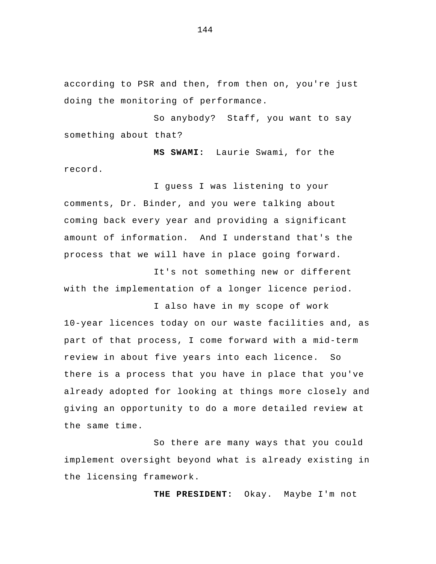according to PSR and then, from then on, you're just doing the monitoring of performance.

So anybody? Staff, you want to say something about that?

**MS SWAMI:** Laurie Swami, for the record.

I guess I was listening to your comments, Dr. Binder, and you were talking about coming back every year and providing a significant amount of information. And I understand that's the process that we will have in place going forward.

 It's not something new or different with the implementation of a longer licence period.

I also have in my scope of work 10-year licences today on our waste facilities and, as part of that process, I come forward with a mid-term review in about five years into each licence. So there is a process that you have in place that you've already adopted for looking at things more closely and giving an opportunity to do a more detailed review at the same time.

So there are many ways that you could implement oversight beyond what is already existing in the licensing framework.

**THE PRESIDENT:** Okay. Maybe I'm not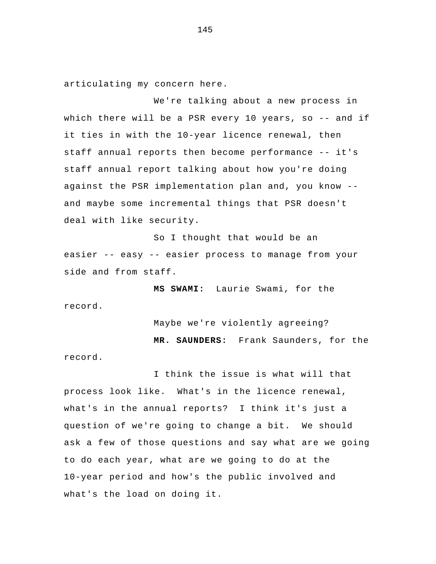articulating my concern here.

 We're talking about a new process in which there will be a PSR every 10 years, so -- and if it ties in with the 10-year licence renewal, then staff annual reports then become performance -- it's staff annual report talking about how you're doing against the PSR implementation plan and, you know - and maybe some incremental things that PSR doesn't deal with like security.

So I thought that would be an easier -- easy -- easier process to manage from your side and from staff.

**MS SWAMI:** Laurie Swami, for the record.

Maybe we're violently agreeing?

**MR. SAUNDERS:** Frank Saunders, for the

record.

I think the issue is what will that process look like. What's in the licence renewal, what's in the annual reports? I think it's just a question of we're going to change a bit. We should ask a few of those questions and say what are we going to do each year, what are we going to do at the 10-year period and how's the public involved and what's the load on doing it.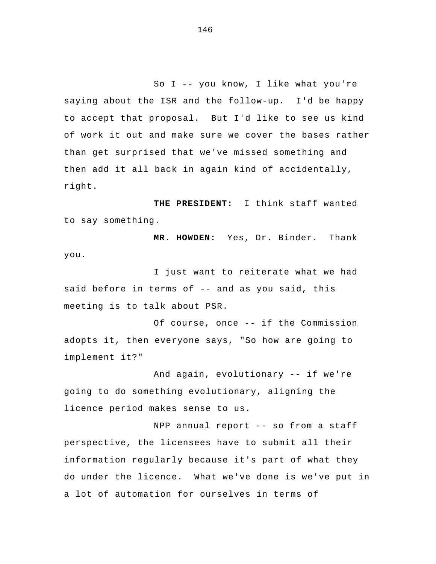So I -- you know, I like what you're saying about the ISR and the follow-up. I'd be happy to accept that proposal. But I'd like to see us kind of work it out and make sure we cover the bases rather than get surprised that we've missed something and then add it all back in again kind of accidentally, right.

**THE PRESIDENT:** I think staff wanted to say something.

**MR. HOWDEN:** Yes, Dr. Binder. Thank you.

I just want to reiterate what we had said before in terms of -- and as you said, this meeting is to talk about PSR.

Of course, once -- if the Commission adopts it, then everyone says, "So how are going to implement it?"

And again, evolutionary -- if we're going to do something evolutionary, aligning the licence period makes sense to us.

NPP annual report -- so from a staff perspective, the licensees have to submit all their information regularly because it's part of what they do under the licence. What we've done is we've put in a lot of automation for ourselves in terms of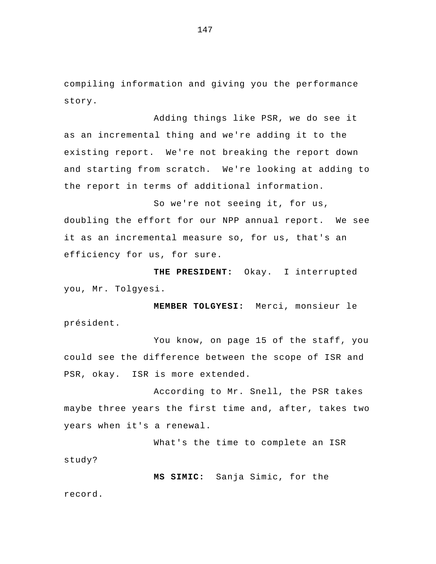compiling information and giving you the performance story.

Adding things like PSR, we do see it as an incremental thing and we're adding it to the existing report. We're not breaking the report down and starting from scratch. We're looking at adding to the report in terms of additional information.

So we're not seeing it, for us, doubling the effort for our NPP annual report. We see it as an incremental measure so, for us, that's an efficiency for us, for sure.

**THE PRESIDENT:** Okay. I interrupted you, Mr. Tolgyesi.

**MEMBER TOLGYESI:** Merci, monsieur le président.

You know, on page 15 of the staff, you could see the difference between the scope of ISR and PSR, okay. ISR is more extended.

 According to Mr. Snell, the PSR takes maybe three years the first time and, after, takes two years when it's a renewal.

 What's the time to complete an ISR study?

**MS SIMIC:** Sanja Simic, for the record.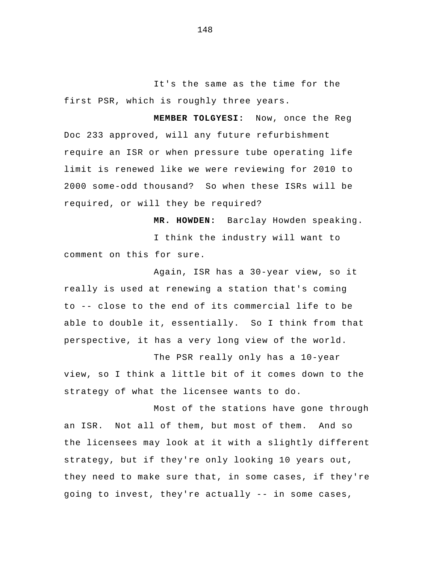It's the same as the time for the first PSR, which is roughly three years.

**MEMBER TOLGYESI:** Now, once the Reg Doc 233 approved, will any future refurbishment require an ISR or when pressure tube operating life limit is renewed like we were reviewing for 2010 to 2000 some-odd thousand? So when these ISRs will be required, or will they be required?

**MR. HOWDEN:** Barclay Howden speaking. I think the industry will want to comment on this for sure.

Again, ISR has a 30-year view, so it really is used at renewing a station that's coming to -- close to the end of its commercial life to be able to double it, essentially. So I think from that perspective, it has a very long view of the world.

The PSR really only has a 10-year view, so I think a little bit of it comes down to the strategy of what the licensee wants to do.

 Most of the stations have gone through an ISR. Not all of them, but most of them. And so the licensees may look at it with a slightly different strategy, but if they're only looking 10 years out, they need to make sure that, in some cases, if they're going to invest, they're actually -- in some cases,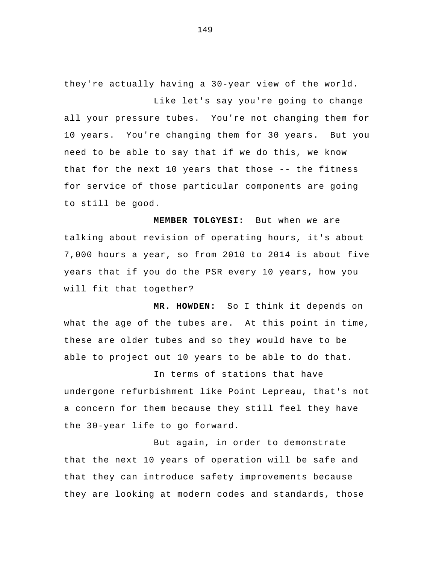they're actually having a 30-year view of the world. Like let's say you're going to change

all your pressure tubes. You're not changing them for 10 years. You're changing them for 30 years. But you need to be able to say that if we do this, we know that for the next 10 years that those -- the fitness for service of those particular components are going to still be good.

**MEMBER TOLGYESI:** But when we are talking about revision of operating hours, it's about 7,000 hours a year, so from 2010 to 2014 is about five years that if you do the PSR every 10 years, how you will fit that together?

**MR. HOWDEN:** So I think it depends on what the age of the tubes are. At this point in time, these are older tubes and so they would have to be able to project out 10 years to be able to do that.

In terms of stations that have undergone refurbishment like Point Lepreau, that's not a concern for them because they still feel they have the 30-year life to go forward.

But again, in order to demonstrate that the next 10 years of operation will be safe and that they can introduce safety improvements because they are looking at modern codes and standards, those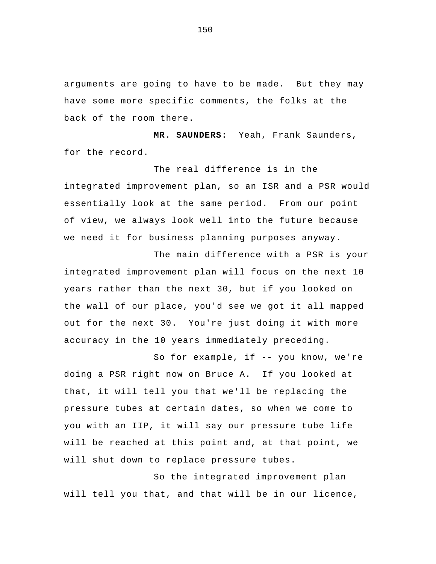arguments are going to have to be made. But they may have some more specific comments, the folks at the back of the room there.

**MR. SAUNDERS:** Yeah, Frank Saunders, for the record.

The real difference is in the integrated improvement plan, so an ISR and a PSR would essentially look at the same period. From our point of view, we always look well into the future because we need it for business planning purposes anyway.

The main difference with a PSR is your integrated improvement plan will focus on the next 10 years rather than the next 30, but if you looked on the wall of our place, you'd see we got it all mapped out for the next 30. You're just doing it with more accuracy in the 10 years immediately preceding.

So for example, if -- you know, we're doing a PSR right now on Bruce A. If you looked at that, it will tell you that we'll be replacing the pressure tubes at certain dates, so when we come to you with an IIP, it will say our pressure tube life will be reached at this point and, at that point, we will shut down to replace pressure tubes.

So the integrated improvement plan will tell you that, and that will be in our licence,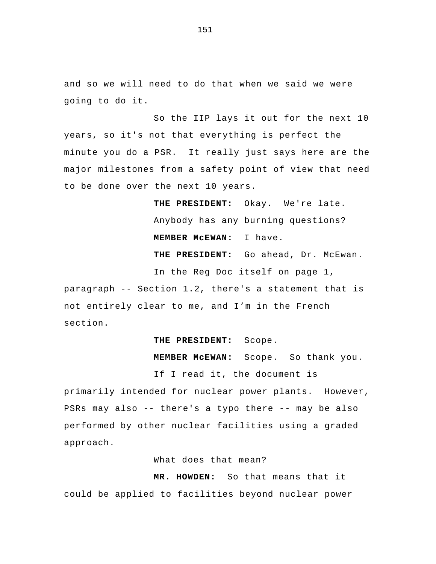and so we will need to do that when we said we were going to do it.

So the IIP lays it out for the next 10 years, so it's not that everything is perfect the minute you do a PSR. It really just says here are the major milestones from a safety point of view that need to be done over the next 10 years.

> **THE PRESIDENT:** Okay. We're late. Anybody has any burning questions? **MEMBER McEWAN:** I have. **THE PRESIDENT:** Go ahead, Dr. McEwan.

In the Reg Doc itself on page 1,

paragraph -- Section 1.2, there's a statement that is not entirely clear to me, and I'm in the French section.

## **THE PRESIDENT:** Scope.

**MEMBER McEWAN:** Scope. So thank you.

If I read it, the document is

primarily intended for nuclear power plants. However, PSRs may also -- there's a typo there -- may be also performed by other nuclear facilities using a graded approach.

What does that mean?

**MR. HOWDEN:** So that means that it could be applied to facilities beyond nuclear power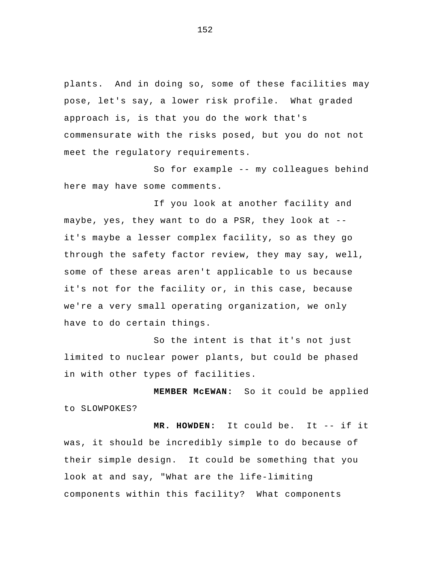plants. And in doing so, some of these facilities may pose, let's say, a lower risk profile. What graded approach is, is that you do the work that's commensurate with the risks posed, but you do not not meet the regulatory requirements.

So for example -- my colleagues behind here may have some comments.

If you look at another facility and maybe, yes, they want to do a PSR, they look at - it's maybe a lesser complex facility, so as they go through the safety factor review, they may say, well, some of these areas aren't applicable to us because it's not for the facility or, in this case, because we're a very small operating organization, we only have to do certain things.

So the intent is that it's not just limited to nuclear power plants, but could be phased in with other types of facilities.

**MEMBER McEWAN:** So it could be applied to SLOWPOKES?

**MR. HOWDEN:** It could be. It -- if it was, it should be incredibly simple to do because of their simple design. It could be something that you look at and say, "What are the life-limiting components within this facility? What components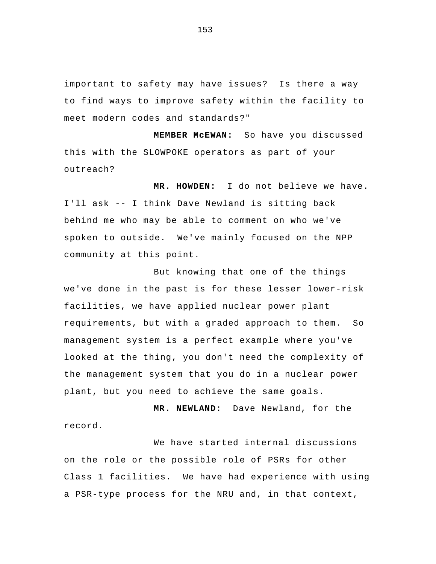important to safety may have issues? Is there a way to find ways to improve safety within the facility to meet modern codes and standards?"

**MEMBER McEWAN:** So have you discussed this with the SLOWPOKE operators as part of your outreach?

**MR. HOWDEN:** I do not believe we have. I'll ask -- I think Dave Newland is sitting back behind me who may be able to comment on who we've spoken to outside. We've mainly focused on the NPP community at this point.

 But knowing that one of the things we've done in the past is for these lesser lower-risk facilities, we have applied nuclear power plant requirements, but with a graded approach to them. So management system is a perfect example where you've looked at the thing, you don't need the complexity of the management system that you do in a nuclear power plant, but you need to achieve the same goals.

**MR. NEWLAND:** Dave Newland, for the record.

We have started internal discussions on the role or the possible role of PSRs for other Class 1 facilities. We have had experience with using a PSR-type process for the NRU and, in that context,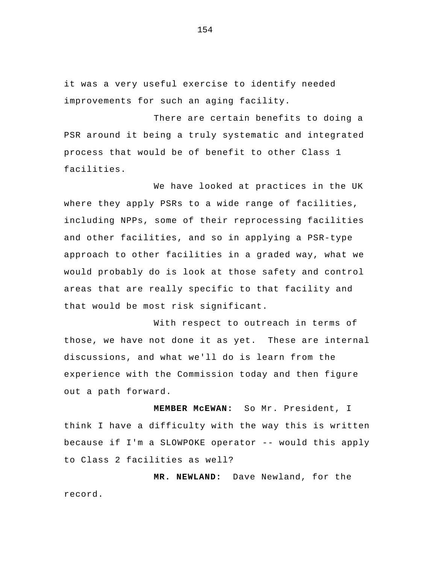it was a very useful exercise to identify needed improvements for such an aging facility.

 There are certain benefits to doing a PSR around it being a truly systematic and integrated process that would be of benefit to other Class 1 facilities.

 We have looked at practices in the UK where they apply PSRs to a wide range of facilities, including NPPs, some of their reprocessing facilities and other facilities, and so in applying a PSR-type approach to other facilities in a graded way, what we would probably do is look at those safety and control areas that are really specific to that facility and that would be most risk significant.

With respect to outreach in terms of those, we have not done it as yet. These are internal discussions, and what we'll do is learn from the experience with the Commission today and then figure out a path forward.

**MEMBER McEWAN:** So Mr. President, I think I have a difficulty with the way this is written because if I'm a SLOWPOKE operator -- would this apply to Class 2 facilities as well?

**MR. NEWLAND:** Dave Newland, for the record.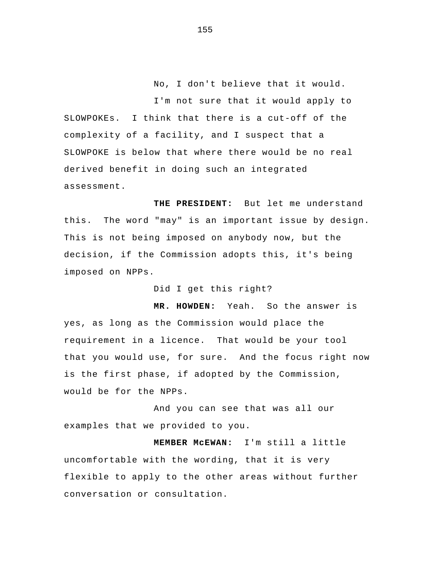No, I don't believe that it would.

I'm not sure that it would apply to SLOWPOKEs. I think that there is a cut-off of the complexity of a facility, and I suspect that a SLOWPOKE is below that where there would be no real derived benefit in doing such an integrated assessment.

**THE PRESIDENT:** But let me understand this. The word "may" is an important issue by design. This is not being imposed on anybody now, but the decision, if the Commission adopts this, it's being imposed on NPPs.

Did I get this right?

**MR. HOWDEN:** Yeah. So the answer is yes, as long as the Commission would place the requirement in a licence. That would be your tool that you would use, for sure. And the focus right now is the first phase, if adopted by the Commission, would be for the NPPs.

And you can see that was all our examples that we provided to you.

**MEMBER McEWAN:** I'm still a little uncomfortable with the wording, that it is very flexible to apply to the other areas without further conversation or consultation.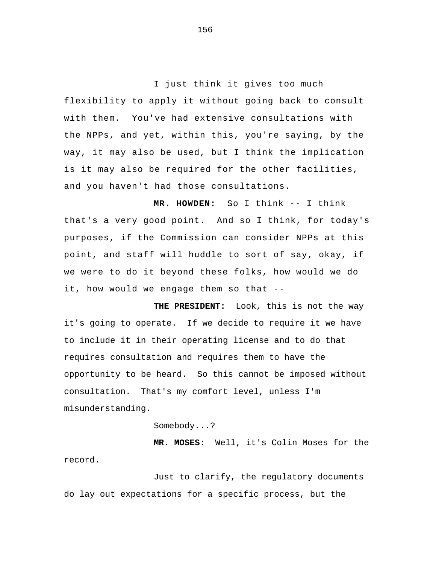I just think it gives too much flexibility to apply it without going back to consult with them. You've had extensive consultations with the NPPs, and yet, within this, you're saying, by the way, it may also be used, but I think the implication is it may also be required for the other facilities, and you haven't had those consultations.

**MR. HOWDEN:** So I think -- I think that's a very good point. And so I think, for today's purposes, if the Commission can consider NPPs at this point, and staff will huddle to sort of say, okay, if we were to do it beyond these folks, how would we do it, how would we engage them so that --

**THE PRESIDENT:** Look, this is not the way it's going to operate. If we decide to require it we have to include it in their operating license and to do that requires consultation and requires them to have the opportunity to be heard. So this cannot be imposed without consultation. That's my comfort level, unless I'm misunderstanding.

Somebody...?

**MR. MOSES:** Well, it's Colin Moses for the record.

Just to clarify, the regulatory documents do lay out expectations for a specific process, but the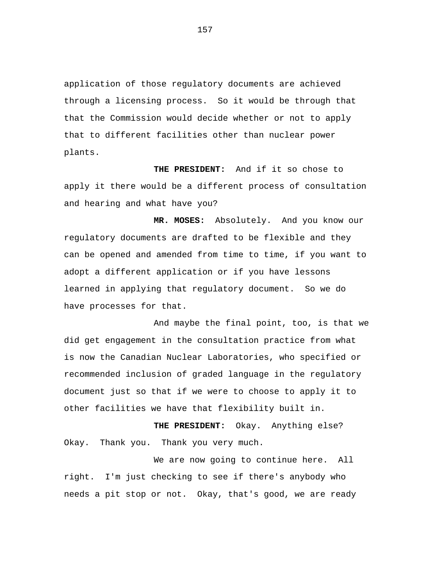application of those regulatory documents are achieved through a licensing process. So it would be through that that the Commission would decide whether or not to apply that to different facilities other than nuclear power plants.

**THE PRESIDENT:** And if it so chose to apply it there would be a different process of consultation and hearing and what have you?

**MR. MOSES:** Absolutely. And you know our regulatory documents are drafted to be flexible and they can be opened and amended from time to time, if you want to adopt a different application or if you have lessons learned in applying that regulatory document. So we do have processes for that.

And maybe the final point, too, is that we did get engagement in the consultation practice from what is now the Canadian Nuclear Laboratories, who specified or recommended inclusion of graded language in the regulatory document just so that if we were to choose to apply it to other facilities we have that flexibility built in.

**THE PRESIDENT:** Okay. Anything else? Okay. Thank you. Thank you very much.

We are now going to continue here. All right. I'm just checking to see if there's anybody who needs a pit stop or not. Okay, that's good, we are ready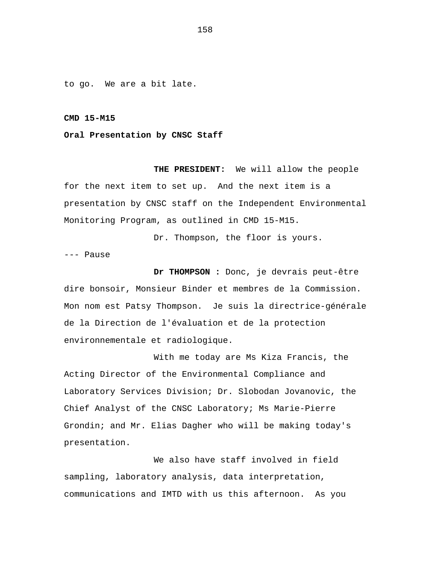to go. We are a bit late.

## **CMD 15-M15**

## **Oral Presentation by CNSC Staff**

**THE PRESIDENT:** We will allow the people for the next item to set up. And the next item is a presentation by CNSC staff on the Independent Environmental Monitoring Program, as outlined in CMD 15-M15.

Dr. Thompson, the floor is yours.

--- Pause

**Dr THOMPSON :** Donc, je devrais peut-être dire bonsoir, Monsieur Binder et membres de la Commission. Mon nom est Patsy Thompson. Je suis la directrice-générale de la Direction de l'évaluation et de la protection environnementale et radiologique.

With me today are Ms Kiza Francis, the Acting Director of the Environmental Compliance and Laboratory Services Division; Dr. Slobodan Jovanovic, the Chief Analyst of the CNSC Laboratory; Ms Marie-Pierre Grondin; and Mr. Elias Dagher who will be making today's presentation.

We also have staff involved in field sampling, laboratory analysis, data interpretation, communications and IMTD with us this afternoon. As you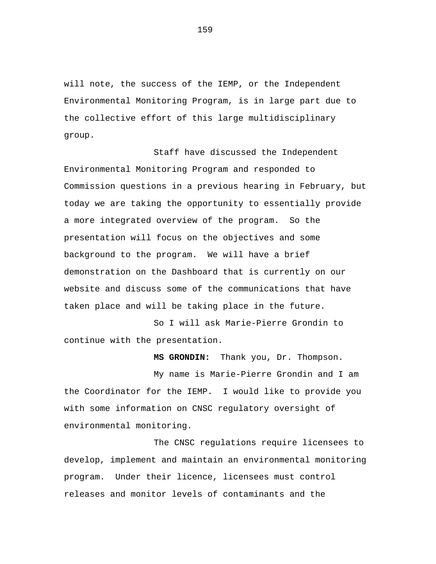will note, the success of the IEMP, or the Independent Environmental Monitoring Program, is in large part due to the collective effort of this large multidisciplinary group.

Staff have discussed the Independent Environmental Monitoring Program and responded to Commission questions in a previous hearing in February, but today we are taking the opportunity to essentially provide a more integrated overview of the program. So the presentation will focus on the objectives and some background to the program. We will have a brief demonstration on the Dashboard that is currently on our website and discuss some of the communications that have taken place and will be taking place in the future.

So I will ask Marie-Pierre Grondin to continue with the presentation.

**MS GRONDIN:** Thank you, Dr. Thompson.

My name is Marie-Pierre Grondin and I am the Coordinator for the IEMP. I would like to provide you with some information on CNSC regulatory oversight of environmental monitoring.

The CNSC regulations require licensees to develop, implement and maintain an environmental monitoring program. Under their licence, licensees must control releases and monitor levels of contaminants and the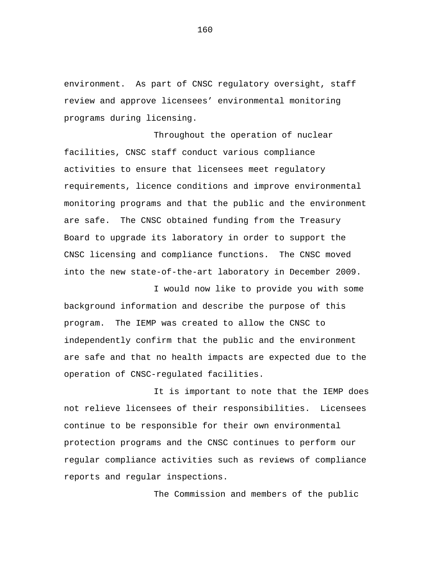environment. As part of CNSC regulatory oversight, staff review and approve licensees' environmental monitoring programs during licensing.

Throughout the operation of nuclear facilities, CNSC staff conduct various compliance activities to ensure that licensees meet regulatory requirements, licence conditions and improve environmental monitoring programs and that the public and the environment are safe. The CNSC obtained funding from the Treasury Board to upgrade its laboratory in order to support the CNSC licensing and compliance functions. The CNSC moved into the new state-of-the-art laboratory in December 2009.

I would now like to provide you with some background information and describe the purpose of this program. The IEMP was created to allow the CNSC to independently confirm that the public and the environment are safe and that no health impacts are expected due to the operation of CNSC-regulated facilities.

It is important to note that the IEMP does not relieve licensees of their responsibilities. Licensees continue to be responsible for their own environmental protection programs and the CNSC continues to perform our regular compliance activities such as reviews of compliance reports and regular inspections.

The Commission and members of the public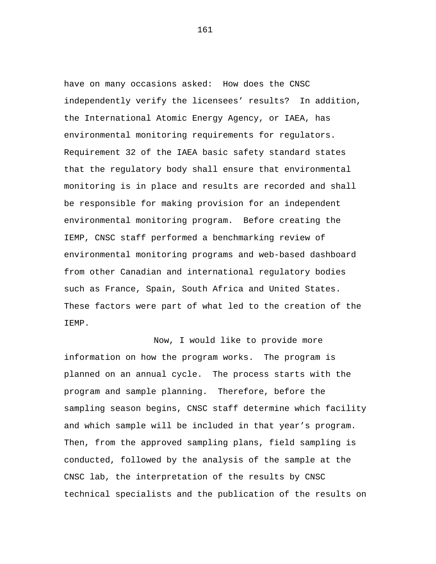have on many occasions asked: How does the CNSC independently verify the licensees' results? In addition, the International Atomic Energy Agency, or IAEA, has environmental monitoring requirements for regulators. Requirement 32 of the IAEA basic safety standard states that the regulatory body shall ensure that environmental monitoring is in place and results are recorded and shall be responsible for making provision for an independent environmental monitoring program. Before creating the IEMP, CNSC staff performed a benchmarking review of environmental monitoring programs and web-based dashboard from other Canadian and international regulatory bodies such as France, Spain, South Africa and United States. These factors were part of what led to the creation of the IEMP.

Now, I would like to provide more information on how the program works. The program is planned on an annual cycle. The process starts with the program and sample planning. Therefore, before the sampling season begins, CNSC staff determine which facility and which sample will be included in that year's program. Then, from the approved sampling plans, field sampling is conducted, followed by the analysis of the sample at the CNSC lab, the interpretation of the results by CNSC technical specialists and the publication of the results on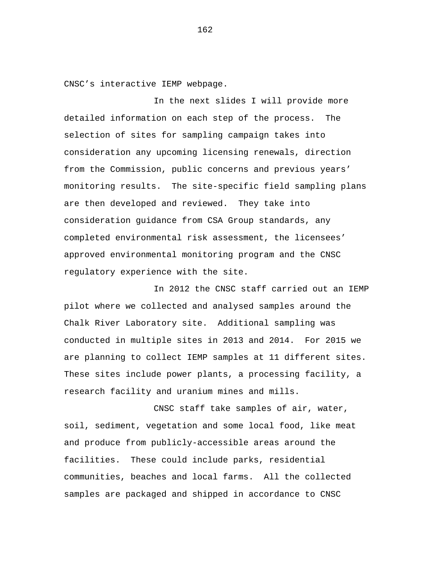CNSC's interactive IEMP webpage.

In the next slides I will provide more detailed information on each step of the process. The selection of sites for sampling campaign takes into consideration any upcoming licensing renewals, direction from the Commission, public concerns and previous years' monitoring results. The site-specific field sampling plans are then developed and reviewed. They take into consideration guidance from CSA Group standards, any completed environmental risk assessment, the licensees' approved environmental monitoring program and the CNSC regulatory experience with the site.

In 2012 the CNSC staff carried out an IEMP pilot where we collected and analysed samples around the Chalk River Laboratory site. Additional sampling was conducted in multiple sites in 2013 and 2014. For 2015 we are planning to collect IEMP samples at 11 different sites. These sites include power plants, a processing facility, a research facility and uranium mines and mills.

CNSC staff take samples of air, water, soil, sediment, vegetation and some local food, like meat and produce from publicly-accessible areas around the facilities. These could include parks, residential communities, beaches and local farms. All the collected samples are packaged and shipped in accordance to CNSC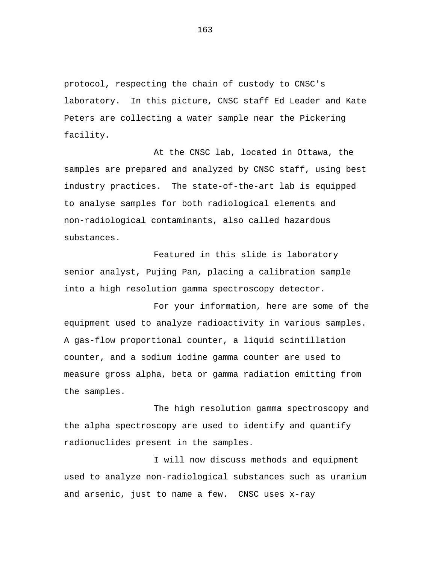protocol, respecting the chain of custody to CNSC's laboratory. In this picture, CNSC staff Ed Leader and Kate Peters are collecting a water sample near the Pickering facility.

At the CNSC lab, located in Ottawa, the samples are prepared and analyzed by CNSC staff, using best industry practices. The state-of-the-art lab is equipped to analyse samples for both radiological elements and non-radiological contaminants, also called hazardous substances.

Featured in this slide is laboratory senior analyst, Pujing Pan, placing a calibration sample into a high resolution gamma spectroscopy detector.

For your information, here are some of the equipment used to analyze radioactivity in various samples. A gas-flow proportional counter, a liquid scintillation counter, and a sodium iodine gamma counter are used to measure gross alpha, beta or gamma radiation emitting from the samples.

The high resolution gamma spectroscopy and the alpha spectroscopy are used to identify and quantify radionuclides present in the samples.

I will now discuss methods and equipment used to analyze non-radiological substances such as uranium and arsenic, just to name a few. CNSC uses x-ray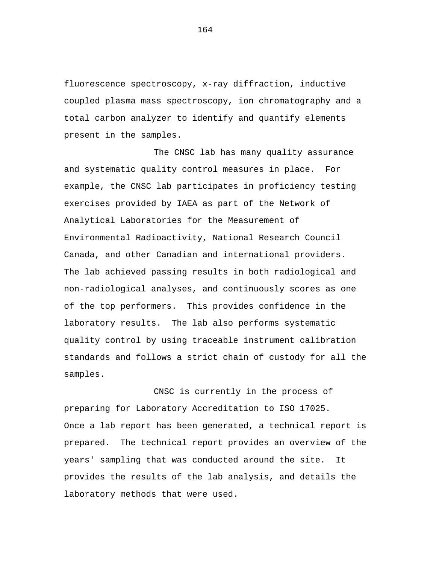fluorescence spectroscopy, x-ray diffraction, inductive coupled plasma mass spectroscopy, ion chromatography and a total carbon analyzer to identify and quantify elements present in the samples.

The CNSC lab has many quality assurance and systematic quality control measures in place. For example, the CNSC lab participates in proficiency testing exercises provided by IAEA as part of the Network of Analytical Laboratories for the Measurement of Environmental Radioactivity, National Research Council Canada, and other Canadian and international providers. The lab achieved passing results in both radiological and non-radiological analyses, and continuously scores as one of the top performers. This provides confidence in the laboratory results. The lab also performs systematic quality control by using traceable instrument calibration standards and follows a strict chain of custody for all the samples.

CNSC is currently in the process of preparing for Laboratory Accreditation to ISO 17025. Once a lab report has been generated, a technical report is prepared. The technical report provides an overview of the years' sampling that was conducted around the site. It provides the results of the lab analysis, and details the laboratory methods that were used.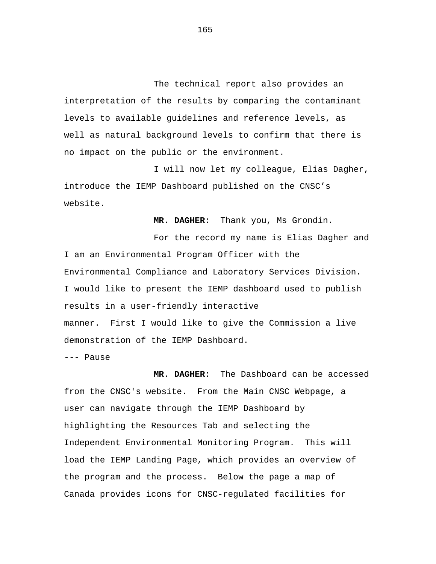The technical report also provides an interpretation of the results by comparing the contaminant levels to available guidelines and reference levels, as well as natural background levels to confirm that there is no impact on the public or the environment.

I will now let my colleague, Elias Dagher, introduce the IEMP Dashboard published on the CNSC's website.

**MR. DAGHER:** Thank you, Ms Grondin.

For the record my name is Elias Dagher and I am an Environmental Program Officer with the Environmental Compliance and Laboratory Services Division. I would like to present the IEMP dashboard used to publish results in a user-friendly interactive manner. First I would like to give the Commission a live demonstration of the IEMP Dashboard.

--- Pause

**MR. DAGHER:** The Dashboard can be accessed from the CNSC's website. From the Main CNSC Webpage, a user can navigate through the IEMP Dashboard by highlighting the Resources Tab and selecting the Independent Environmental Monitoring Program. This will load the IEMP Landing Page, which provides an overview of the program and the process. Below the page a map of Canada provides icons for CNSC-regulated facilities for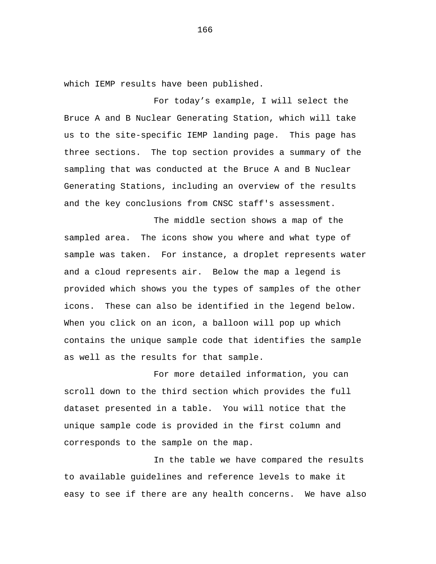which IEMP results have been published.

For today's example, I will select the Bruce A and B Nuclear Generating Station, which will take us to the site-specific IEMP landing page. This page has three sections. The top section provides a summary of the sampling that was conducted at the Bruce A and B Nuclear Generating Stations, including an overview of the results and the key conclusions from CNSC staff's assessment.

The middle section shows a map of the sampled area. The icons show you where and what type of sample was taken. For instance, a droplet represents water and a cloud represents air. Below the map a legend is provided which shows you the types of samples of the other icons. These can also be identified in the legend below. When you click on an icon, a balloon will pop up which contains the unique sample code that identifies the sample as well as the results for that sample.

For more detailed information, you can scroll down to the third section which provides the full dataset presented in a table. You will notice that the unique sample code is provided in the first column and corresponds to the sample on the map.

In the table we have compared the results to available guidelines and reference levels to make it easy to see if there are any health concerns. We have also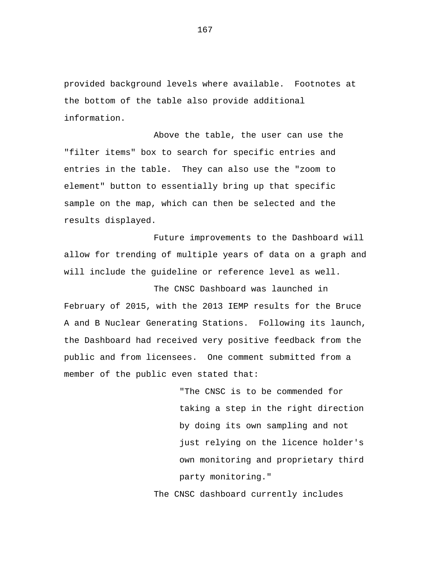provided background levels where available. Footnotes at the bottom of the table also provide additional information.

Above the table, the user can use the "filter items" box to search for specific entries and entries in the table. They can also use the "zoom to element" button to essentially bring up that specific sample on the map, which can then be selected and the results displayed.

Future improvements to the Dashboard will allow for trending of multiple years of data on a graph and will include the guideline or reference level as well.

The CNSC Dashboard was launched in February of 2015, with the 2013 IEMP results for the Bruce A and B Nuclear Generating Stations. Following its launch, the Dashboard had received very positive feedback from the public and from licensees. One comment submitted from a member of the public even stated that:

> "The CNSC is to be commended for taking a step in the right direction by doing its own sampling and not just relying on the licence holder's own monitoring and proprietary third party monitoring."

The CNSC dashboard currently includes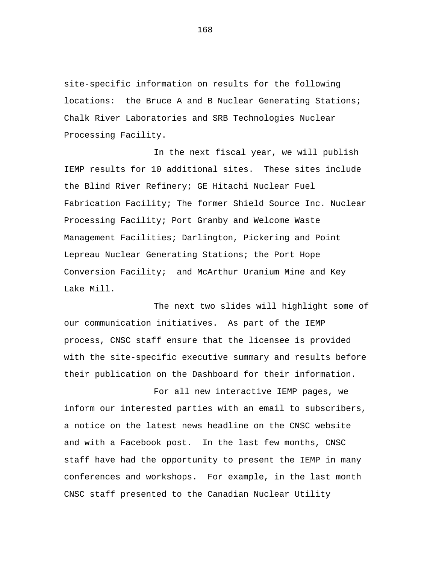site-specific information on results for the following locations: the Bruce A and B Nuclear Generating Stations; Chalk River Laboratories and SRB Technologies Nuclear Processing Facility.

In the next fiscal year, we will publish IEMP results for 10 additional sites. These sites include the Blind River Refinery; GE Hitachi Nuclear Fuel Fabrication Facility; The former Shield Source Inc. Nuclear Processing Facility; Port Granby and Welcome Waste Management Facilities; Darlington, Pickering and Point Lepreau Nuclear Generating Stations; the Port Hope Conversion Facility; and McArthur Uranium Mine and Key Lake Mill.

The next two slides will highlight some of our communication initiatives. As part of the IEMP process, CNSC staff ensure that the licensee is provided with the site-specific executive summary and results before their publication on the Dashboard for their information.

For all new interactive IEMP pages, we inform our interested parties with an email to subscribers, a notice on the latest news headline on the CNSC website and with a Facebook post. In the last few months, CNSC staff have had the opportunity to present the IEMP in many conferences and workshops. For example, in the last month CNSC staff presented to the Canadian Nuclear Utility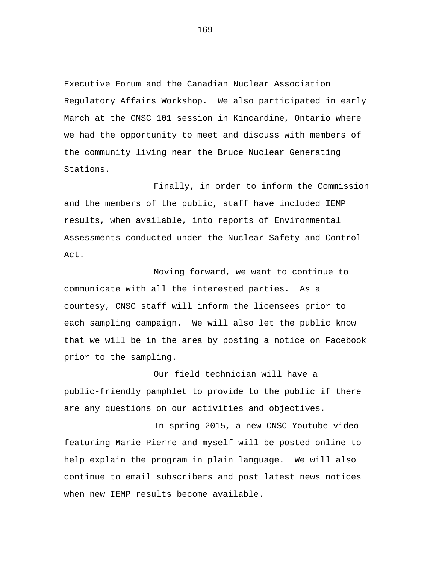Executive Forum and the Canadian Nuclear Association Regulatory Affairs Workshop. We also participated in early March at the CNSC 101 session in Kincardine, Ontario where we had the opportunity to meet and discuss with members of the community living near the Bruce Nuclear Generating Stations.

Finally, in order to inform the Commission and the members of the public, staff have included IEMP results, when available, into reports of Environmental Assessments conducted under the Nuclear Safety and Control Act.

Moving forward, we want to continue to communicate with all the interested parties. As a courtesy, CNSC staff will inform the licensees prior to each sampling campaign. We will also let the public know that we will be in the area by posting a notice on Facebook prior to the sampling.

Our field technician will have a public-friendly pamphlet to provide to the public if there are any questions on our activities and objectives.

In spring 2015, a new CNSC Youtube video featuring Marie-Pierre and myself will be posted online to help explain the program in plain language. We will also continue to email subscribers and post latest news notices when new IEMP results become available.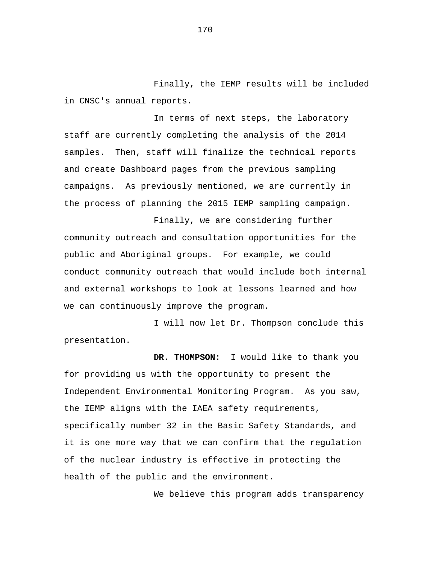Finally, the IEMP results will be included in CNSC's annual reports.

In terms of next steps, the laboratory staff are currently completing the analysis of the 2014 samples. Then, staff will finalize the technical reports and create Dashboard pages from the previous sampling campaigns. As previously mentioned, we are currently in the process of planning the 2015 IEMP sampling campaign.

Finally, we are considering further community outreach and consultation opportunities for the public and Aboriginal groups. For example, we could conduct community outreach that would include both internal and external workshops to look at lessons learned and how we can continuously improve the program.

I will now let Dr. Thompson conclude this presentation.

**DR. THOMPSON:** I would like to thank you for providing us with the opportunity to present the Independent Environmental Monitoring Program. As you saw, the IEMP aligns with the IAEA safety requirements, specifically number 32 in the Basic Safety Standards, and it is one more way that we can confirm that the regulation of the nuclear industry is effective in protecting the health of the public and the environment.

We believe this program adds transparency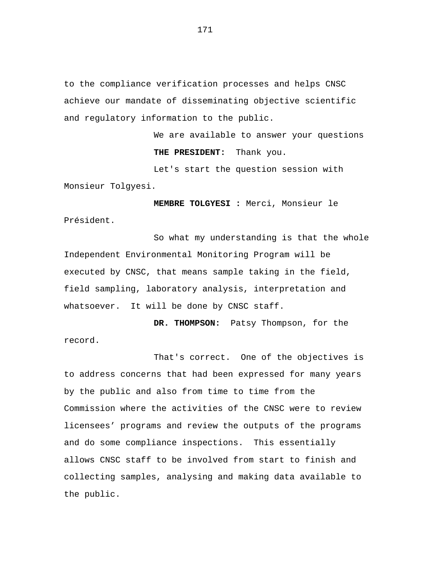to the compliance verification processes and helps CNSC achieve our mandate of disseminating objective scientific and regulatory information to the public.

> We are available to answer your questions **THE PRESIDENT:** Thank you.

Let's start the question session with Monsieur Tolgyesi.

**MEMBRE TOLGYESI :** Merci, Monsieur le Président.

So what my understanding is that the whole Independent Environmental Monitoring Program will be executed by CNSC, that means sample taking in the field, field sampling, laboratory analysis, interpretation and whatsoever. It will be done by CNSC staff.

**DR. THOMPSON:** Patsy Thompson, for the record.

That's correct. One of the objectives is to address concerns that had been expressed for many years by the public and also from time to time from the Commission where the activities of the CNSC were to review licensees' programs and review the outputs of the programs and do some compliance inspections. This essentially allows CNSC staff to be involved from start to finish and collecting samples, analysing and making data available to the public.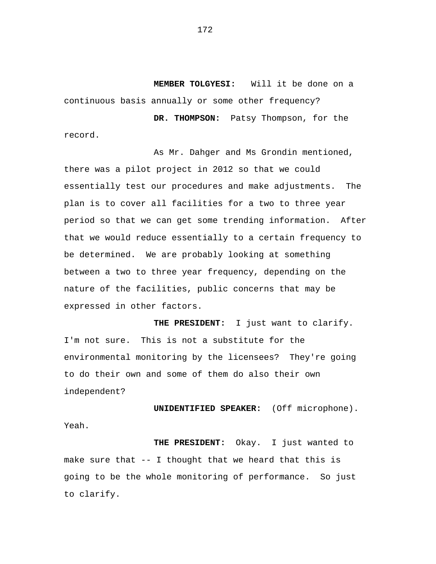**MEMBER TOLGYESI:** Will it be done on a continuous basis annually or some other frequency?

**DR. THOMPSON:** Patsy Thompson, for the record.

As Mr. Dahger and Ms Grondin mentioned, there was a pilot project in 2012 so that we could essentially test our procedures and make adjustments. The plan is to cover all facilities for a two to three year period so that we can get some trending information. After that we would reduce essentially to a certain frequency to be determined. We are probably looking at something between a two to three year frequency, depending on the nature of the facilities, public concerns that may be expressed in other factors.

**THE PRESIDENT:** I just want to clarify. I'm not sure. This is not a substitute for the environmental monitoring by the licensees? They're going to do their own and some of them do also their own independent?

**UNIDENTIFIED SPEAKER:** (Off microphone). Yeah.

**THE PRESIDENT:** Okay. I just wanted to make sure that  $--$  I thought that we heard that this is going to be the whole monitoring of performance. So just to clarify.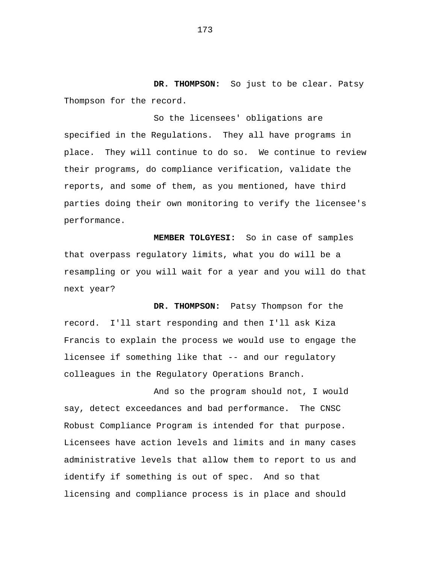**DR. THOMPSON:** So just to be clear. Patsy Thompson for the record.<br>So the licensees' obligations are

specified in the Regulations. They all have programs in place. They will continue to do so. We continue to review their programs, do compliance verification, validate the reports, and some of them, as you mentioned, have third parties doing their own monitoring to verify the licensee's performance.

**MEMBER TOLGYESI:** So in case of samples that overpass regulatory limits, what you do will be a resampling or you will wait for a year and you will do that next year?

**DR. THOMPSON:** Patsy Thompson for the record. I'll start responding and then I'll ask Kiza Francis to explain the process we would use to engage the licensee if something like that -- and our regulatory colleagues in the Regulatory Operations Branch.

And so the program should not, I would say, detect exceedances and bad performance. The CNSC Robust Compliance Program is intended for that purpose. Licensees have action levels and limits and in many cases administrative levels that allow them to report to us and identify if something is out of spec. And so that licensing and compliance process is in place and should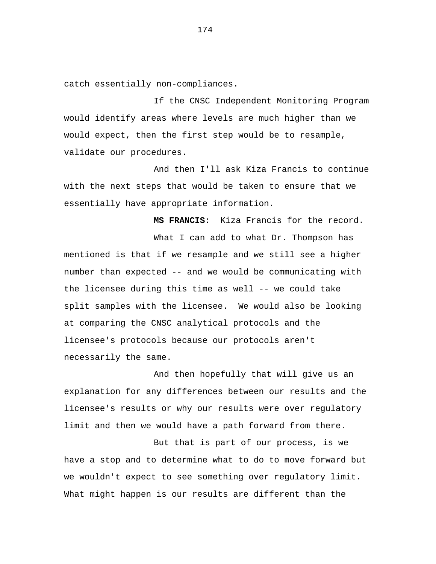catch essentially non-compliances.

If the CNSC Independent Monitoring Program would identify areas where levels are much higher than we would expect, then the first step would be to resample, validate our procedures.

And then I'll ask Kiza Francis to continue with the next steps that would be taken to ensure that we essentially have appropriate information.

**MS FRANCIS:** Kiza Francis for the record. What I can add to what Dr. Thompson has mentioned is that if we resample and we still see a higher number than expected -- and we would be communicating with the licensee during this time as well -- we could take split samples with the licensee. We would also be looking at comparing the CNSC analytical protocols and the licensee's protocols because our protocols aren't necessarily the same.

And then hopefully that will give us an explanation for any differences between our results and the licensee's results or why our results were over regulatory limit and then we would have a path forward from there.

But that is part of our process, is we have a stop and to determine what to do to move forward but we wouldn't expect to see something over regulatory limit. What might happen is our results are different than the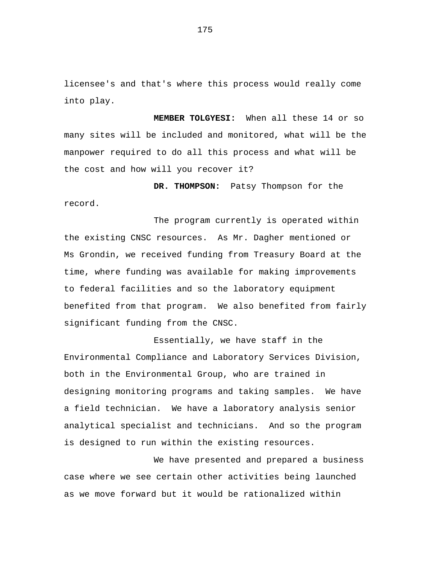licensee's and that's where this process would really come into play.

**MEMBER TOLGYESI:** When all these 14 or so many sites will be included and monitored, what will be the manpower required to do all this process and what will be the cost and how will you recover it?

**DR. THOMPSON:** Patsy Thompson for the record.

The program currently is operated within the existing CNSC resources. As Mr. Dagher mentioned or Ms Grondin, we received funding from Treasury Board at the time, where funding was available for making improvements to federal facilities and so the laboratory equipment benefited from that program. We also benefited from fairly significant funding from the CNSC.

Essentially, we have staff in the Environmental Compliance and Laboratory Services Division, both in the Environmental Group, who are trained in designing monitoring programs and taking samples. We have a field technician. We have a laboratory analysis senior analytical specialist and technicians. And so the program is designed to run within the existing resources.

We have presented and prepared a business case where we see certain other activities being launched as we move forward but it would be rationalized within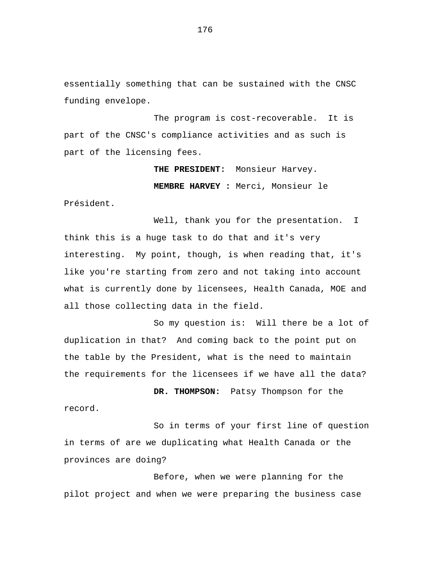essentially something that can be sustained with the CNSC funding envelope.

The program is cost-recoverable. It is part of the CNSC's compliance activities and as such is part of the licensing fees.

> **THE PRESIDENT:** Monsieur Harvey. **MEMBRE HARVEY :** Merci, Monsieur le

Président.

Well, thank you for the presentation. I think this is a huge task to do that and it's very interesting. My point, though, is when reading that, it's like you're starting from zero and not taking into account what is currently done by licensees, Health Canada, MOE and all those collecting data in the field.

So my question is: Will there be a lot of duplication in that? And coming back to the point put on the table by the President, what is the need to maintain the requirements for the licensees if we have all the data?

**DR. THOMPSON:** Patsy Thompson for the record.

So in terms of your first line of question in terms of are we duplicating what Health Canada or the provinces are doing?

Before, when we were planning for the pilot project and when we were preparing the business case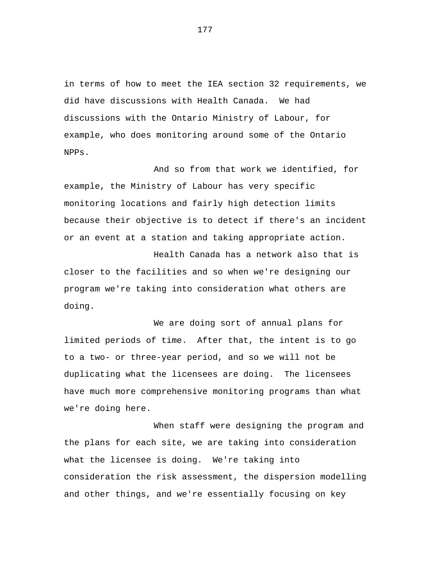in terms of how to meet the IEA section 32 requirements, we did have discussions with Health Canada. We had discussions with the Ontario Ministry of Labour, for example, who does monitoring around some of the Ontario NPPs.

And so from that work we identified, for example, the Ministry of Labour has very specific monitoring locations and fairly high detection limits because their objective is to detect if there's an incident or an event at a station and taking appropriate action.

Health Canada has a network also that is closer to the facilities and so when we're designing our program we're taking into consideration what others are doing.

We are doing sort of annual plans for limited periods of time. After that, the intent is to go to a two- or three-year period, and so we will not be duplicating what the licensees are doing. The licensees have much more comprehensive monitoring programs than what we're doing here.

When staff were designing the program and the plans for each site, we are taking into consideration what the licensee is doing. We're taking into consideration the risk assessment, the dispersion modelling and other things, and we're essentially focusing on key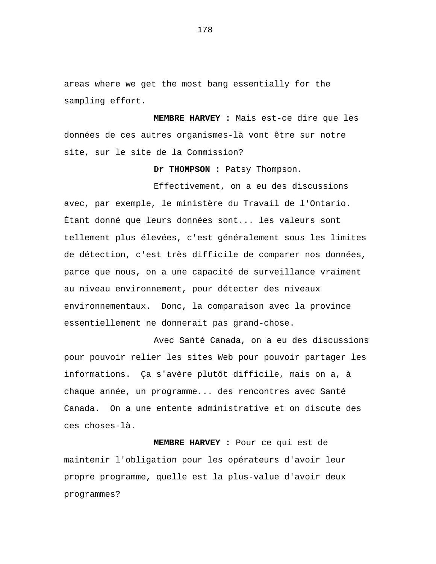areas where we get the most bang essentially for the sampling effort.

**MEMBRE HARVEY :** Mais est-ce dire que les données de ces autres organismes-là vont être sur notre site, sur le site de la Commission?

**Dr THOMPSON :** Patsy Thompson.

Effectivement, on a eu des discussions avec, par exemple, le ministère du Travail de l'Ontario. Étant donné que leurs données sont... les valeurs sont tellement plus élevées, c'est généralement sous les limites de détection, c'est très difficile de comparer nos données, parce que nous, on a une capacité de surveillance vraiment au niveau environnement, pour détecter des niveaux environnementaux. Donc, la comparaison avec la province essentiellement ne donnerait pas grand-chose.

Avec Santé Canada, on a eu des discussions pour pouvoir relier les sites Web pour pouvoir partager les informations. Ça s'avère plutôt difficile, mais on a, à chaque année, un programme... des rencontres avec Santé Canada. On a une entente administrative et on discute des ces choses-là.

**MEMBRE HARVEY :** Pour ce qui est de maintenir l'obligation pour les opérateurs d'avoir leur propre programme, quelle est la plus-value d'avoir deux programmes?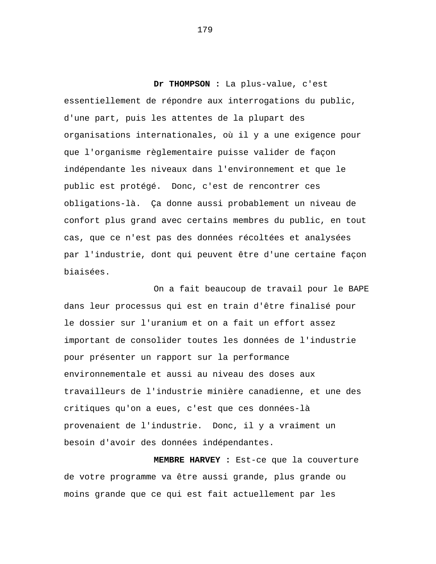**Dr THOMPSON :** La plus-value, c'est essentiellement de répondre aux interrogations du public, d'une part, puis les attentes de la plupart des organisations internationales, où il y a une exigence pour que l'organisme règlementaire puisse valider de façon indépendante les niveaux dans l'environnement et que le public est protégé. Donc, c'est de rencontrer ces obligations-là. Ça donne aussi probablement un niveau de confort plus grand avec certains membres du public, en tout cas, que ce n'est pas des données récoltées et analysées par l'industrie, dont qui peuvent être d'une certaine façon biaisées.

On a fait beaucoup de travail pour le BAPE dans leur processus qui est en train d'être finalisé pour le dossier sur l'uranium et on a fait un effort assez important de consolider toutes les données de l'industrie pour présenter un rapport sur la performance environnementale et aussi au niveau des doses aux travailleurs de l'industrie minière canadienne, et une des critiques qu'on a eues, c'est que ces données-là provenaient de l'industrie. Donc, il y a vraiment un besoin d'avoir des données indépendantes.

**MEMBRE HARVEY :** Est-ce que la couverture de votre programme va être aussi grande, plus grande ou moins grande que ce qui est fait actuellement par les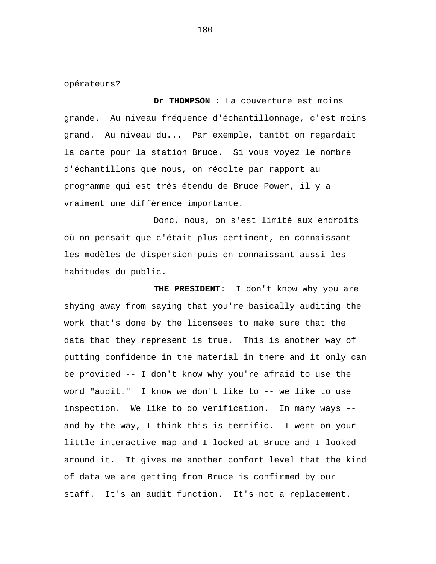opérateurs?

**Dr THOMPSON :** La couverture est moins grande. Au niveau fréquence d'échantillonnage, c'est moins grand. Au niveau du... Par exemple, tantôt on regardait la carte pour la station Bruce. Si vous voyez le nombre d'échantillons que nous, on récolte par rapport au programme qui est très étendu de Bruce Power, il y a vraiment une différence importante.

Donc, nous, on s'est limité aux endroits où on pensait que c'était plus pertinent, en connaissant les modèles de dispersion puis en connaissant aussi les habitudes du public.

**THE PRESIDENT:** I don't know why you are shying away from saying that you're basically auditing the work that's done by the licensees to make sure that the data that they represent is true. This is another way of putting confidence in the material in there and it only can be provided -- I don't know why you're afraid to use the word "audit." I know we don't like to -- we like to use inspection. We like to do verification. In many ways - and by the way, I think this is terrific. I went on your little interactive map and I looked at Bruce and I looked around it. It gives me another comfort level that the kind of data we are getting from Bruce is confirmed by our staff. It's an audit function. It's not a replacement.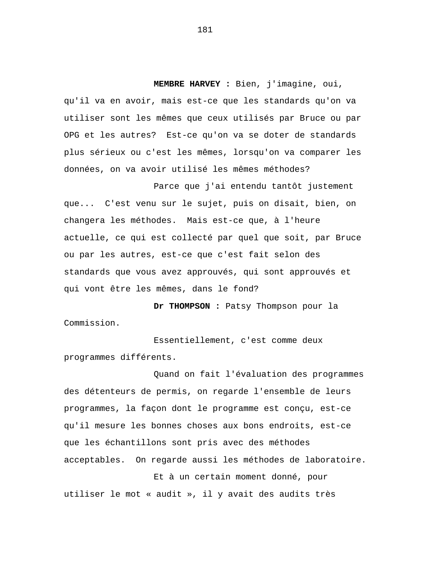**MEMBRE HARVEY :** Bien, j'imagine, oui, qu'il va en avoir, mais est-ce que les standards qu'on va utiliser sont les mêmes que ceux utilisés par Bruce ou par OPG et les autres? Est-ce qu'on va se doter de standards plus sérieux ou c'est les mêmes, lorsqu'on va comparer les données, on va avoir utilisé les mêmes méthodes?

Parce que j'ai entendu tantôt justement que... C'est venu sur le sujet, puis on disait, bien, on changera les méthodes. Mais est-ce que, à l'heure actuelle, ce qui est collecté par quel que soit, par Bruce ou par les autres, est-ce que c'est fait selon des standards que vous avez approuvés, qui sont approuvés et qui vont être les mêmes, dans le fond?

**Dr THOMPSON :** Patsy Thompson pour la Commission.

Essentiellement, c'est comme deux programmes différents.

Quand on fait l'évaluation des programmes des détenteurs de permis, on regarde l'ensemble de leurs programmes, la façon dont le programme est conçu, est-ce qu'il mesure les bonnes choses aux bons endroits, est-ce que les échantillons sont pris avec des méthodes acceptables. On regarde aussi les méthodes de laboratoire.

Et à un certain moment donné, pour utiliser le mot « audit », il y avait des audits très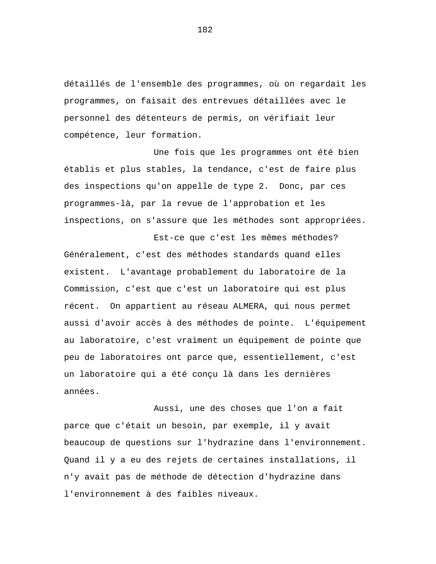détaillés de l'ensemble des programmes, où on regardait les programmes, on faisait des entrevues détaillées avec le personnel des détenteurs de permis, on vérifiait leur compétence, leur formation.

Une fois que les programmes ont été bien établis et plus stables, la tendance, c'est de faire plus des inspections qu'on appelle de type 2. Donc, par ces programmes-là, par la revue de l'approbation et les inspections, on s'assure que les méthodes sont appropriées.

Est-ce que c'est les mêmes méthodes? Généralement, c'est des méthodes standards quand elles existent. L'avantage probablement du laboratoire de la Commission, c'est que c'est un laboratoire qui est plus récent. On appartient au réseau ALMERA, qui nous permet aussi d'avoir accès à des méthodes de pointe. L'équipement au laboratoire, c'est vraiment un équipement de pointe que peu de laboratoires ont parce que, essentiellement, c'est un laboratoire qui a été conçu là dans les dernières années.

Aussi, une des choses que l'on a fait parce que c'était un besoin, par exemple, il y avait beaucoup de questions sur l'hydrazine dans l'environnement. Quand il y a eu des rejets de certaines installations, il n'y avait pas de méthode de détection d'hydrazine dans l'environnement à des faibles niveaux.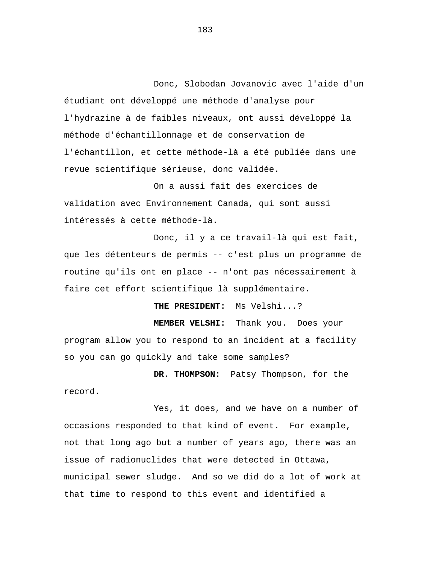Donc, Slobodan Jovanovic avec l'aide d'un étudiant ont développé une méthode d'analyse pour l'hydrazine à de faibles niveaux, ont aussi développé la méthode d'échantillonnage et de conservation de l'échantillon, et cette méthode-là a été publiée dans une revue scientifique sérieuse, donc validée.

On a aussi fait des exercices de validation avec Environnement Canada, qui sont aussi intéressés à cette méthode-là.

Donc, il y a ce travail-là qui est fait, que les détenteurs de permis -- c'est plus un programme de routine qu'ils ont en place -- n'ont pas nécessairement à faire cet effort scientifique là supplémentaire.

**THE PRESIDENT:** Ms Velshi...?

**MEMBER VELSHI:** Thank you. Does your program allow you to respond to an incident at a facility so you can go quickly and take some samples?

**DR. THOMPSON:** Patsy Thompson, for the record.

Yes, it does, and we have on a number of occasions responded to that kind of event. For example, not that long ago but a number of years ago, there was an issue of radionuclides that were detected in Ottawa, municipal sewer sludge. And so we did do a lot of work at that time to respond to this event and identified a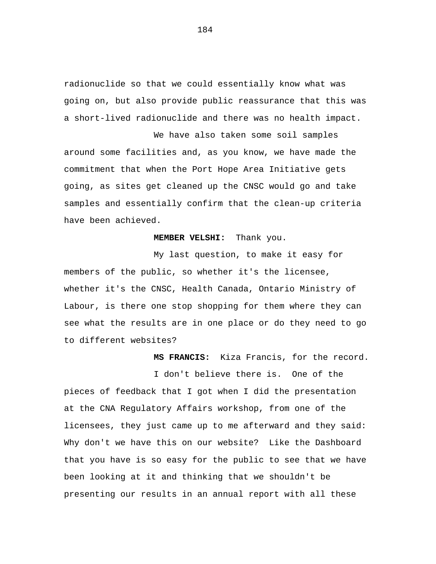radionuclide so that we could essentially know what was going on, but also provide public reassurance that this was a short-lived radionuclide and there was no health impact.

We have also taken some soil samples around some facilities and, as you know, we have made the commitment that when the Port Hope Area Initiative gets going, as sites get cleaned up the CNSC would go and take samples and essentially confirm that the clean-up criteria have been achieved.

## **MEMBER VELSHI:** Thank you.

My last question, to make it easy for members of the public, so whether it's the licensee, whether it's the CNSC, Health Canada, Ontario Ministry of Labour, is there one stop shopping for them where they can see what the results are in one place or do they need to go to different websites?

**MS FRANCIS:** Kiza Francis, for the record.

I don't believe there is. One of the pieces of feedback that I got when I did the presentation at the CNA Regulatory Affairs workshop, from one of the licensees, they just came up to me afterward and they said: Why don't we have this on our website? Like the Dashboard that you have is so easy for the public to see that we have been looking at it and thinking that we shouldn't be presenting our results in an annual report with all these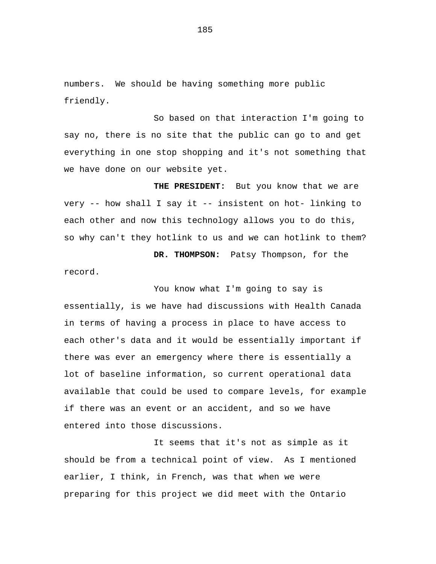numbers. We should be having something more public friendly.

So based on that interaction I'm going to say no, there is no site that the public can go to and get everything in one stop shopping and it's not something that we have done on our website yet.

**THE PRESIDENT:** But you know that we are very -- how shall I say it -- insistent on hot- linking to each other and now this technology allows you to do this, so why can't they hotlink to us and we can hotlink to them?

**DR. THOMPSON:** Patsy Thompson, for the record.

You know what I'm going to say is essentially, is we have had discussions with Health Canada in terms of having a process in place to have access to each other's data and it would be essentially important if there was ever an emergency where there is essentially a lot of baseline information, so current operational data available that could be used to compare levels, for example if there was an event or an accident, and so we have entered into those discussions.

It seems that it's not as simple as it should be from a technical point of view. As I mentioned earlier, I think, in French, was that when we were preparing for this project we did meet with the Ontario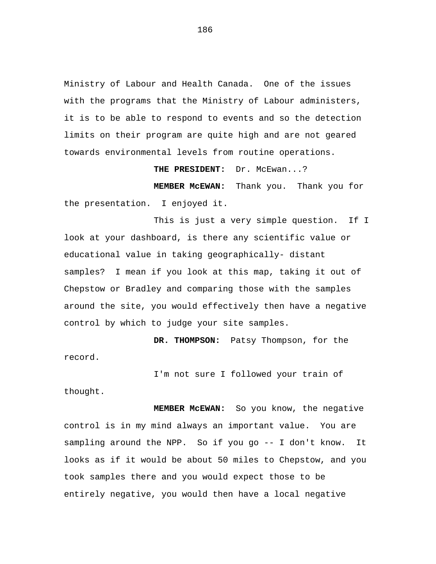Ministry of Labour and Health Canada. One of the issues with the programs that the Ministry of Labour administers, it is to be able to respond to events and so the detection limits on their program are quite high and are not geared towards environmental levels from routine operations.

**THE PRESIDENT:** Dr. McEwan...?

**MEMBER McEWAN:** Thank you. Thank you for the presentation. I enjoyed it.

This is just a very simple question. If I look at your dashboard, is there any scientific value or educational value in taking geographically- distant samples? I mean if you look at this map, taking it out of Chepstow or Bradley and comparing those with the samples around the site, you would effectively then have a negative control by which to judge your site samples.

**DR. THOMPSON:** Patsy Thompson, for the record.

I'm not sure I followed your train of

thought.

**MEMBER McEWAN:** So you know, the negative control is in my mind always an important value. You are sampling around the NPP. So if you go -- I don't know. It looks as if it would be about 50 miles to Chepstow, and you took samples there and you would expect those to be entirely negative, you would then have a local negative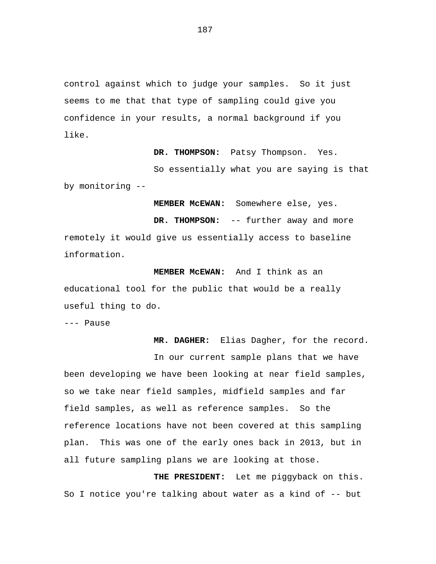control against which to judge your samples. So it just seems to me that that type of sampling could give you confidence in your results, a normal background if you like.

**DR. THOMPSON:** Patsy Thompson. Yes.

So essentially what you are saying is that by monitoring --

**MEMBER McEWAN:** Somewhere else, yes.

**DR. THOMPSON:** -- further away and more remotely it would give us essentially access to baseline information.

**MEMBER McEWAN:** And I think as an educational tool for the public that would be a really useful thing to do.

--- Pause

**MR. DAGHER:** Elias Dagher, for the record. In our current sample plans that we have been developing we have been looking at near field samples, so we take near field samples, midfield samples and far field samples, as well as reference samples. So the reference locations have not been covered at this sampling plan. This was one of the early ones back in 2013, but in all future sampling plans we are looking at those.

**THE PRESIDENT:** Let me piggyback on this. So I notice you're talking about water as a kind of -- but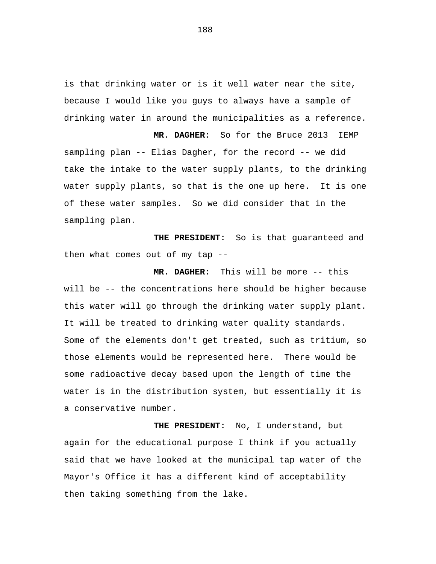is that drinking water or is it well water near the site, because I would like you guys to always have a sample of drinking water in around the municipalities as a reference.

**MR. DAGHER:** So for the Bruce 2013 IEMP sampling plan -- Elias Dagher, for the record -- we did take the intake to the water supply plants, to the drinking water supply plants, so that is the one up here. It is one of these water samples. So we did consider that in the sampling plan.

**THE PRESIDENT:** So is that guaranteed and then what comes out of my tap --

**MR. DAGHER:** This will be more -- this will be -- the concentrations here should be higher because this water will go through the drinking water supply plant. It will be treated to drinking water quality standards. Some of the elements don't get treated, such as tritium, so those elements would be represented here. There would be some radioactive decay based upon the length of time the water is in the distribution system, but essentially it is a conservative number.

**THE PRESIDENT:** No, I understand, but again for the educational purpose I think if you actually said that we have looked at the municipal tap water of the Mayor's Office it has a different kind of acceptability then taking something from the lake.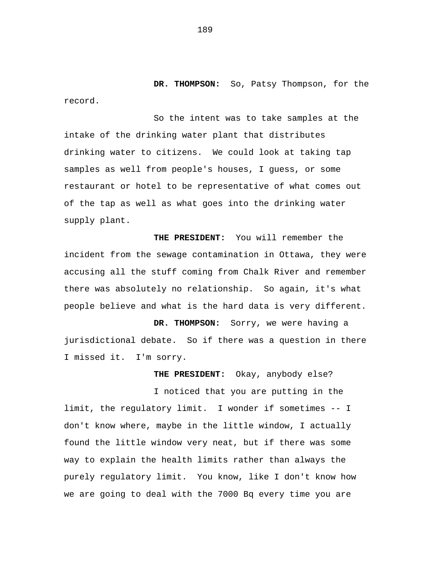**DR. THOMPSON:** So, Patsy Thompson, for the record.

So the intent was to take samples at the intake of the drinking water plant that distributes drinking water to citizens. We could look at taking tap samples as well from people's houses, I guess, or some restaurant or hotel to be representative of what comes out of the tap as well as what goes into the drinking water supply plant.

**THE PRESIDENT:** You will remember the incident from the sewage contamination in Ottawa, they were accusing all the stuff coming from Chalk River and remember there was absolutely no relationship. So again, it's what people believe and what is the hard data is very different.

**DR. THOMPSON:** Sorry, we were having a jurisdictional debate. So if there was a question in there I missed it. I'm sorry.

**THE PRESIDENT:** Okay, anybody else?

I noticed that you are putting in the limit, the regulatory limit. I wonder if sometimes -- I don't know where, maybe in the little window, I actually found the little window very neat, but if there was some way to explain the health limits rather than always the purely regulatory limit. You know, like I don't know how we are going to deal with the 7000 Bq every time you are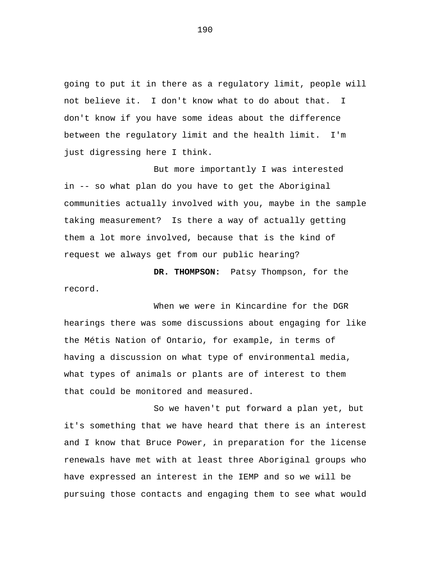going to put it in there as a regulatory limit, people will not believe it. I don't know what to do about that. I don't know if you have some ideas about the difference between the regulatory limit and the health limit. I'm just digressing here I think.

But more importantly I was interested in -- so what plan do you have to get the Aboriginal communities actually involved with you, maybe in the sample taking measurement? Is there a way of actually getting them a lot more involved, because that is the kind of request we always get from our public hearing?

**DR. THOMPSON:** Patsy Thompson, for the record.

When we were in Kincardine for the DGR hearings there was some discussions about engaging for like the Métis Nation of Ontario, for example, in terms of having a discussion on what type of environmental media, what types of animals or plants are of interest to them that could be monitored and measured.

So we haven't put forward a plan yet, but it's something that we have heard that there is an interest and I know that Bruce Power, in preparation for the license renewals have met with at least three Aboriginal groups who have expressed an interest in the IEMP and so we will be pursuing those contacts and engaging them to see what would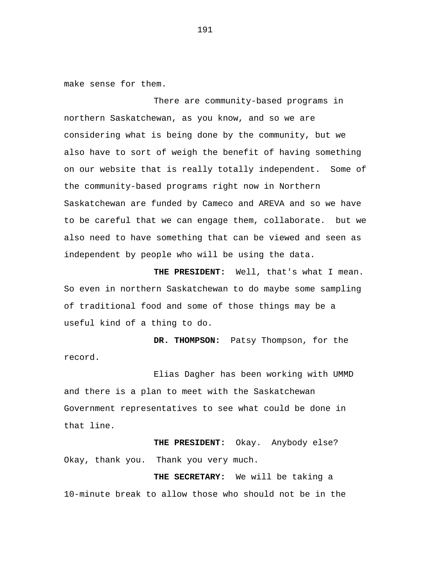make sense for them.

There are community-based programs in northern Saskatchewan, as you know, and so we are considering what is being done by the community, but we also have to sort of weigh the benefit of having something on our website that is really totally independent. Some of the community-based programs right now in Northern Saskatchewan are funded by Cameco and AREVA and so we have to be careful that we can engage them, collaborate. but we also need to have something that can be viewed and seen as independent by people who will be using the data.

**THE PRESIDENT:** Well, that's what I mean. So even in northern Saskatchewan to do maybe some sampling of traditional food and some of those things may be a useful kind of a thing to do.

**DR. THOMPSON:** Patsy Thompson, for the record.

Elias Dagher has been working with UMMD and there is a plan to meet with the Saskatchewan Government representatives to see what could be done in that line.

**THE PRESIDENT:** Okay. Anybody else? Okay, thank you. Thank you very much.

**THE SECRETARY:** We will be taking a 10-minute break to allow those who should not be in the